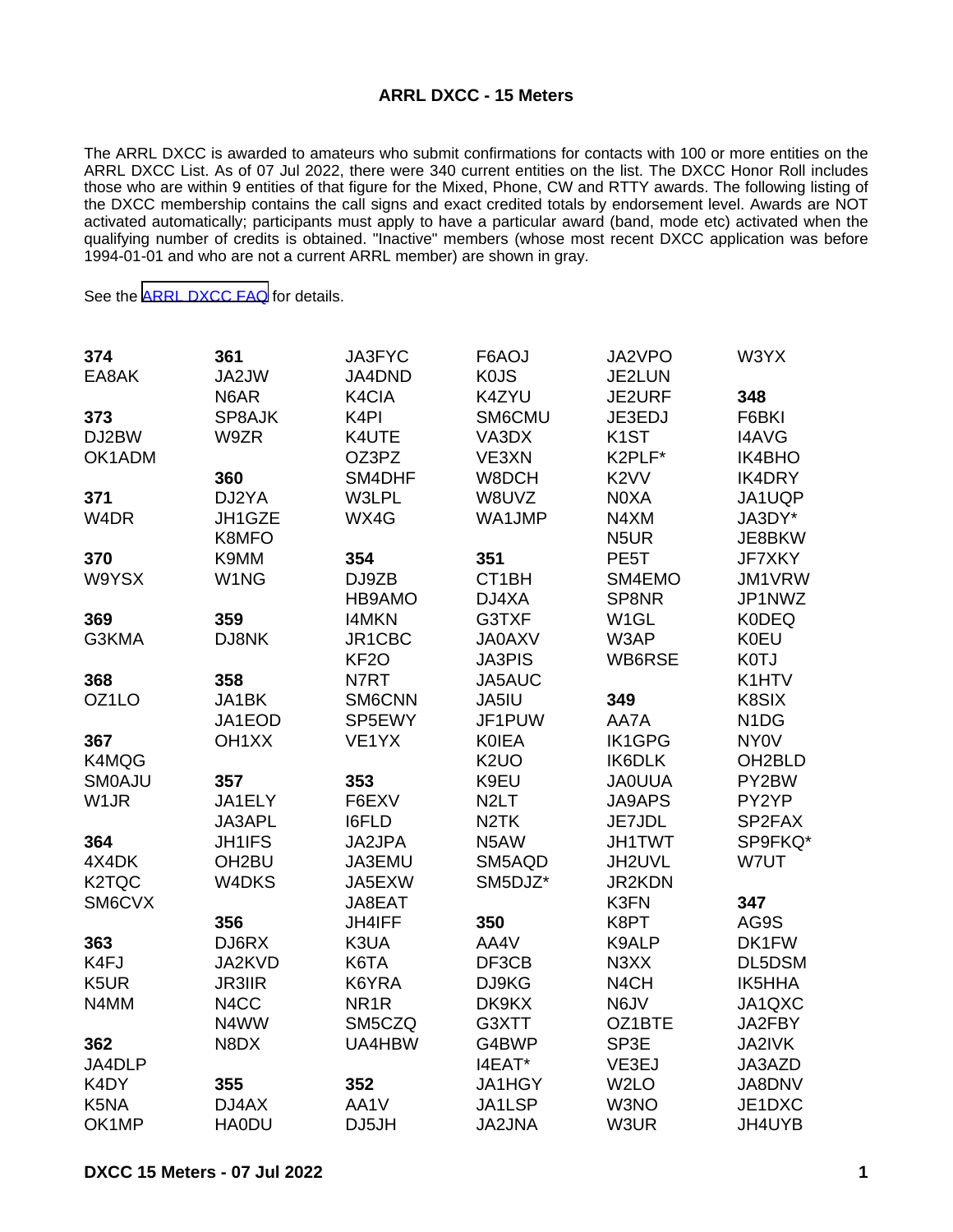## **ARRL DXCC - 15 Meters**

The ARRL DXCC is awarded to amateurs who submit confirmations for contacts with 100 or more entities on the ARRL DXCC List. As of 07 Jul 2022, there were 340 current entities on the list. The DXCC Honor Roll includes those who are within 9 entities of that figure for the Mixed, Phone, CW and RTTY awards. The following listing of the DXCC membership contains the call signs and exact credited totals by endorsement level. Awards are NOT activated automatically; participants must apply to have a particular award (band, mode etc) activated when the qualifying number of credits is obtained. "Inactive" members (whose most recent DXCC application was before 1994-01-01 and who are not a current ARRL member) are shown in gray.

See the [ARRL DXCC FAQ](http://www.arrl.org/dxcc-faq/) for details.

| 374                | 361                | JA3FYC            | F6AOJ             | JA2VPO            | W3YX                          |
|--------------------|--------------------|-------------------|-------------------|-------------------|-------------------------------|
| EA8AK              | JA2JW              | JA4DND            | <b>KOJS</b>       | JE2LUN            |                               |
|                    | N6AR               | K4CIA             | K4ZYU             | JE2URF            | 348                           |
| 373                | SP8AJK             | K <sub>4</sub> PI | SM6CMU            | JE3EDJ            | F6BKI                         |
| DJ2BW              | W9ZR               | K4UTE             | VA3DX             | K <sub>1</sub> ST | <b>I4AVG</b>                  |
| OK1ADM             |                    | OZ3PZ             | VE3XN             | K2PLF*            | IK4BHO                        |
|                    | 360                | SM4DHF            | W8DCH             | K <sub>2</sub> VV | <b>IK4DRY</b>                 |
| 371                | DJ2YA              | W3LPL             | W8UVZ             | N0XA              | JA1UQP                        |
| W <sub>4</sub> DR  | JH1GZE             | WX4G              | WA1JMP            | N4XM              | JA3DY*                        |
|                    | K8MFO              |                   |                   | N <sub>5</sub> UR | JE8BKW                        |
| 370                | K9MM               | 354               | 351               | PE <sub>5</sub> T | <b>JF7XKY</b>                 |
| W9YSX              | W1NG               | DJ9ZB             | CT1BH             | SM4EMO            | JM1VRW                        |
|                    |                    | HB9AMO            | DJ4XA             | SP8NR             | JP1NWZ                        |
| 369                | 359                | <b>I4MKN</b>      | G3TXF             | W <sub>1</sub> GL | <b>K0DEQ</b>                  |
| G3KMA              | DJ8NK              | JR1CBC            | <b>JA0AXV</b>     | W3AP              | <b>K0EU</b>                   |
|                    |                    | KF <sub>2</sub> O | <b>JA3PIS</b>     | WB6RSE            | K0TJ                          |
| 368                | 358                | N7RT              | JA5AUC            |                   | K1HTV                         |
| OZ1LO              | JA1BK              | SM6CNN            | JA5IU             | 349               | K8SIX                         |
|                    | JA1EOD             | SP5EWY            | JF1PUW            | AA7A              | N <sub>1</sub> D <sub>G</sub> |
| 367                | OH <sub>1</sub> XX | VE1YX             | <b>KOIEA</b>      | <b>IK1GPG</b>     | <b>NY0V</b>                   |
| K4MQG              |                    |                   | K <sub>2</sub> UO | IK6DLK            | OH <sub>2</sub> BLD           |
| <b>SMOAJU</b>      | 357                | 353               | K9EU              | <b>JAOUUA</b>     | PY2BW                         |
| W <sub>1</sub> JR  | JA1ELY             | F6EXV             | N <sub>2</sub> LT | <b>JA9APS</b>     | PY2YP                         |
|                    | JA3APL             | <b>I6FLD</b>      | N <sub>2</sub> TK | JE7JDL            | SP2FAX                        |
| 364                | JH1IFS             | JA2JPA            | N5AW              | <b>JH1TWT</b>     | SP9FKQ*                       |
| 4X4DK              | OH <sub>2</sub> BU | JA3EMU            | SM5AQD            | JH2UVL            | W7UT                          |
| K <sub>2</sub> TQC | W4DKS              | JA5EXW            | SM5DJZ*           | <b>JR2KDN</b>     |                               |
| SM6CVX             |                    | JA8EAT            |                   | K3FN              | 347                           |
|                    | 356                | JH4IFF            | 350               | K8PT              | AG9S                          |
| 363                | DJ6RX              | K3UA              | AA4V              | K9ALP             | DK1FW                         |
| K4FJ               | JA2KVD             | K6TA              | DF3CB             | N3XX              | DL5DSM                        |
| K5UR               | <b>JR3IIR</b>      | K6YRA             | DJ9KG             | N4CH              | IK5HHA                        |
| N4MM               | N4CC               | NR <sub>1</sub> R | DK9KX             | N6JV              | JA1QXC                        |
|                    | N4WW               | SM5CZQ            | G3XTT             | OZ1BTE            | JA2FBY                        |
| 362                | N8DX               | UA4HBW            | G4BWP             | SP3E              | JA2IVK                        |
| JA4DLP             |                    |                   | I4EAT*            | VE3EJ             | JA3AZD                        |
| K4DY               | 355                | 352               | <b>JA1HGY</b>     | W <sub>2</sub> LO | JA8DNV                        |
| K5NA               | DJ4AX              | AA1V              | JA1LSP            | W3NO              | JE1DXC                        |
| OK1MP              | <b>HA0DU</b>       | DJ5JH             | <b>JA2JNA</b>     | W3UR              | JH4UYB                        |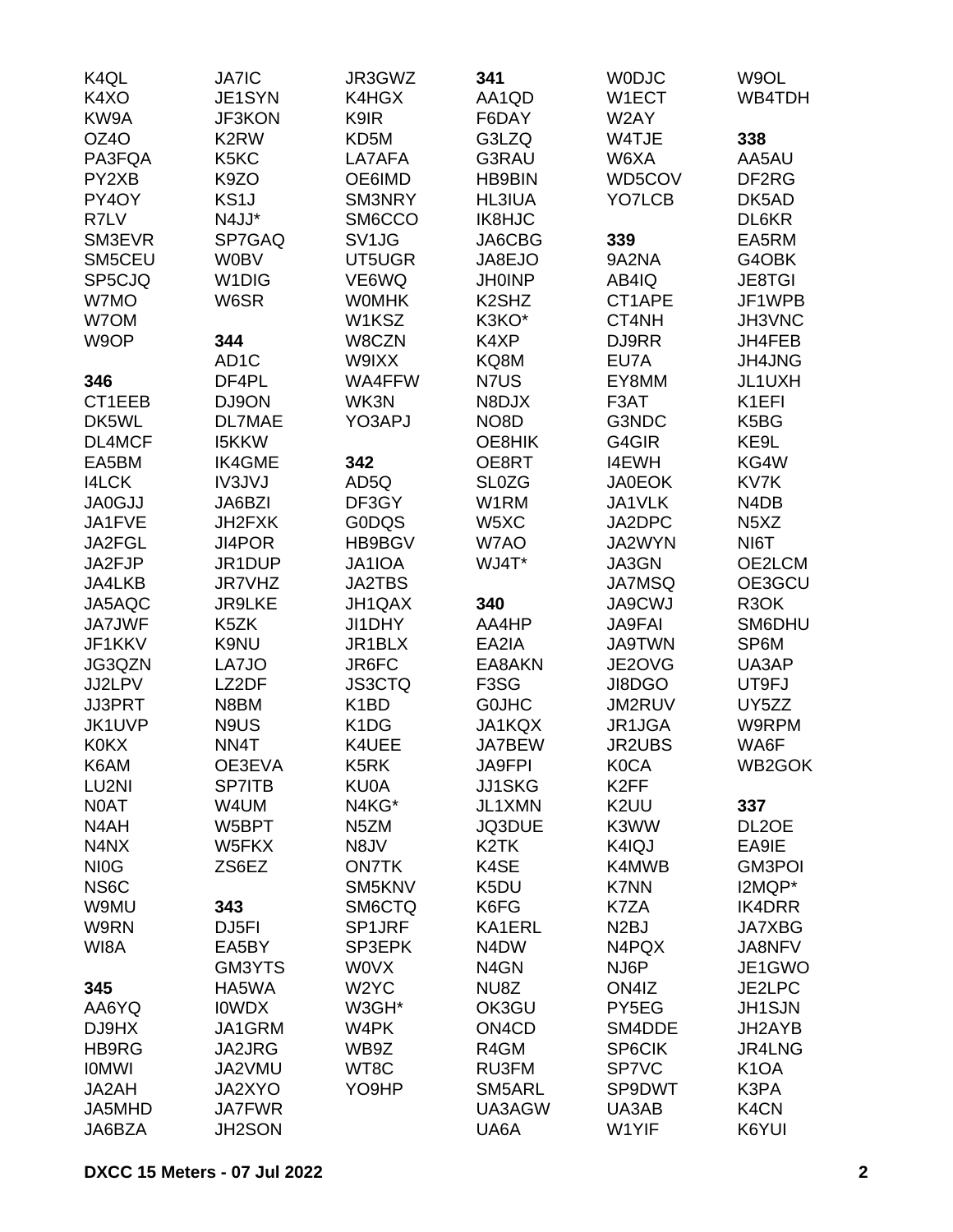| K4QL              | <b>JA7IC</b>       | JR3GWZ                        | 341                            | <b>WODJC</b>      | W9OL                          |
|-------------------|--------------------|-------------------------------|--------------------------------|-------------------|-------------------------------|
| K4XO              | JE1SYN             | K4HGX                         | AA1QD                          | W1ECT             | WB4TDH                        |
| KW9A              | <b>JF3KON</b>      | K9IR                          | F6DAY                          | W2AY              |                               |
| OZ4O              | K <sub>2</sub> RW  | KD5M                          | G3LZQ                          | W4TJE             | 338                           |
| PA3FQA            | K5KC               | LA7AFA                        | G3RAU                          | W6XA              | AA5AU                         |
| PY2XB             | K9ZO               | OE6IMD                        | <b>HB9BIN</b>                  | WD5COV            | DF2RG                         |
| PY4OY             | KS <sub>1</sub> J  | SM3NRY                        | HL3IUA                         | YO7LCB            | DK5AD                         |
| R7LV              | N4JJ*              | SM6CCO                        | IK8HJC                         |                   | DL6KR                         |
| SM3EVR            | SP7GAQ             | SV <sub>1</sub> JG            | JA6CBG                         | 339               | EA5RM                         |
| SM5CEU            | <b>W0BV</b>        | UT5UGR                        | JA8EJO                         | 9A2NA             | G4OBK                         |
| SP5CJQ            | W <sub>1</sub> DIG | VE6WQ                         | <b>JH0INP</b>                  | AB4IQ             | <b>JE8TGI</b>                 |
| W7MO              | W6SR               | <b>WOMHK</b>                  | K <sub>2</sub> SH <sub>Z</sub> | CT1APE            | JF1WPB                        |
| W7OM              |                    | W1KSZ                         | K3KO*                          | CT4NH             | JH3VNC                        |
|                   |                    |                               |                                |                   |                               |
| W9OP              | 344                | W8CZN                         | K4XP                           | DJ9RR             | JH4FEB                        |
|                   | AD <sub>1</sub> C  | W9IXX                         | KQ8M                           | EU7A              | JH4JNG                        |
| 346               | DF4PL              | WA4FFW                        | N7US                           | EY8MM             | JL1UXH                        |
| CT1EEB            | DJ9ON              | WK3N                          | N8DJX                          | F3AT              | K1EFI                         |
| DK5WL             | <b>DL7MAE</b>      | YO3APJ                        | NO <sub>8</sub> D              | G3NDC             | K5BG                          |
| DL4MCF            | <b>I5KKW</b>       |                               | OE8HIK                         | G4GIR             | KE9L                          |
| EA5BM             | <b>IK4GME</b>      | 342                           | OE8RT                          | <b>I4EWH</b>      | KG4W                          |
| <b>I4LCK</b>      | IV3JVJ             | AD5Q                          | <b>SL0ZG</b>                   | <b>JA0EOK</b>     | KV7K                          |
| <b>JA0GJJ</b>     | JA6BZI             | DF3GY                         | W1RM                           | JA1VLK            | N4DB                          |
| JA1FVE            | JH2FXK             | <b>G0DQS</b>                  | W5XC                           | JA2DPC            | N <sub>5</sub> X <sub>Z</sub> |
| JA2FGL            | JI4POR             | HB9BGV                        | W7AO                           | JA2WYN            | NI6T                          |
| JA2FJP            | JR1DUP             | JA1IOA                        | WJ4T*                          | JA3GN             | OE2LCM                        |
| JA4LKB            | JR7VHZ             | <b>JA2TBS</b>                 |                                | <b>JA7MSQ</b>     | OE3GCU                        |
| JA5AQC            | <b>JR9LKE</b>      | JH1QAX                        | 340                            | <b>JA9CWJ</b>     | R <sub>3</sub> OK             |
| <b>JA7JWF</b>     | K5ZK               | JI1DHY                        | AA4HP                          | <b>JA9FAI</b>     | SM6DHU                        |
| JF1KKV            | K9NU               | JR1BLX                        | EA2IA                          | <b>JA9TWN</b>     | SP6M                          |
| JG3QZN            | LA7JO              | JR6FC                         | EA8AKN                         | JE2OVG            | UA3AP                         |
| JJ2LPV            | LZ2DF              | <b>JS3CTQ</b>                 | F <sub>3</sub> SG              | JI8DGO            | UT9FJ                         |
| JJ3PRT            | N8BM               | K <sub>1</sub> BD             | <b>GOJHC</b>                   | JM2RUV            | UY5ZZ                         |
| JK1UVP            | N9US               | K <sub>1</sub> D <sub>G</sub> | JA1KQX                         | JR1JGA            | W9RPM                         |
| <b>K0KX</b>       | NN <sub>4</sub> T  | K4UEE                         | <b>JA7BEW</b>                  | <b>JR2UBS</b>     | WA6F                          |
| K6AM              | OE3EVA             | K5RK                          | <b>JA9FPI</b>                  | <b>K0CA</b>       | WB2GOK                        |
| LU2NI             | <b>SP7ITB</b>      | <b>KU0A</b>                   | <b>JJ1SKG</b>                  | K <sub>2</sub> FF |                               |
| N0AT              | W4UM               | N4KG*                         | JL1XMN                         | K <sub>2</sub> UU | 337                           |
| N4AH              | W5BPT              | N <sub>5</sub> ZM             | JQ3DUE                         | K3WW              | DL2OE                         |
| N4NX              | W5FKX              | N8JV                          | K <sub>2</sub> TK              | K4IQJ             | EA9IE                         |
| NI <sub>0</sub> G | ZS6EZ              | <b>ON7TK</b>                  | K4SE                           | K4MWB             | <b>GM3POI</b>                 |
| NS6C              |                    | SM5KNV                        | K5DU                           | <b>K7NN</b>       | I2MQP*                        |
| W9MU              | 343                | SM6CTQ                        | K6FG                           | K7ZA              | <b>IK4DRR</b>                 |
| W9RN              | DJ <sub>5FI</sub>  | SP1JRF                        | KA1ERL                         | N <sub>2</sub> BJ | <b>JA7XBG</b>                 |
| WI8A              | EA5BY              | SP3EPK                        | N <sub>4</sub> D <sub>W</sub>  | N4PQX             | JA8NFV                        |
|                   | GM3YTS             | <b>WOVX</b>                   | N <sub>4</sub> GN              | NJ6P              | JE1GWO                        |
| 345               | HA5WA              | W <sub>2</sub> YC             | NU8Z                           | ON4IZ             | JE2LPC                        |
| AA6YQ             | <b>IOWDX</b>       | W3GH*                         | OK3GU                          | PY5EG             | <b>JH1SJN</b>                 |
|                   | JA1GRM             |                               |                                |                   |                               |
| DJ9HX             |                    | W4PK                          | ON <sub>4</sub> C <sub>D</sub> | SM4DDE            | JH2AYB                        |
| HB9RG             | JA2JRG             | WB9Z                          | R4GM                           | SP6CIK            | JR4LNG                        |
| <b>IOMWI</b>      | JA2VMU             | WT8C                          | RU3FM                          | <b>SP7VC</b>      | K <sub>1</sub> OA             |
| JA2AH             | JA2XYO             | YO9HP                         | SM5ARL                         | SP9DWT            | K3PA                          |
| JA5MHD            | <b>JA7FWR</b>      |                               | UA3AGW                         | UA3AB             | K <sub>4</sub> CN             |
| JA6BZA            | JH2SON             |                               | UA6A                           | W1YIF             | K6YUI                         |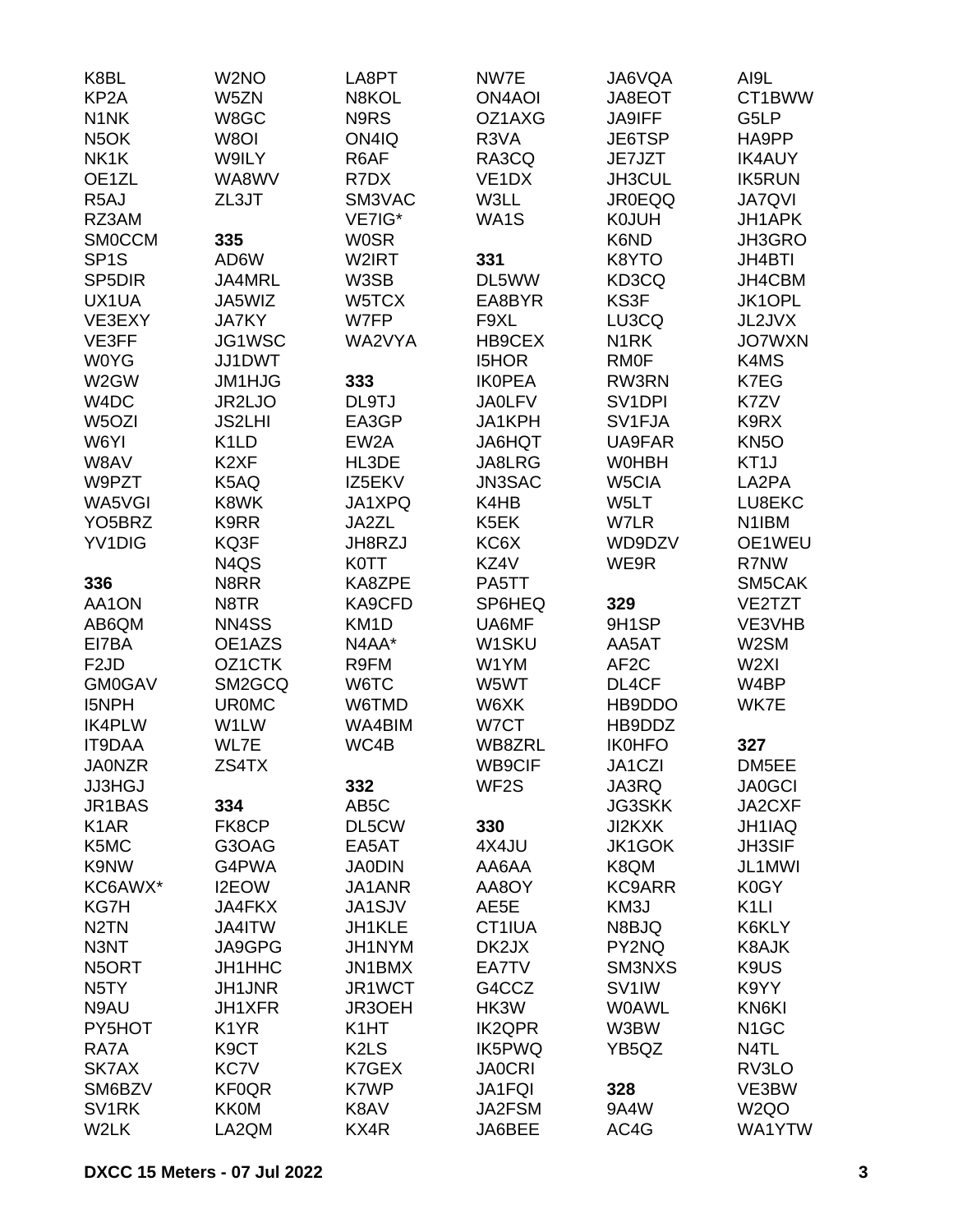| K8BL                          | W <sub>2</sub> NO | LA8PT                         | NW7E               | JA6VQA              | AI9L              |
|-------------------------------|-------------------|-------------------------------|--------------------|---------------------|-------------------|
| KP <sub>2</sub> A             | W5ZN              | N8KOL                         | <b>ON4AOI</b>      | JA8EOT              | CT1BWW            |
| N <sub>1</sub> N <sub>K</sub> | W8GC              | N9RS                          | OZ1AXG             | <b>JA9IFF</b>       | G5LP              |
| N <sub>5</sub> OK             | W8OI              | ON4IQ                         | R3VA               | JE6TSP              | HA9PP             |
| NK1K                          | W9ILY             | R6AF                          | RA3CQ              | JE7JZT              | <b>IK4AUY</b>     |
| OE1ZL                         | WA8WV             | R7DX                          | VE <sub>1</sub> DX | JH3CUL              | <b>IK5RUN</b>     |
| R <sub>5</sub> AJ             | ZL3JT             | SM3VAC                        | W3LL               | <b>JR0EQQ</b>       | <b>JA7QVI</b>     |
| RZ3AM                         |                   | VE7IG*                        | WA1S               | <b>K0JUH</b>        | <b>JH1APK</b>     |
| <b>SMOCCM</b>                 | 335               | <b>WOSR</b>                   |                    | K6ND                | JH3GRO            |
| SP <sub>1</sub> S             | AD6W              | W2IRT                         | 331                | K8YTO               | <b>JH4BTI</b>     |
| SP <sub>5</sub> DIR           | JA4MRL            | W3SB                          | DL5WW              | KD3CQ               | JH4CBM            |
| UX1UA                         | JA5WIZ            | W5TCX                         | EA8BYR             | KS3F                | JK1OPL            |
| VE3EXY                        | <b>JA7KY</b>      | W7FP                          | F9XL               | LU3CQ               | JL2JVX            |
| VE3FF                         | JG1WSC            | WA2VYA                        | HB9CEX             | N <sub>1</sub> RK   | <b>JO7WXN</b>     |
| <b>W0YG</b>                   | JJ1DWT            |                               | <b>I5HOR</b>       | <b>RMOF</b>         | K4MS              |
| W2GW                          | JM1HJG            | 333                           | <b>IKOPEA</b>      | RW3RN               | K7EG              |
| W4DC                          | JR2LJO            | DL9TJ                         | <b>JA0LFV</b>      | SV <sub>1</sub> DPI | K7ZV              |
| W <sub>5</sub> OZI            | <b>JS2LHI</b>     | EA3GP                         | JA1KPH             | SV1FJA              | K9RX              |
| W6YI                          | K <sub>1</sub> LD | EW <sub>2</sub> A             | JA6HQT             | <b>UA9FAR</b>       | KN <sub>50</sub>  |
| W8AV                          | K <sub>2</sub> XF | HL3DE                         | JA8LRG             | <b>WOHBH</b>        | KT <sub>1</sub> J |
| W9PZT                         | K5AQ              | IZ5EKV                        | JN3SAC             | W5CIA               | LA2PA             |
| WA5VGI                        | K8WK              | JA1XPQ                        | K4HB               | W5LT                | LU8EKC            |
| YO <sub>5</sub> BRZ           | K9RR              | JA2ZL                         | K5EK               | W7LR                | N1IBM             |
| YV1DIG                        | KQ3F              | JH8RZJ                        | KC6X               | WD9DZV              | OE1WEU            |
|                               | N4QS              | <b>K0TT</b>                   | KZ4V               | WE9R                | R7NW              |
| 336                           | N8RR              | KA8ZPE                        | PA5TT              |                     | SM5CAK            |
| AA1ON                         | N8TR              | KA9CFD                        | SP6HEQ             | 329                 | VE2TZT            |
|                               |                   |                               |                    |                     |                   |
| AB6QM                         | NN4SS             | KM <sub>1</sub> D             | UA6MF              | 9H1SP               | VE3VHB            |
| EI7BA                         | OE1AZS            | N4AA*                         | W1SKU              | AA5AT               | W2SM              |
| F <sub>2</sub> JD             | OZ1CTK            | R9FM                          | W1YM               | AF <sub>2</sub> C   | W <sub>2XI</sub>  |
| <b>GM0GAV</b>                 | SM2GCQ            | W6TC                          | W5WT               | DL4CF               | W4BP              |
| <b>I5NPH</b>                  | <b>UR0MC</b>      | W6TMD                         | W6XK               | HB9DDO              | WK7E              |
| <b>IK4PLW</b>                 | W1LW              | WA4BIM                        | W7CT               | HB9DDZ              |                   |
| <b>IT9DAA</b>                 | WL7E              | WC4B                          | WB8ZRL             | <b>IK0HFO</b>       | 327               |
| <b>JA0NZR</b>                 | ZS4TX             |                               | WB9CIF             | JA1CZI              | DM5EE             |
| <b>JJ3HGJ</b>                 |                   | 332                           | WF <sub>2</sub> S  | JA3RQ               | <b>JA0GCI</b>     |
| JR1BAS                        | 334               | AB <sub>5</sub> C             |                    | <b>JG3SKK</b>       | JA2CXF            |
| K <sub>1</sub> AR             | FK8CP             | DL5CW                         | 330                | JI2KXK              | JH1IAQ            |
| K5MC                          | G3OAG             | EA5AT                         | 4X4JU              | <b>JK1GOK</b>       | <b>JH3SIF</b>     |
| K9NW                          | G4PWA             | <b>JA0DIN</b>                 | AA6AA              | K8QM                | JL1MWI            |
| KC6AWX*                       | I2EOW             | JA1ANR                        | AA8OY              | <b>KC9ARR</b>       | K0GY              |
| KG7H                          | JA4FKX            | JA1SJV                        | AE5E               | KM3J                | K <sub>1</sub> LI |
| N <sub>2</sub> TN             | JA4ITW            | JH1KLE                        | CT1IUA             | N8BJQ               | K6KLY             |
| N3NT                          | JA9GPG            | JH1NYM                        | DK2JX              | PY2NQ               | <b>K8AJK</b>      |
| N5ORT                         | JH1HHC            | JN1BMX                        | EA7TV              | SM3NXS              | K9US              |
| N <sub>5</sub> TY             | <b>JH1JNR</b>     | JR1WCT                        | G4CCZ              | SV <sub>1</sub> IW  | K9YY              |
| N9AU                          | JH1XFR            | JR3OEH                        | HK3W               | <b>WOAWL</b>        | KN6KI             |
| PY5HOT                        | K <sub>1</sub> YR | K <sub>1</sub> HT             | <b>IK2QPR</b>      | W3BW                | N <sub>1</sub> GC |
| RA7A                          | K <sub>9</sub> CT | K <sub>2</sub> L <sub>S</sub> | IK5PWQ             | YB5QZ               | N4TL              |
| SK7AX                         | KC7V              | K7GEX                         | <b>JA0CRI</b>      |                     | RV3LO             |
| SM6BZV                        | <b>KF0QR</b>      | K7WP                          | JA1FQI             | 328                 | VE3BW             |
| SV <sub>1RK</sub>             | <b>KK0M</b>       | K8AV                          | JA2FSM             | 9A4W                | W <sub>2Q</sub> O |
| W2LK                          | LA2QM             | KX4R                          | JA6BEE             | AC4G                | WA1YTW            |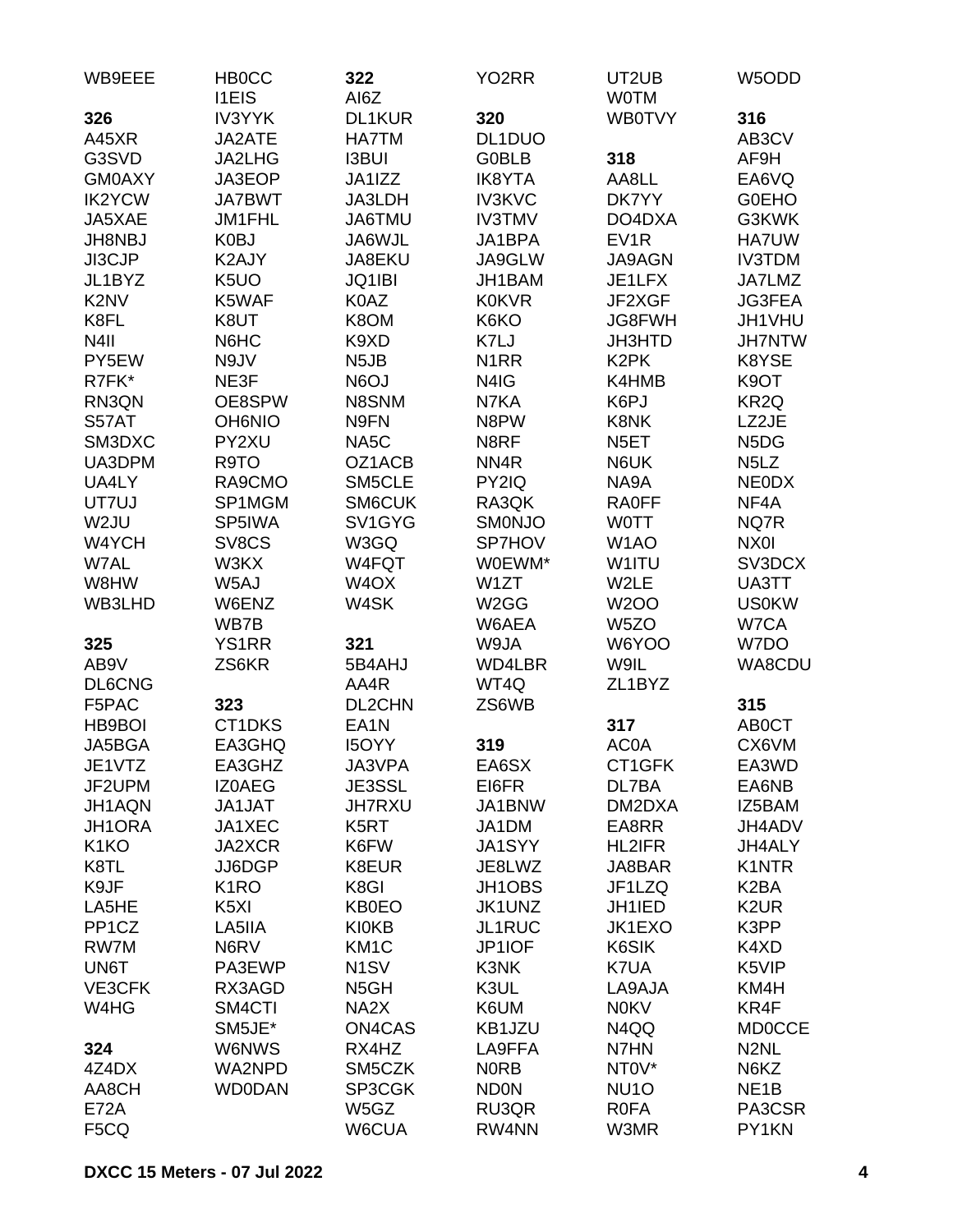| 320<br>316<br>326<br><b>IV3YYK</b><br><b>DL1KUR</b><br><b>WB0TVY</b><br>HA7TM<br>A45XR<br>JA2ATE<br>DL1DUO<br>AB3CV<br>G3SVD<br><b>I3BUI</b><br><b>GOBLB</b><br>318<br>JA2LHG<br>AF9H<br><b>GM0AXY</b><br>JA3EOP<br>JA1IZZ<br><b>IK8YTA</b><br>AA8LL<br>EA6VQ<br><b>IK2YCW</b><br><b>IV3KVC</b><br>DK7YY<br><b>G0EHO</b><br><b>JA7BWT</b><br>JA3LDH<br><b>IV3TMV</b><br>G3KWK<br>JA5XAE<br>JM1FHL<br>JA6TMU<br>DO4DXA<br>K0BJ<br>JA6WJL<br>EV <sub>1</sub> R<br>HA7UW<br>JH8NBJ<br>JA1BPA<br>JI3CJP<br><b>IV3TDM</b><br>K2AJY<br>JA8EKU<br>JA9GLW<br><b>JA9AGN</b><br>K <sub>5</sub> UO<br>JQ1IBI<br>JH1BAM<br>JA7LMZ<br>JL1BYZ<br>JE1LFX<br>K <sub>2</sub> N <sub>V</sub><br>K5WAF<br>K0AZ<br><b>K0KVR</b><br>JF2XGF<br><b>JG3FEA</b><br>K8FL<br>K8UT<br>K8OM<br>K6KO<br><b>JG8FWH</b><br>JH1VHU<br>N <sub>4</sub> II<br>N6HC<br>K9XD<br>K7LJ<br><b>JH3HTD</b><br><b>JH7NTW</b><br>N9JV<br>N <sub>5</sub> JB<br>K <sub>2</sub> PK<br>K8YSE<br>PY5EW<br>N <sub>1</sub> RR<br>R7FK*<br>NE3F<br>N6OJ<br>N4IG<br>K4HMB<br>K <sub>9</sub> OT<br>OE8SPW<br>N8SNM<br>N7KA<br>K6PJ<br>KR <sub>2Q</sub><br>RN3QN<br>S57AT<br><b>OH6NIO</b><br>N9FN<br>N8PW<br>K8NK<br>LZ2JE<br>SM3DXC<br>PY2XU<br>NA5C<br>N8RF<br>N <sub>5</sub> D <sub>G</sub><br>N <sub>5</sub> ET<br>UA3DPM<br>NN4R<br>R9TO<br>OZ1ACB<br>N6UK<br>N <sub>5</sub> L <sub>Z</sub><br>UA4LY<br>RA9CMO<br>SM5CLE<br>PY2IQ<br>NA9A<br><b>NEODX</b><br>SP1MGM<br>SM6CUK<br>NF4A<br>UT7UJ<br>RA3QK<br><b>RA0FF</b><br>W <sub>2</sub> JU<br>SP5IWA<br>SV1GYG<br><b>SMONJO</b><br>NQ7R<br><b>WOTT</b><br>W4YCH<br>SV8CS<br>W3GQ<br>SP7HOV<br>W <sub>1</sub> AO<br>NX0I<br>W7AL<br>W4FQT<br>W0EWM*<br>SV3DCX<br>W3KX<br>W1ITU<br>W1ZT<br>W2LE<br>UA3TT<br>W8HW<br>W5AJ<br>W <sub>4</sub> OX<br>W4SK<br><b>US0KW</b><br>WB3LHD<br>W6ENZ<br>W <sub>2</sub> GG<br><b>W2OO</b><br>W <sub>5</sub> ZO<br>W7CA<br>WB7B<br>W6AEA<br><b>YS1RR</b><br>321<br>W9JA<br>W6YOO<br>W7DO<br>325<br>AB9V<br>WA8CDU<br>ZS6KR<br>5B4AHJ<br>WD4LBR<br>W9IL<br><b>DL6CNG</b><br>WT4Q<br>AA4R<br>ZL1BYZ<br>F5PAC<br>315<br>323<br>DL2CHN<br>ZS6WB<br>CT1DKS<br>EA <sub>1</sub> N<br>317<br><b>ABOCT</b><br>HB9BOI<br>AC0A<br>CX6VM<br>JA5BGA<br>EA3GHQ<br><b>I5OYY</b><br>319<br>EA3GHZ<br>EA6SX<br>JE1VTZ<br>JA3VPA<br>CT1GFK<br>EA3WD<br>JF2UPM<br><b>IZ0AEG</b><br>JE3SSL<br>EA6NB<br>EI6FR<br>DL7BA<br>JH1AQN<br>JA1JAT<br><b>JH7RXU</b><br>JA1BNW<br>DM2DXA<br>IZ5BAM<br>JH1ORA<br>JA1XEC<br>K5RT<br>JA1DM<br>EA8RR<br>JH4ADV<br>K <sub>1</sub> KO<br>JA2XCR<br>K6FW<br>JA1SYY<br><b>HL2IFR</b><br>JH4ALY<br>K8TL<br>JJ6DGP<br>K8EUR<br>JE8LWZ<br>JA8BAR<br><b>K1NTR</b><br>K9JF<br>K8GI<br>K <sub>1</sub> RO<br>JH1OBS<br>JF1LZQ<br>K <sub>2</sub> BA<br>LA5HE<br>K <sub>5</sub> XI<br><b>KB0EO</b><br>JH1IED<br>K <sub>2</sub> UR<br>JK1UNZ<br>PP1CZ<br>K3PP<br>LA5IIA<br><b>KI0KB</b><br>JL1RUC<br>JK1EXO<br>K6SIK<br>RW7M<br>N6RV<br>KM <sub>1</sub> C<br>JP1IOF<br>K4XD<br>K5VIP<br>UN6T<br>PA3EWP<br>N <sub>1</sub> SV<br>K3NK<br>K7UA<br>K3UL<br>VE3CFK<br>RX3AGD<br>N <sub>5</sub> GH<br>LA9AJA<br>KM4H<br>W4HG<br>SM4CTI<br>NA2X<br>K6UM<br><b>N0KV</b><br>KR4F<br>SM5JE*<br>ON4CAS<br>KB1JZU<br>N4QQ<br><b>MD0CCE</b><br>W6NWS<br>RX4HZ<br>LA9FFA<br>N7HN<br>N <sub>2</sub> NL<br>324<br>NT0V*<br>4Z4DX<br>WA2NPD<br>SM5CZK<br><b>NORB</b><br>N6KZ | WB9EEE | <b>HBOCC</b><br><b>I1EIS</b> | 322<br>AI6Z | YO <sub>2</sub> RR | UT2UB<br><b>WOTM</b> | W5ODD             |
|---------------------------------------------------------------------------------------------------------------------------------------------------------------------------------------------------------------------------------------------------------------------------------------------------------------------------------------------------------------------------------------------------------------------------------------------------------------------------------------------------------------------------------------------------------------------------------------------------------------------------------------------------------------------------------------------------------------------------------------------------------------------------------------------------------------------------------------------------------------------------------------------------------------------------------------------------------------------------------------------------------------------------------------------------------------------------------------------------------------------------------------------------------------------------------------------------------------------------------------------------------------------------------------------------------------------------------------------------------------------------------------------------------------------------------------------------------------------------------------------------------------------------------------------------------------------------------------------------------------------------------------------------------------------------------------------------------------------------------------------------------------------------------------------------------------------------------------------------------------------------------------------------------------------------------------------------------------------------------------------------------------------------------------------------------------------------------------------------------------------------------------------------------------------------------------------------------------------------------------------------------------------------------------------------------------------------------------------------------------------------------------------------------------------------------------------------------------------------------------------------------------------------------------------------------------------------------------------------------------------------------------------------------------------------------------------------------------------------------------------------------------------------------------------------------------------------------------------------------------------------------------------------------------------------------------------------------------------------------------------------------------------------------------------------------------------------------------------------------------------------------------------------------------------------------------------------------------------------------------------------------------------------------------------|--------|------------------------------|-------------|--------------------|----------------------|-------------------|
|                                                                                                                                                                                                                                                                                                                                                                                                                                                                                                                                                                                                                                                                                                                                                                                                                                                                                                                                                                                                                                                                                                                                                                                                                                                                                                                                                                                                                                                                                                                                                                                                                                                                                                                                                                                                                                                                                                                                                                                                                                                                                                                                                                                                                                                                                                                                                                                                                                                                                                                                                                                                                                                                                                                                                                                                                                                                                                                                                                                                                                                                                                                                                                                                                                                                                             |        |                              |             |                    |                      |                   |
|                                                                                                                                                                                                                                                                                                                                                                                                                                                                                                                                                                                                                                                                                                                                                                                                                                                                                                                                                                                                                                                                                                                                                                                                                                                                                                                                                                                                                                                                                                                                                                                                                                                                                                                                                                                                                                                                                                                                                                                                                                                                                                                                                                                                                                                                                                                                                                                                                                                                                                                                                                                                                                                                                                                                                                                                                                                                                                                                                                                                                                                                                                                                                                                                                                                                                             |        |                              |             |                    |                      |                   |
|                                                                                                                                                                                                                                                                                                                                                                                                                                                                                                                                                                                                                                                                                                                                                                                                                                                                                                                                                                                                                                                                                                                                                                                                                                                                                                                                                                                                                                                                                                                                                                                                                                                                                                                                                                                                                                                                                                                                                                                                                                                                                                                                                                                                                                                                                                                                                                                                                                                                                                                                                                                                                                                                                                                                                                                                                                                                                                                                                                                                                                                                                                                                                                                                                                                                                             |        |                              |             |                    |                      |                   |
|                                                                                                                                                                                                                                                                                                                                                                                                                                                                                                                                                                                                                                                                                                                                                                                                                                                                                                                                                                                                                                                                                                                                                                                                                                                                                                                                                                                                                                                                                                                                                                                                                                                                                                                                                                                                                                                                                                                                                                                                                                                                                                                                                                                                                                                                                                                                                                                                                                                                                                                                                                                                                                                                                                                                                                                                                                                                                                                                                                                                                                                                                                                                                                                                                                                                                             |        |                              |             |                    |                      |                   |
|                                                                                                                                                                                                                                                                                                                                                                                                                                                                                                                                                                                                                                                                                                                                                                                                                                                                                                                                                                                                                                                                                                                                                                                                                                                                                                                                                                                                                                                                                                                                                                                                                                                                                                                                                                                                                                                                                                                                                                                                                                                                                                                                                                                                                                                                                                                                                                                                                                                                                                                                                                                                                                                                                                                                                                                                                                                                                                                                                                                                                                                                                                                                                                                                                                                                                             |        |                              |             |                    |                      |                   |
|                                                                                                                                                                                                                                                                                                                                                                                                                                                                                                                                                                                                                                                                                                                                                                                                                                                                                                                                                                                                                                                                                                                                                                                                                                                                                                                                                                                                                                                                                                                                                                                                                                                                                                                                                                                                                                                                                                                                                                                                                                                                                                                                                                                                                                                                                                                                                                                                                                                                                                                                                                                                                                                                                                                                                                                                                                                                                                                                                                                                                                                                                                                                                                                                                                                                                             |        |                              |             |                    |                      |                   |
|                                                                                                                                                                                                                                                                                                                                                                                                                                                                                                                                                                                                                                                                                                                                                                                                                                                                                                                                                                                                                                                                                                                                                                                                                                                                                                                                                                                                                                                                                                                                                                                                                                                                                                                                                                                                                                                                                                                                                                                                                                                                                                                                                                                                                                                                                                                                                                                                                                                                                                                                                                                                                                                                                                                                                                                                                                                                                                                                                                                                                                                                                                                                                                                                                                                                                             |        |                              |             |                    |                      |                   |
|                                                                                                                                                                                                                                                                                                                                                                                                                                                                                                                                                                                                                                                                                                                                                                                                                                                                                                                                                                                                                                                                                                                                                                                                                                                                                                                                                                                                                                                                                                                                                                                                                                                                                                                                                                                                                                                                                                                                                                                                                                                                                                                                                                                                                                                                                                                                                                                                                                                                                                                                                                                                                                                                                                                                                                                                                                                                                                                                                                                                                                                                                                                                                                                                                                                                                             |        |                              |             |                    |                      |                   |
|                                                                                                                                                                                                                                                                                                                                                                                                                                                                                                                                                                                                                                                                                                                                                                                                                                                                                                                                                                                                                                                                                                                                                                                                                                                                                                                                                                                                                                                                                                                                                                                                                                                                                                                                                                                                                                                                                                                                                                                                                                                                                                                                                                                                                                                                                                                                                                                                                                                                                                                                                                                                                                                                                                                                                                                                                                                                                                                                                                                                                                                                                                                                                                                                                                                                                             |        |                              |             |                    |                      |                   |
|                                                                                                                                                                                                                                                                                                                                                                                                                                                                                                                                                                                                                                                                                                                                                                                                                                                                                                                                                                                                                                                                                                                                                                                                                                                                                                                                                                                                                                                                                                                                                                                                                                                                                                                                                                                                                                                                                                                                                                                                                                                                                                                                                                                                                                                                                                                                                                                                                                                                                                                                                                                                                                                                                                                                                                                                                                                                                                                                                                                                                                                                                                                                                                                                                                                                                             |        |                              |             |                    |                      |                   |
|                                                                                                                                                                                                                                                                                                                                                                                                                                                                                                                                                                                                                                                                                                                                                                                                                                                                                                                                                                                                                                                                                                                                                                                                                                                                                                                                                                                                                                                                                                                                                                                                                                                                                                                                                                                                                                                                                                                                                                                                                                                                                                                                                                                                                                                                                                                                                                                                                                                                                                                                                                                                                                                                                                                                                                                                                                                                                                                                                                                                                                                                                                                                                                                                                                                                                             |        |                              |             |                    |                      |                   |
|                                                                                                                                                                                                                                                                                                                                                                                                                                                                                                                                                                                                                                                                                                                                                                                                                                                                                                                                                                                                                                                                                                                                                                                                                                                                                                                                                                                                                                                                                                                                                                                                                                                                                                                                                                                                                                                                                                                                                                                                                                                                                                                                                                                                                                                                                                                                                                                                                                                                                                                                                                                                                                                                                                                                                                                                                                                                                                                                                                                                                                                                                                                                                                                                                                                                                             |        |                              |             |                    |                      |                   |
|                                                                                                                                                                                                                                                                                                                                                                                                                                                                                                                                                                                                                                                                                                                                                                                                                                                                                                                                                                                                                                                                                                                                                                                                                                                                                                                                                                                                                                                                                                                                                                                                                                                                                                                                                                                                                                                                                                                                                                                                                                                                                                                                                                                                                                                                                                                                                                                                                                                                                                                                                                                                                                                                                                                                                                                                                                                                                                                                                                                                                                                                                                                                                                                                                                                                                             |        |                              |             |                    |                      |                   |
|                                                                                                                                                                                                                                                                                                                                                                                                                                                                                                                                                                                                                                                                                                                                                                                                                                                                                                                                                                                                                                                                                                                                                                                                                                                                                                                                                                                                                                                                                                                                                                                                                                                                                                                                                                                                                                                                                                                                                                                                                                                                                                                                                                                                                                                                                                                                                                                                                                                                                                                                                                                                                                                                                                                                                                                                                                                                                                                                                                                                                                                                                                                                                                                                                                                                                             |        |                              |             |                    |                      |                   |
|                                                                                                                                                                                                                                                                                                                                                                                                                                                                                                                                                                                                                                                                                                                                                                                                                                                                                                                                                                                                                                                                                                                                                                                                                                                                                                                                                                                                                                                                                                                                                                                                                                                                                                                                                                                                                                                                                                                                                                                                                                                                                                                                                                                                                                                                                                                                                                                                                                                                                                                                                                                                                                                                                                                                                                                                                                                                                                                                                                                                                                                                                                                                                                                                                                                                                             |        |                              |             |                    |                      |                   |
|                                                                                                                                                                                                                                                                                                                                                                                                                                                                                                                                                                                                                                                                                                                                                                                                                                                                                                                                                                                                                                                                                                                                                                                                                                                                                                                                                                                                                                                                                                                                                                                                                                                                                                                                                                                                                                                                                                                                                                                                                                                                                                                                                                                                                                                                                                                                                                                                                                                                                                                                                                                                                                                                                                                                                                                                                                                                                                                                                                                                                                                                                                                                                                                                                                                                                             |        |                              |             |                    |                      |                   |
|                                                                                                                                                                                                                                                                                                                                                                                                                                                                                                                                                                                                                                                                                                                                                                                                                                                                                                                                                                                                                                                                                                                                                                                                                                                                                                                                                                                                                                                                                                                                                                                                                                                                                                                                                                                                                                                                                                                                                                                                                                                                                                                                                                                                                                                                                                                                                                                                                                                                                                                                                                                                                                                                                                                                                                                                                                                                                                                                                                                                                                                                                                                                                                                                                                                                                             |        |                              |             |                    |                      |                   |
|                                                                                                                                                                                                                                                                                                                                                                                                                                                                                                                                                                                                                                                                                                                                                                                                                                                                                                                                                                                                                                                                                                                                                                                                                                                                                                                                                                                                                                                                                                                                                                                                                                                                                                                                                                                                                                                                                                                                                                                                                                                                                                                                                                                                                                                                                                                                                                                                                                                                                                                                                                                                                                                                                                                                                                                                                                                                                                                                                                                                                                                                                                                                                                                                                                                                                             |        |                              |             |                    |                      |                   |
|                                                                                                                                                                                                                                                                                                                                                                                                                                                                                                                                                                                                                                                                                                                                                                                                                                                                                                                                                                                                                                                                                                                                                                                                                                                                                                                                                                                                                                                                                                                                                                                                                                                                                                                                                                                                                                                                                                                                                                                                                                                                                                                                                                                                                                                                                                                                                                                                                                                                                                                                                                                                                                                                                                                                                                                                                                                                                                                                                                                                                                                                                                                                                                                                                                                                                             |        |                              |             |                    |                      |                   |
|                                                                                                                                                                                                                                                                                                                                                                                                                                                                                                                                                                                                                                                                                                                                                                                                                                                                                                                                                                                                                                                                                                                                                                                                                                                                                                                                                                                                                                                                                                                                                                                                                                                                                                                                                                                                                                                                                                                                                                                                                                                                                                                                                                                                                                                                                                                                                                                                                                                                                                                                                                                                                                                                                                                                                                                                                                                                                                                                                                                                                                                                                                                                                                                                                                                                                             |        |                              |             |                    |                      |                   |
|                                                                                                                                                                                                                                                                                                                                                                                                                                                                                                                                                                                                                                                                                                                                                                                                                                                                                                                                                                                                                                                                                                                                                                                                                                                                                                                                                                                                                                                                                                                                                                                                                                                                                                                                                                                                                                                                                                                                                                                                                                                                                                                                                                                                                                                                                                                                                                                                                                                                                                                                                                                                                                                                                                                                                                                                                                                                                                                                                                                                                                                                                                                                                                                                                                                                                             |        |                              |             |                    |                      |                   |
|                                                                                                                                                                                                                                                                                                                                                                                                                                                                                                                                                                                                                                                                                                                                                                                                                                                                                                                                                                                                                                                                                                                                                                                                                                                                                                                                                                                                                                                                                                                                                                                                                                                                                                                                                                                                                                                                                                                                                                                                                                                                                                                                                                                                                                                                                                                                                                                                                                                                                                                                                                                                                                                                                                                                                                                                                                                                                                                                                                                                                                                                                                                                                                                                                                                                                             |        |                              |             |                    |                      |                   |
|                                                                                                                                                                                                                                                                                                                                                                                                                                                                                                                                                                                                                                                                                                                                                                                                                                                                                                                                                                                                                                                                                                                                                                                                                                                                                                                                                                                                                                                                                                                                                                                                                                                                                                                                                                                                                                                                                                                                                                                                                                                                                                                                                                                                                                                                                                                                                                                                                                                                                                                                                                                                                                                                                                                                                                                                                                                                                                                                                                                                                                                                                                                                                                                                                                                                                             |        |                              |             |                    |                      |                   |
|                                                                                                                                                                                                                                                                                                                                                                                                                                                                                                                                                                                                                                                                                                                                                                                                                                                                                                                                                                                                                                                                                                                                                                                                                                                                                                                                                                                                                                                                                                                                                                                                                                                                                                                                                                                                                                                                                                                                                                                                                                                                                                                                                                                                                                                                                                                                                                                                                                                                                                                                                                                                                                                                                                                                                                                                                                                                                                                                                                                                                                                                                                                                                                                                                                                                                             |        |                              |             |                    |                      |                   |
|                                                                                                                                                                                                                                                                                                                                                                                                                                                                                                                                                                                                                                                                                                                                                                                                                                                                                                                                                                                                                                                                                                                                                                                                                                                                                                                                                                                                                                                                                                                                                                                                                                                                                                                                                                                                                                                                                                                                                                                                                                                                                                                                                                                                                                                                                                                                                                                                                                                                                                                                                                                                                                                                                                                                                                                                                                                                                                                                                                                                                                                                                                                                                                                                                                                                                             |        |                              |             |                    |                      |                   |
|                                                                                                                                                                                                                                                                                                                                                                                                                                                                                                                                                                                                                                                                                                                                                                                                                                                                                                                                                                                                                                                                                                                                                                                                                                                                                                                                                                                                                                                                                                                                                                                                                                                                                                                                                                                                                                                                                                                                                                                                                                                                                                                                                                                                                                                                                                                                                                                                                                                                                                                                                                                                                                                                                                                                                                                                                                                                                                                                                                                                                                                                                                                                                                                                                                                                                             |        |                              |             |                    |                      |                   |
|                                                                                                                                                                                                                                                                                                                                                                                                                                                                                                                                                                                                                                                                                                                                                                                                                                                                                                                                                                                                                                                                                                                                                                                                                                                                                                                                                                                                                                                                                                                                                                                                                                                                                                                                                                                                                                                                                                                                                                                                                                                                                                                                                                                                                                                                                                                                                                                                                                                                                                                                                                                                                                                                                                                                                                                                                                                                                                                                                                                                                                                                                                                                                                                                                                                                                             |        |                              |             |                    |                      |                   |
|                                                                                                                                                                                                                                                                                                                                                                                                                                                                                                                                                                                                                                                                                                                                                                                                                                                                                                                                                                                                                                                                                                                                                                                                                                                                                                                                                                                                                                                                                                                                                                                                                                                                                                                                                                                                                                                                                                                                                                                                                                                                                                                                                                                                                                                                                                                                                                                                                                                                                                                                                                                                                                                                                                                                                                                                                                                                                                                                                                                                                                                                                                                                                                                                                                                                                             |        |                              |             |                    |                      |                   |
|                                                                                                                                                                                                                                                                                                                                                                                                                                                                                                                                                                                                                                                                                                                                                                                                                                                                                                                                                                                                                                                                                                                                                                                                                                                                                                                                                                                                                                                                                                                                                                                                                                                                                                                                                                                                                                                                                                                                                                                                                                                                                                                                                                                                                                                                                                                                                                                                                                                                                                                                                                                                                                                                                                                                                                                                                                                                                                                                                                                                                                                                                                                                                                                                                                                                                             |        |                              |             |                    |                      |                   |
|                                                                                                                                                                                                                                                                                                                                                                                                                                                                                                                                                                                                                                                                                                                                                                                                                                                                                                                                                                                                                                                                                                                                                                                                                                                                                                                                                                                                                                                                                                                                                                                                                                                                                                                                                                                                                                                                                                                                                                                                                                                                                                                                                                                                                                                                                                                                                                                                                                                                                                                                                                                                                                                                                                                                                                                                                                                                                                                                                                                                                                                                                                                                                                                                                                                                                             |        |                              |             |                    |                      |                   |
|                                                                                                                                                                                                                                                                                                                                                                                                                                                                                                                                                                                                                                                                                                                                                                                                                                                                                                                                                                                                                                                                                                                                                                                                                                                                                                                                                                                                                                                                                                                                                                                                                                                                                                                                                                                                                                                                                                                                                                                                                                                                                                                                                                                                                                                                                                                                                                                                                                                                                                                                                                                                                                                                                                                                                                                                                                                                                                                                                                                                                                                                                                                                                                                                                                                                                             |        |                              |             |                    |                      |                   |
|                                                                                                                                                                                                                                                                                                                                                                                                                                                                                                                                                                                                                                                                                                                                                                                                                                                                                                                                                                                                                                                                                                                                                                                                                                                                                                                                                                                                                                                                                                                                                                                                                                                                                                                                                                                                                                                                                                                                                                                                                                                                                                                                                                                                                                                                                                                                                                                                                                                                                                                                                                                                                                                                                                                                                                                                                                                                                                                                                                                                                                                                                                                                                                                                                                                                                             |        |                              |             |                    |                      |                   |
|                                                                                                                                                                                                                                                                                                                                                                                                                                                                                                                                                                                                                                                                                                                                                                                                                                                                                                                                                                                                                                                                                                                                                                                                                                                                                                                                                                                                                                                                                                                                                                                                                                                                                                                                                                                                                                                                                                                                                                                                                                                                                                                                                                                                                                                                                                                                                                                                                                                                                                                                                                                                                                                                                                                                                                                                                                                                                                                                                                                                                                                                                                                                                                                                                                                                                             |        |                              |             |                    |                      |                   |
|                                                                                                                                                                                                                                                                                                                                                                                                                                                                                                                                                                                                                                                                                                                                                                                                                                                                                                                                                                                                                                                                                                                                                                                                                                                                                                                                                                                                                                                                                                                                                                                                                                                                                                                                                                                                                                                                                                                                                                                                                                                                                                                                                                                                                                                                                                                                                                                                                                                                                                                                                                                                                                                                                                                                                                                                                                                                                                                                                                                                                                                                                                                                                                                                                                                                                             |        |                              |             |                    |                      |                   |
|                                                                                                                                                                                                                                                                                                                                                                                                                                                                                                                                                                                                                                                                                                                                                                                                                                                                                                                                                                                                                                                                                                                                                                                                                                                                                                                                                                                                                                                                                                                                                                                                                                                                                                                                                                                                                                                                                                                                                                                                                                                                                                                                                                                                                                                                                                                                                                                                                                                                                                                                                                                                                                                                                                                                                                                                                                                                                                                                                                                                                                                                                                                                                                                                                                                                                             |        |                              |             |                    |                      |                   |
|                                                                                                                                                                                                                                                                                                                                                                                                                                                                                                                                                                                                                                                                                                                                                                                                                                                                                                                                                                                                                                                                                                                                                                                                                                                                                                                                                                                                                                                                                                                                                                                                                                                                                                                                                                                                                                                                                                                                                                                                                                                                                                                                                                                                                                                                                                                                                                                                                                                                                                                                                                                                                                                                                                                                                                                                                                                                                                                                                                                                                                                                                                                                                                                                                                                                                             |        |                              |             |                    |                      |                   |
|                                                                                                                                                                                                                                                                                                                                                                                                                                                                                                                                                                                                                                                                                                                                                                                                                                                                                                                                                                                                                                                                                                                                                                                                                                                                                                                                                                                                                                                                                                                                                                                                                                                                                                                                                                                                                                                                                                                                                                                                                                                                                                                                                                                                                                                                                                                                                                                                                                                                                                                                                                                                                                                                                                                                                                                                                                                                                                                                                                                                                                                                                                                                                                                                                                                                                             |        |                              |             |                    |                      |                   |
|                                                                                                                                                                                                                                                                                                                                                                                                                                                                                                                                                                                                                                                                                                                                                                                                                                                                                                                                                                                                                                                                                                                                                                                                                                                                                                                                                                                                                                                                                                                                                                                                                                                                                                                                                                                                                                                                                                                                                                                                                                                                                                                                                                                                                                                                                                                                                                                                                                                                                                                                                                                                                                                                                                                                                                                                                                                                                                                                                                                                                                                                                                                                                                                                                                                                                             |        |                              |             |                    |                      |                   |
|                                                                                                                                                                                                                                                                                                                                                                                                                                                                                                                                                                                                                                                                                                                                                                                                                                                                                                                                                                                                                                                                                                                                                                                                                                                                                                                                                                                                                                                                                                                                                                                                                                                                                                                                                                                                                                                                                                                                                                                                                                                                                                                                                                                                                                                                                                                                                                                                                                                                                                                                                                                                                                                                                                                                                                                                                                                                                                                                                                                                                                                                                                                                                                                                                                                                                             |        |                              |             |                    |                      |                   |
|                                                                                                                                                                                                                                                                                                                                                                                                                                                                                                                                                                                                                                                                                                                                                                                                                                                                                                                                                                                                                                                                                                                                                                                                                                                                                                                                                                                                                                                                                                                                                                                                                                                                                                                                                                                                                                                                                                                                                                                                                                                                                                                                                                                                                                                                                                                                                                                                                                                                                                                                                                                                                                                                                                                                                                                                                                                                                                                                                                                                                                                                                                                                                                                                                                                                                             |        |                              |             |                    |                      |                   |
|                                                                                                                                                                                                                                                                                                                                                                                                                                                                                                                                                                                                                                                                                                                                                                                                                                                                                                                                                                                                                                                                                                                                                                                                                                                                                                                                                                                                                                                                                                                                                                                                                                                                                                                                                                                                                                                                                                                                                                                                                                                                                                                                                                                                                                                                                                                                                                                                                                                                                                                                                                                                                                                                                                                                                                                                                                                                                                                                                                                                                                                                                                                                                                                                                                                                                             |        |                              |             |                    |                      |                   |
|                                                                                                                                                                                                                                                                                                                                                                                                                                                                                                                                                                                                                                                                                                                                                                                                                                                                                                                                                                                                                                                                                                                                                                                                                                                                                                                                                                                                                                                                                                                                                                                                                                                                                                                                                                                                                                                                                                                                                                                                                                                                                                                                                                                                                                                                                                                                                                                                                                                                                                                                                                                                                                                                                                                                                                                                                                                                                                                                                                                                                                                                                                                                                                                                                                                                                             |        |                              |             |                    |                      |                   |
|                                                                                                                                                                                                                                                                                                                                                                                                                                                                                                                                                                                                                                                                                                                                                                                                                                                                                                                                                                                                                                                                                                                                                                                                                                                                                                                                                                                                                                                                                                                                                                                                                                                                                                                                                                                                                                                                                                                                                                                                                                                                                                                                                                                                                                                                                                                                                                                                                                                                                                                                                                                                                                                                                                                                                                                                                                                                                                                                                                                                                                                                                                                                                                                                                                                                                             |        |                              |             |                    |                      |                   |
|                                                                                                                                                                                                                                                                                                                                                                                                                                                                                                                                                                                                                                                                                                                                                                                                                                                                                                                                                                                                                                                                                                                                                                                                                                                                                                                                                                                                                                                                                                                                                                                                                                                                                                                                                                                                                                                                                                                                                                                                                                                                                                                                                                                                                                                                                                                                                                                                                                                                                                                                                                                                                                                                                                                                                                                                                                                                                                                                                                                                                                                                                                                                                                                                                                                                                             |        |                              |             |                    |                      |                   |
|                                                                                                                                                                                                                                                                                                                                                                                                                                                                                                                                                                                                                                                                                                                                                                                                                                                                                                                                                                                                                                                                                                                                                                                                                                                                                                                                                                                                                                                                                                                                                                                                                                                                                                                                                                                                                                                                                                                                                                                                                                                                                                                                                                                                                                                                                                                                                                                                                                                                                                                                                                                                                                                                                                                                                                                                                                                                                                                                                                                                                                                                                                                                                                                                                                                                                             |        |                              |             |                    |                      |                   |
|                                                                                                                                                                                                                                                                                                                                                                                                                                                                                                                                                                                                                                                                                                                                                                                                                                                                                                                                                                                                                                                                                                                                                                                                                                                                                                                                                                                                                                                                                                                                                                                                                                                                                                                                                                                                                                                                                                                                                                                                                                                                                                                                                                                                                                                                                                                                                                                                                                                                                                                                                                                                                                                                                                                                                                                                                                                                                                                                                                                                                                                                                                                                                                                                                                                                                             |        |                              |             |                    |                      |                   |
|                                                                                                                                                                                                                                                                                                                                                                                                                                                                                                                                                                                                                                                                                                                                                                                                                                                                                                                                                                                                                                                                                                                                                                                                                                                                                                                                                                                                                                                                                                                                                                                                                                                                                                                                                                                                                                                                                                                                                                                                                                                                                                                                                                                                                                                                                                                                                                                                                                                                                                                                                                                                                                                                                                                                                                                                                                                                                                                                                                                                                                                                                                                                                                                                                                                                                             |        |                              |             |                    |                      |                   |
|                                                                                                                                                                                                                                                                                                                                                                                                                                                                                                                                                                                                                                                                                                                                                                                                                                                                                                                                                                                                                                                                                                                                                                                                                                                                                                                                                                                                                                                                                                                                                                                                                                                                                                                                                                                                                                                                                                                                                                                                                                                                                                                                                                                                                                                                                                                                                                                                                                                                                                                                                                                                                                                                                                                                                                                                                                                                                                                                                                                                                                                                                                                                                                                                                                                                                             |        |                              |             |                    |                      |                   |
|                                                                                                                                                                                                                                                                                                                                                                                                                                                                                                                                                                                                                                                                                                                                                                                                                                                                                                                                                                                                                                                                                                                                                                                                                                                                                                                                                                                                                                                                                                                                                                                                                                                                                                                                                                                                                                                                                                                                                                                                                                                                                                                                                                                                                                                                                                                                                                                                                                                                                                                                                                                                                                                                                                                                                                                                                                                                                                                                                                                                                                                                                                                                                                                                                                                                                             |        |                              |             |                    |                      |                   |
|                                                                                                                                                                                                                                                                                                                                                                                                                                                                                                                                                                                                                                                                                                                                                                                                                                                                                                                                                                                                                                                                                                                                                                                                                                                                                                                                                                                                                                                                                                                                                                                                                                                                                                                                                                                                                                                                                                                                                                                                                                                                                                                                                                                                                                                                                                                                                                                                                                                                                                                                                                                                                                                                                                                                                                                                                                                                                                                                                                                                                                                                                                                                                                                                                                                                                             | AA8CH  | <b>WD0DAN</b>                | SP3CGK      | <b>ND0N</b>        | NU <sub>10</sub>     | NE <sub>1</sub> B |
| <b>R0FA</b><br><b>E72A</b><br>W5GZ<br>RU3QR<br>PA3CSR                                                                                                                                                                                                                                                                                                                                                                                                                                                                                                                                                                                                                                                                                                                                                                                                                                                                                                                                                                                                                                                                                                                                                                                                                                                                                                                                                                                                                                                                                                                                                                                                                                                                                                                                                                                                                                                                                                                                                                                                                                                                                                                                                                                                                                                                                                                                                                                                                                                                                                                                                                                                                                                                                                                                                                                                                                                                                                                                                                                                                                                                                                                                                                                                                                       |        |                              |             |                    |                      |                   |
| F5CQ<br>W6CUA<br>PY1KN<br>RW4NN<br>W3MR                                                                                                                                                                                                                                                                                                                                                                                                                                                                                                                                                                                                                                                                                                                                                                                                                                                                                                                                                                                                                                                                                                                                                                                                                                                                                                                                                                                                                                                                                                                                                                                                                                                                                                                                                                                                                                                                                                                                                                                                                                                                                                                                                                                                                                                                                                                                                                                                                                                                                                                                                                                                                                                                                                                                                                                                                                                                                                                                                                                                                                                                                                                                                                                                                                                     |        |                              |             |                    |                      |                   |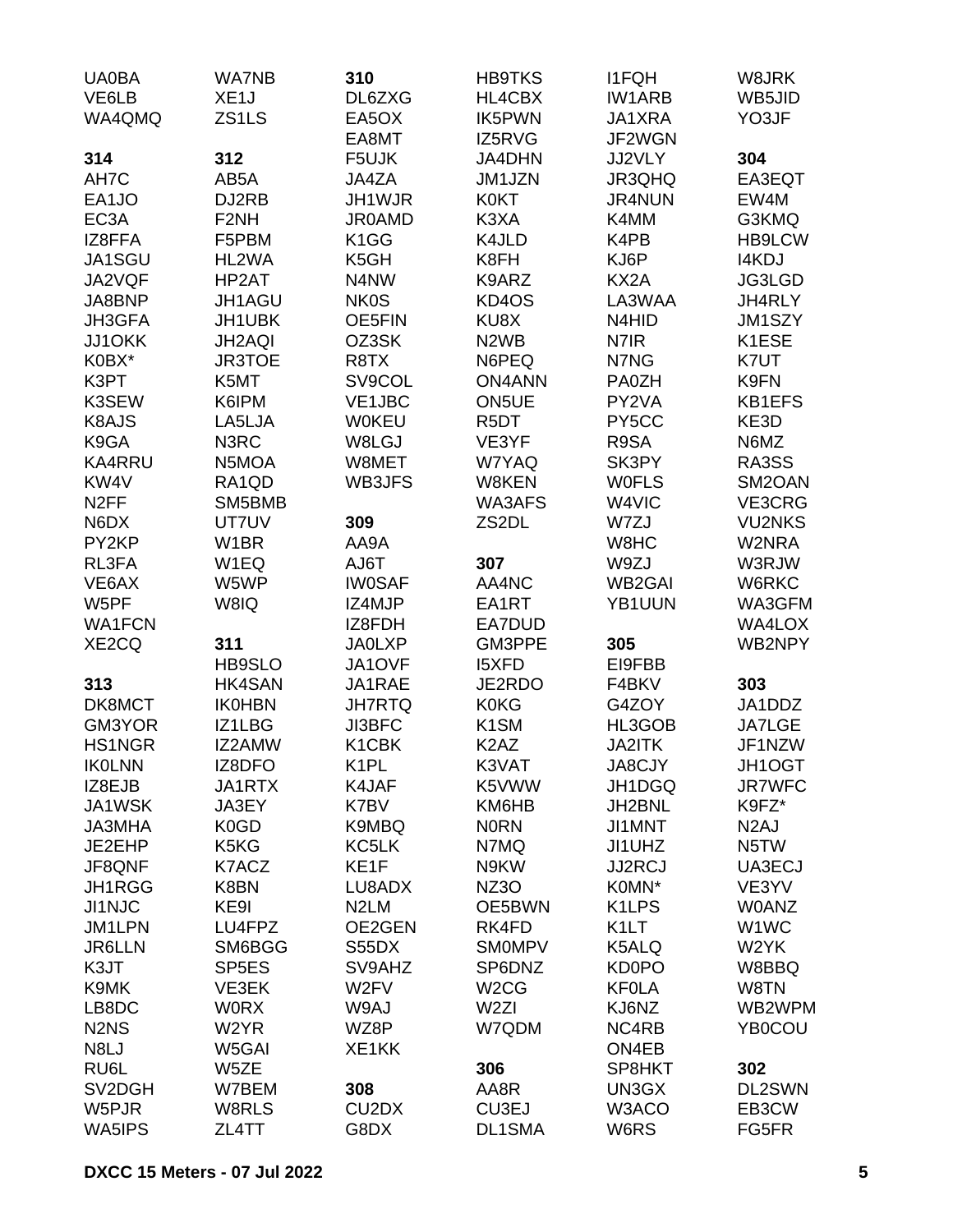| <b>UA0BA</b>                  | <b>WA7NB</b>       | 310                            | <b>HB9TKS</b>                 | <b>I1FQH</b>      | W8JRK             |
|-------------------------------|--------------------|--------------------------------|-------------------------------|-------------------|-------------------|
| VE6LB                         | XE <sub>1</sub> J  | DL6ZXG                         | HL4CBX                        | <b>IW1ARB</b>     | WB5JID            |
| WA4QMQ                        | ZS1LS              | EA5OX                          | IK5PWN                        | JA1XRA            | YO3JF             |
|                               |                    | EA8MT                          | IZ5RVG                        | JF2WGN            |                   |
| 314                           | 312                | F5UJK                          | <b>JA4DHN</b>                 | JJ2VLY            | 304               |
| AH7C                          | AB5A               | JA4ZA                          | JM1JZN                        | JR3QHQ            | EA3EQT            |
| EA1JO                         | DJ2RB              | JH1WJR                         | <b>K0KT</b>                   | <b>JR4NUN</b>     | EW4M              |
| EC <sub>3</sub> A             | F <sub>2</sub> NH  | <b>JR0AMD</b>                  | K3XA                          | K4MM              | G3KMQ             |
| IZ8FFA                        | F5PBM              | K <sub>1</sub> GG              | K4JLD                         | K4PB              | <b>HB9LCW</b>     |
| JA1SGU                        | HL2WA              | K5GH                           | K8FH                          | KJ6P              | I4KDJ             |
| JA2VQF                        | HP2AT              | N4NW                           | K9ARZ                         | KX2A              | JG3LGD            |
| JA8BNP                        | JH1AGU             | <b>NK0S</b>                    | KD4OS                         | LA3WAA            | JH4RLY            |
| JH3GFA                        | JH1UBK             | OE5FIN                         | KU8X                          | N4HID             | JM1SZY            |
| <b>JJ1OKK</b>                 | JH2AQI             | OZ3SK                          | N <sub>2</sub> W <sub>B</sub> | N7IR              | K1ESE             |
| K0BX*                         | <b>JR3TOE</b>      | R8TX                           | N6PEQ                         | N7NG              | K7UT              |
| K3PT                          | K5MT               | SV9COL                         | <b>ON4ANN</b>                 | PA0ZH             | K9FN              |
| K3SEW                         | K6IPM              | VE1JBC                         | ON5UE                         | PY2VA             | <b>KB1EFS</b>     |
| K8AJS                         | LA5LJA             | <b>W0KEU</b>                   | R <sub>5</sub> DT             | PY5CC             | KE3D              |
| K9GA                          | N3RC               | W8LGJ                          | VE3YF                         | R9SA              | N6MZ              |
| <b>KA4RRU</b>                 | N5MOA              | W8MET                          | W7YAQ                         | SK3PY             | RA3SS             |
| KW4V                          | RA1QD              | WB3JFS                         | W8KEN                         | <b>WOFLS</b>      | SM2OAN            |
| N <sub>2</sub> FF             | SM5BMB             |                                | WA3AFS                        | W4VIC             | VE3CRG            |
| N6DX                          | UT7UV              | 309                            | ZS2DL                         | W7ZJ              | <b>VU2NKS</b>     |
| PY2KP                         | W <sub>1</sub> BR  | AA9A                           |                               | W8HC              | W2NRA             |
| RL3FA                         | W1EQ               | AJ6T                           | 307                           | W9ZJ              | W3RJW             |
| VE6AX                         | W5WP               | <b>IW0SAF</b>                  | AA4NC                         | <b>WB2GAI</b>     | W6RKC             |
| W5PF                          | W8IQ               | IZ4MJP                         | EA1RT                         | YB1UUN            | WA3GFM            |
| <b>WA1FCN</b>                 |                    | IZ8FDH                         |                               |                   |                   |
|                               |                    | <b>JA0LXP</b>                  | EA7DUD<br>GM3PPE              |                   | WA4LOX<br>WB2NPY  |
| XE2CQ                         | 311                |                                |                               | 305               |                   |
|                               | <b>HB9SLO</b>      | JA1OVF                         | <b>I5XFD</b>                  | EI9FBB            |                   |
| 313                           | <b>HK4SAN</b>      | JA1RAE                         | JE2RDO                        | F4BKV             | 303               |
| DK8MCT                        | <b>IK0HBN</b>      | <b>JH7RTQ</b>                  | <b>K0KG</b>                   | G4ZOY             | JA1DDZ            |
| GM3YOR                        | IZ1LBG             | <b>JI3BFC</b>                  | K <sub>1</sub> SM             | HL3GOB            | <b>JA7LGE</b>     |
| <b>HS1NGR</b>                 | IZ2AMW             | K1CBK                          | K <sub>2</sub> A <sub>Z</sub> | <b>JA2ITK</b>     | JF1NZW            |
| <b>IKOLNN</b>                 | IZ8DFO             | K <sub>1</sub> PL              | K3VAT                         | JA8CJY            | JH1OGT            |
| IZ8EJB                        | JA1RTX             | K4JAF                          | K5VWW                         | JH1DGQ            | <b>JR7WFC</b>     |
| JA1WSK                        | JA3EY              | K7BV                           | KM6HB                         | JH2BNL            | K9FZ*             |
| <b>JA3MHA</b>                 | K <sub>0</sub> GD  | K9MBQ                          | <b>NORN</b>                   | <b>JI1MNT</b>     | N <sub>2</sub> AJ |
| JE2EHP                        | K5KG               | KC5LK                          | N7MQ                          | JI1UHZ            | N <sub>5</sub> TW |
| JF8QNF                        | K7ACZ              | KE1F                           | N9KW                          | <b>JJ2RCJ</b>     | UA3ECJ            |
| JH1RGG                        | K8BN               | LU8ADX                         | NZ3O                          | K0MN*             | VE3YV             |
| <b>JI1NJC</b>                 | KE9I               | N <sub>2</sub> LM              | OE5BWN                        | K1LPS             | <b>W0ANZ</b>      |
| JM1LPN                        | LU4FPZ             | OE2GEN                         | RK4FD                         | K <sub>1</sub> LT | W1WC              |
| <b>JR6LLN</b>                 | SM6BGG             | S55DX                          | <b>SMOMPV</b>                 | K5ALQ             | W <sub>2</sub> YK |
| K3JT                          | SP <sub>5</sub> ES | SV9AHZ                         | SP6DNZ                        | KD0PO             | W8BBQ             |
| K9MK                          | VE3EK              | W <sub>2</sub> FV              | W <sub>2</sub> CG             | <b>KFOLA</b>      | W8TN              |
| LB8DC                         | <b>WORX</b>        | W9AJ                           | W <sub>2ZI</sub>              | KJ6NZ             | WB2WPM            |
| N <sub>2</sub> N <sub>S</sub> | W2YR               | WZ8P                           | W7QDM                         | NC4RB             | YB0COU            |
| N8LJ                          | W5GAI              | XE1KK                          |                               | ON4EB             |                   |
| RU6L                          | W5ZE               |                                | 306                           | SP8HKT            | 302               |
| SV2DGH                        | W7BEM              | 308                            | AA8R                          | UN3GX             | DL2SWN            |
| W5PJR                         | W8RLS              | CU <sub>2</sub> D <sub>X</sub> | CU3EJ                         | W3ACO             | EB3CW             |
| WA5IPS                        | ZL4TT              | G8DX                           | DL1SMA                        | W6RS              | FG5FR             |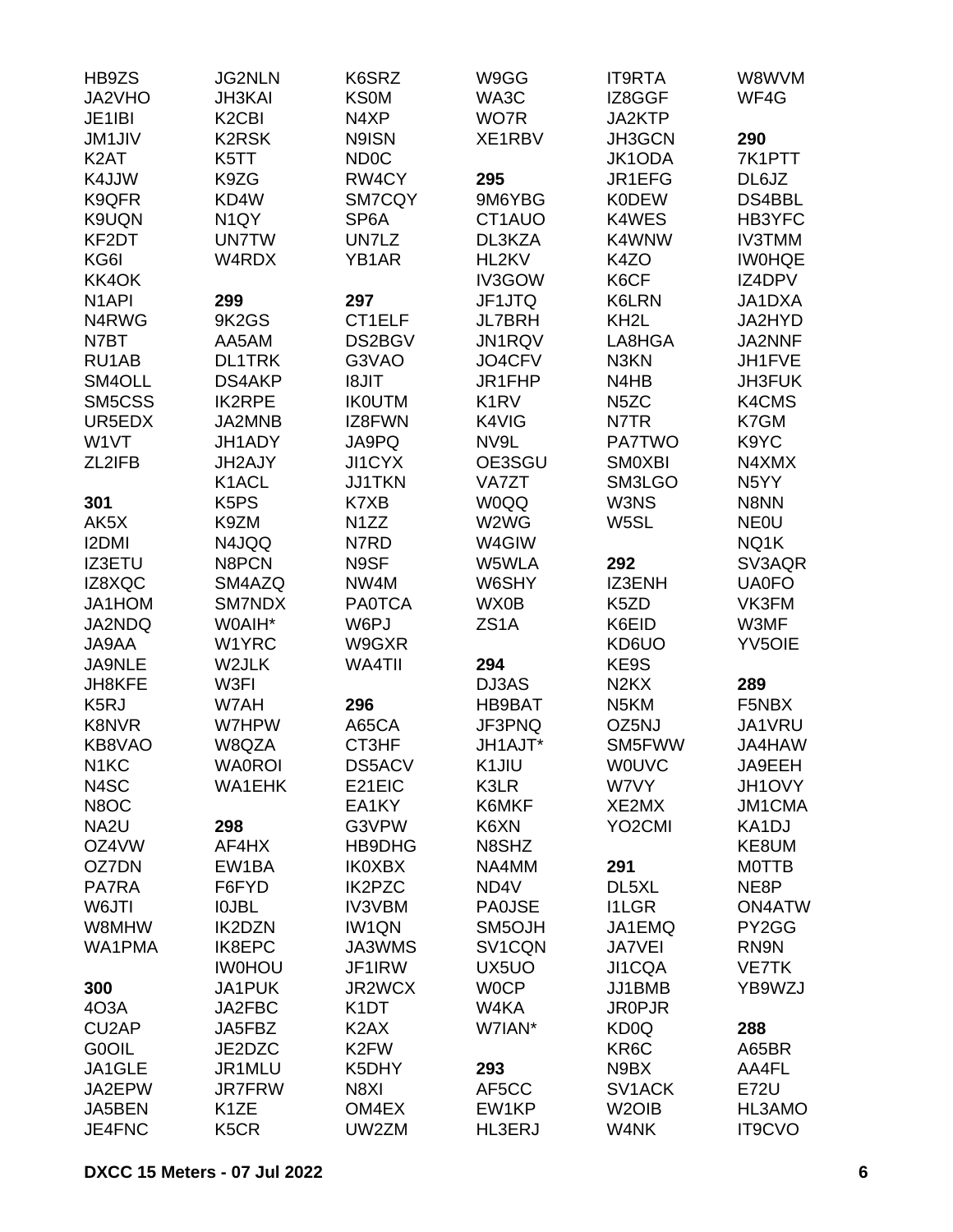| HB9ZS              | <b>JG2NLN</b>                  | K6SRZ             | W9GG                          | <b>IT9RTA</b>                 | W8WVM             |
|--------------------|--------------------------------|-------------------|-------------------------------|-------------------------------|-------------------|
| JA2VHO             | <b>JH3KAI</b>                  | <b>KS0M</b>       | WA3C                          | IZ8GGF                        | WF4G              |
| JE1IBI             | K <sub>2</sub> C <sub>BI</sub> | N4XP              | WO7R                          | JA2KTP                        |                   |
| <b>JM1JIV</b>      | <b>K2RSK</b>                   | N9ISN             | XE1RBV                        | JH3GCN                        | 290               |
| K <sub>2</sub> AT  | K5TT                           | <b>ND0C</b>       |                               | JK1ODA                        | 7K1PTT            |
| K4JJW              | K9ZG                           | RW4CY             | 295                           | JR1EFG                        | DL6JZ             |
| K9QFR              | KD4W                           | SM7CQY            | 9M6YBG                        | <b>K0DEW</b>                  | DS4BBL            |
| K9UQN              | N <sub>1</sub> QY              | SP <sub>6</sub> A | CT1AUO                        | K4WES                         | HB3YFC            |
| KF2DT              | <b>UN7TW</b>                   | UN7LZ             | DL3KZA                        | K4WNW                         | <b>IV3TMM</b>     |
| KG6I               | W4RDX                          | YB1AR             | HL2KV                         | K4ZO                          | <b>IWOHQE</b>     |
| KK4OK              |                                |                   | IV3GOW                        | K6CF                          | IZ4DPV            |
| N <sub>1</sub> API | 299                            | 297               | JF1JTQ                        | K6LRN                         | JA1DXA            |
|                    | 9K2GS                          | CT1ELF            |                               |                               | JA2HYD            |
| N4RWG              |                                |                   | <b>JL7BRH</b>                 | KH <sub>2</sub> L             |                   |
| N7BT               | AA5AM                          | DS2BGV            | <b>JN1RQV</b>                 | LA8HGA                        | JA2NNF            |
| RU1AB              | <b>DL1TRK</b>                  | G3VAO             | JO4CFV                        | N3KN                          | JH1FVE            |
| SM4OLL             | <b>DS4AKP</b>                  | <b>I8JIT</b>      | JR1FHP                        | N4HB                          | <b>JH3FUK</b>     |
| SM5CSS             | <b>IK2RPE</b>                  | <b>IK0UTM</b>     | K <sub>1</sub> R <sub>V</sub> | N <sub>5</sub> ZC             | K4CMS             |
| UR5EDX             | JA2MNB                         | IZ8FWN            | K4VIG                         | N7TR                          | K7GM              |
| W1VT               | JH1ADY                         | JA9PQ             | NV9L                          | <b>PA7TWO</b>                 | K9YC              |
| ZL2IFB             | JH2AJY                         | JI1CYX            | OE3SGU                        | <b>SMOXBI</b>                 | N4XMX             |
|                    | K <sub>1</sub> ACL             | <b>JJ1TKN</b>     | VA7ZT                         | SM3LGO                        | N <sub>5</sub> YY |
| 301                | K <sub>5</sub> P <sub>S</sub>  | K7XB              | <b>W0QQ</b>                   | W3NS                          | N8NN              |
| AK5X               | K9ZM                           | N <sub>1</sub> ZZ | W2WG                          | W5SL                          | <b>NEOU</b>       |
| <b>I2DMI</b>       | N4JQQ                          | N7RD              | W4GIW                         |                               | NQ1K              |
| <b>IZ3ETU</b>      | N8PCN                          | N9SF              | W5WLA                         | 292                           | SV3AQR            |
| IZ8XQC             | SM4AZQ                         | NW4M              | W6SHY                         | IZ3ENH                        | <b>UA0FO</b>      |
| JA1HOM             | SM7NDX                         | <b>PA0TCA</b>     | WX0B                          | K5ZD                          | VK3FM             |
| JA2NDQ             | W0AIH*                         | W6PJ              | ZS <sub>1</sub> A             | K6EID                         | W3MF              |
| JA9AA              | W1YRC                          | W9GXR             |                               | KD6UO                         | <b>YV5OIE</b>     |
| <b>JA9NLE</b>      | W2JLK                          | WA4TII            | 294                           | KE9S                          |                   |
| JH8KFE             | W3FI                           |                   | DJ3AS                         | N <sub>2</sub> K <sub>X</sub> | 289               |
| K <sub>5</sub> RJ  | W7AH                           | 296               | HB9BAT                        | N <sub>5</sub> KM             | F5NBX             |
| K8NVR              | W7HPW                          | A65CA             | JF3PNQ                        | OZ5NJ                         | JA1VRU            |
| KB8VAO             | W8QZA                          | CT3HF             | JH1AJT*                       | SM5FWW                        | JA4HAW            |
| N <sub>1</sub> KC  | <b>WA0ROI</b>                  | DS5ACV            | K1JIU                         | <b>WOUVC</b>                  | JA9EEH            |
| N4SC               | <b>WA1EHK</b>                  | E21EIC            | K3LR                          | W7VY                          | JH1OVY            |
| N8OC               |                                | EA1KY             | K6MKF                         | XE2MX                         | JM1CMA            |
| NA2U               | 298                            | G3VPW             | K6XN                          | YO <sub>2</sub> CMI           | KA1DJ             |
| OZ4VW              | AF4HX                          | HB9DHG            | N8SHZ                         |                               | KE8UM             |
| OZ7DN              | EW1BA                          | <b>IK0XBX</b>     | NA4MM                         |                               | <b>MOTTB</b>      |
|                    |                                |                   |                               | 291                           |                   |
| PA7RA              | F6FYD                          | <b>IK2PZC</b>     | ND4V                          | DL5XL                         | NE8P              |
| W6JTI              | <b>IOJBL</b>                   | <b>IV3VBM</b>     | <b>PA0JSE</b>                 | <b>I1LGR</b>                  | <b>ON4ATW</b>     |
| W8MHW              | <b>IK2DZN</b>                  | <b>IW1QN</b>      | SM5OJH                        | JA1EMQ                        | PY2GG             |
| WA1PMA             | IK8EPC                         | JA3WMS            | SV <sub>1</sub> CQN           | JA7VEI                        | RN9N              |
|                    | <b>IW0HOU</b>                  | JF1IRW            | UX5UO                         | JI1CQA                        | <b>VE7TK</b>      |
| 300                | JA1PUK                         | JR2WCX            | <b>WOCP</b>                   | JJ1BMB                        | YB9WZJ            |
| 4O3A               | JA2FBC                         | K <sub>1</sub> DT | W4KA                          | <b>JR0PJR</b>                 |                   |
| CU <sub>2</sub> AP | JA5FBZ                         | K <sub>2</sub> AX | W7IAN*                        | KD <sub>0</sub> Q             | 288               |
| <b>G0OIL</b>       | JE2DZC                         | K <sub>2</sub> FW |                               | KR <sub>6</sub> C             | A65BR             |
| JA1GLE             | JR1MLU                         | K5DHY             | 293                           | N9BX                          | AA4FL             |
| JA2EPW             | <b>JR7FRW</b>                  | N8XI              | AF5CC                         | SV1ACK                        | <b>E72U</b>       |
| JA5BEN             | K <sub>1</sub> ZE              | OM4EX             | EW1KP                         | W <sub>2</sub> OIB            | HL3AMO            |
| JE4FNC             | K5CR                           | UW2ZM             | <b>HL3ERJ</b>                 | W4NK                          | IT9CVO            |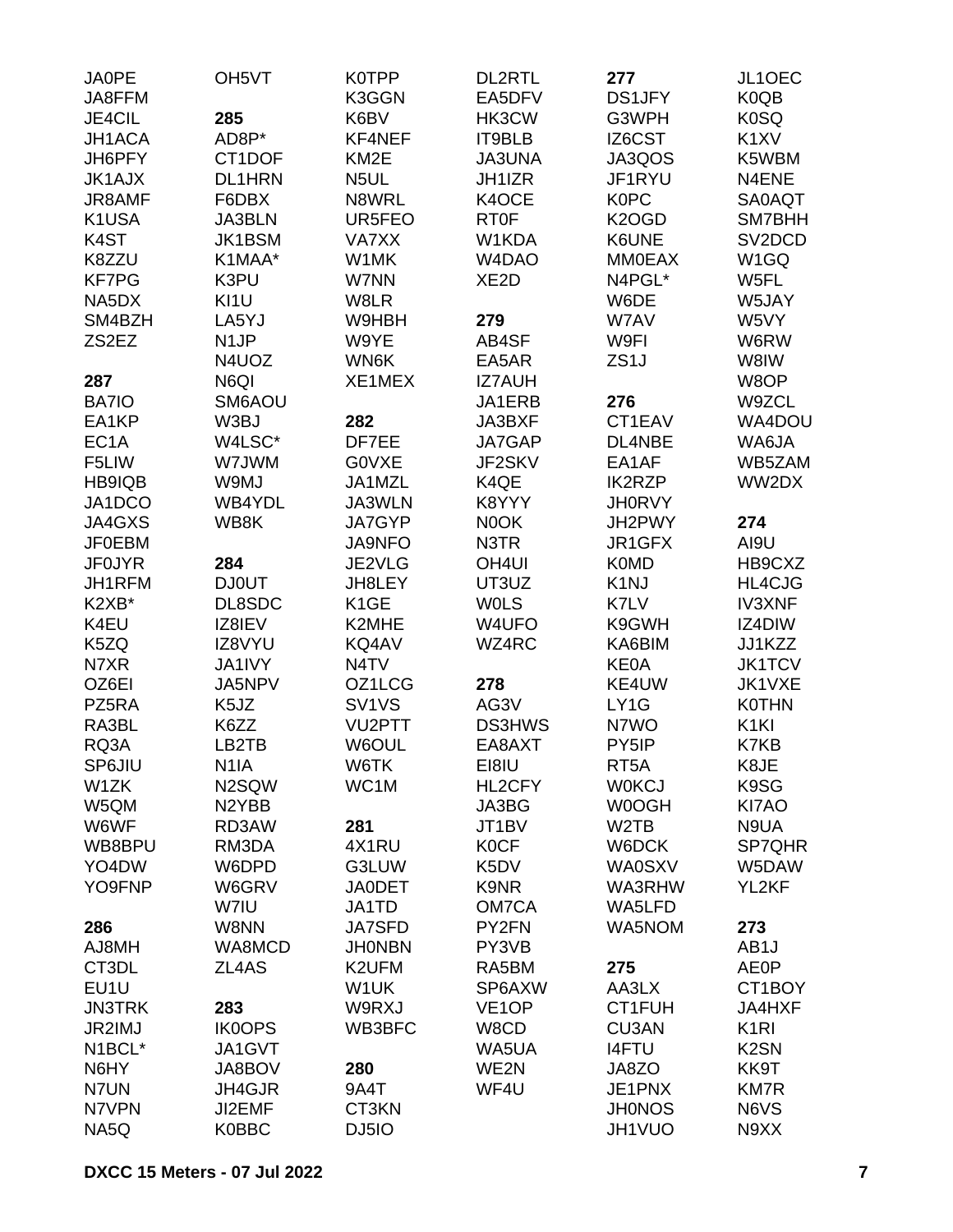| <b>JA0PE</b>      | OH <sub>5</sub> VT | K0TPP                          | <b>DL2RTL</b>                   | 277                | JL1OEC            |
|-------------------|--------------------|--------------------------------|---------------------------------|--------------------|-------------------|
| JA8FFM            |                    | K3GGN                          | EA5DFV                          | DS1JFY             | K0QB              |
| JE4CIL            | 285                | K6BV                           | HK3CW                           | G3WPH              | K0SQ              |
| JH1ACA            | AD8P*              | KF4NEF                         | IT9BLB                          | IZ6CST             | K <sub>1</sub> XV |
| JH6PFY            | CT1DOF             | KM <sub>2</sub> E              | <b>JA3UNA</b>                   | JA3QOS             | K5WBM             |
| <b>JK1AJX</b>     | <b>DL1HRN</b>      | N <sub>5</sub> UL              | JH1IZR                          | JF1RYU             | N4ENE             |
| JR8AMF            | F6DBX              | N8WRL                          | K4OCE                           | <b>K0PC</b>        | <b>SA0AQT</b>     |
| K1USA             | <b>JA3BLN</b>      | UR5FEO                         | <b>RT0F</b>                     | K <sub>2</sub> OGD | SM7BHH            |
| K <sub>4</sub> ST | JK1BSM             | VA7XX                          | W1KDA                           | K6UNE              | SV2DCD            |
| K8ZZU             | K1MAA*             | W1MK                           | W <sub>4</sub> D <sub>A</sub> O | <b>MM0EAX</b>      | W1GQ              |
| <b>KF7PG</b>      | K3PU               | W7NN                           | XE <sub>2</sub> D               | N4PGL*             | W5FL              |
| NA5DX             | KI <sub>1U</sub>   | W8LR                           |                                 | W6DE               | W5JAY             |
| SM4BZH            | LA5YJ              | W9HBH                          | 279                             | W7AV               | W5VY              |
| ZS2EZ             | N <sub>1</sub> JP  | W9YE                           | AB4SF                           | W9FI               | W6RW              |
|                   | N4UOZ              | WN6K                           | EA5AR                           | ZS <sub>1</sub> J  | W8IW              |
| 287               | N6QI               | XE1MEX                         | <b>IZ7AUH</b>                   |                    | W8OP              |
| BA7IO             | SM6AOU             |                                | JA1ERB                          | 276                | W9ZCL             |
| EA1KP             | W3BJ               | 282                            | JA3BXF                          | CT1EAV             | WA4DOU            |
| EC <sub>1</sub> A | W4LSC*             | DF7EE                          | JA7GAP                          | DL4NBE             | WA6JA             |
| F5LIW             | W7JWM              | G0VXE                          | JF2SKV                          | EA1AF              | WB5ZAM            |
| <b>HB9IQB</b>     | W9MJ               | JA1MZL                         | K4QE                            | <b>IK2RZP</b>      | WW2DX             |
| JA1DCO            | WB4YDL             | JA3WLN                         | K8YYY                           | <b>JH0RVY</b>      |                   |
|                   |                    |                                |                                 |                    |                   |
| JA4GXS            | WB8K               | JA7GYP                         | N0OK                            | JH2PWY             | 274               |
| <b>JF0EBM</b>     |                    | <b>JA9NFO</b>                  | N3TR                            | JR1GFX             | AI9U              |
| <b>JF0JYR</b>     | 284                | JE2VLG                         | OH <sub>4UI</sub>               | <b>K0MD</b>        | HB9CXZ            |
| JH1RFM            | <b>DJ0UT</b>       | JH8LEY                         | UT3UZ                           | K <sub>1</sub> NJ  | HL4CJG            |
| K2XB*             | DL8SDC             | K <sub>1</sub> GE              | <b>WOLS</b>                     | K7LV               | <b>IV3XNF</b>     |
| K4EU              | IZ8IEV             | K2MHE                          | W4UFO                           | K9GWH              | IZ4DIW            |
| K5ZQ              | IZ8VYU             | KQ4AV                          | WZ4RC                           | KA6BIM             | JJ1KZZ            |
| N7XR              | JA1IVY             | N <sub>4</sub> TV              |                                 | <b>KE0A</b>        | <b>JK1TCV</b>     |
| OZ6EI             | JA5NPV             | OZ1LCG                         | 278                             | KE4UW              | JK1VXE            |
| PZ5RA             | K <sub>5</sub> JZ  | SV <sub>1</sub> V <sub>S</sub> | AG3V                            | LY1G               | <b>K0THN</b>      |
| RA3BL             | K6ZZ               | VU2PTT                         | <b>DS3HWS</b>                   | N7WO               | K <sub>1KI</sub>  |
| RQ3A              | LB2TB              | W6OUL                          | EA8AXT                          | PY5IP              | K7KB              |
| SP6JIU            | N <sub>1</sub> IA  | W6TK                           | EI8IU                           | RT <sub>5</sub> A  | K8JE              |
| W1ZK              | N2SQW              | WC1M                           | HL2CFY                          | <b>WOKCJ</b>       | K9SG              |
| W5QM              | N <sub>2</sub> YBB |                                | JA3BG                           | W0OGH              | KI7AO             |
| W6WF              | RD3AW              | 281                            | JT1BV                           | W <sub>2</sub> TB  | N9UA              |
| WB8BPU            | RM3DA              | 4X1RU                          | <b>K0CF</b>                     | W6DCK              | SP7QHR            |
| YO4DW             | W6DPD              | G3LUW                          | K5DV                            | <b>WA0SXV</b>      | W5DAW             |
| YO9FNP            | W6GRV              | <b>JA0DET</b>                  | K9NR                            | WA3RHW             | YL2KF             |
|                   | W7IU               | JA1TD                          | OM7CA                           | WA5LFD             |                   |
| 286               | W8NN               | <b>JA7SFD</b>                  | PY2FN                           | WA5NOM             | 273               |
| AJ8MH             | WA8MCD             | <b>JHONBN</b>                  | PY3VB                           |                    | AB <sub>1</sub> J |
| CT3DL             | ZL4AS              | K2UFM                          | RA5BM                           | 275                | <b>AE0P</b>       |
| EU1U              |                    | W1UK                           | SP6AXW                          | AA3LX              | CT1BOY            |
| <b>JN3TRK</b>     | 283                | W9RXJ                          | VE <sub>1</sub> OP              | CT1FUH             | JA4HXF            |
| JR2IMJ            | <b>IK0OPS</b>      | WB3BFC                         | W8CD                            | <b>CU3AN</b>       | K <sub>1</sub> RI |
| N1BCL*            | JA1GVT             |                                | WA5UA                           | <b>I4FTU</b>       | K <sub>2</sub> SN |
| N6HY              | JA8BOV             | 280                            | WE2N                            | JA8ZO              | KK9T              |
| N7UN              | JH4GJR             | 9A4T                           | WF4U                            | JE1PNX             | <b>KM7R</b>       |
|                   |                    |                                |                                 |                    |                   |
| N7VPN             | JI2EMF             | CT3KN                          |                                 | <b>JH0NOS</b>      | N6VS              |
| NA5Q              | <b>K0BBC</b>       | DJ5IO                          |                                 | JH1VUO             | N9XX              |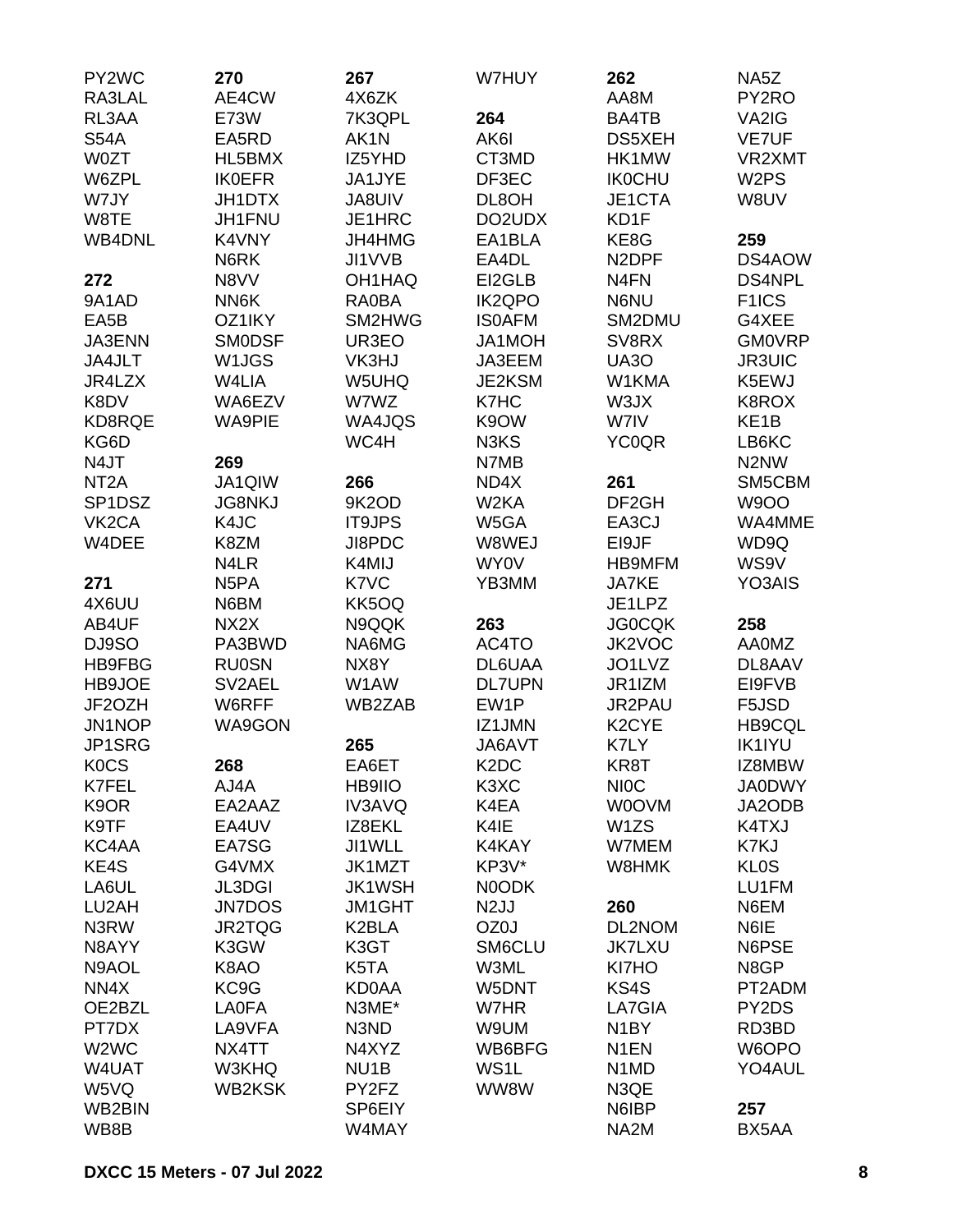| PY2WC                         | 270               | 267               | W7HUY                         | 262                           | NA5Z               |
|-------------------------------|-------------------|-------------------|-------------------------------|-------------------------------|--------------------|
| RA3LAL                        | AE4CW             | 4X6ZK             |                               | AA8M                          | PY2RO              |
| RL3AA                         | E73W              | 7K3QPL            | 264                           | BA4TB                         | VA2IG              |
| <b>S54A</b>                   | EA5RD             | AK1N              | AK6I                          | DS5XEH                        | <b>VE7UF</b>       |
| <b>W0ZT</b>                   | HL5BMX            | IZ5YHD            | CT3MD                         | HK1MW                         | VR2XMT             |
| W6ZPL                         | <b>IK0EFR</b>     | JA1JYE            | DF3EC                         | <b>IK0CHU</b>                 | W <sub>2</sub> PS  |
| W7JY                          | JH1DTX            | <b>JA8UIV</b>     | DL8OH                         | JE1CTA                        | W8UV               |
| W8TE                          | JH1FNU            | JE1HRC            | DO2UDX                        | KD1F                          |                    |
| <b>WB4DNL</b>                 | K4VNY             | JH4HMG            | EA1BLA                        | KE8G                          | 259                |
|                               | N6RK              | JI1VVB            | EA4DL                         | N <sub>2</sub> DPF            | DS4AOW             |
| 272                           | N8VV              | OH1HAQ            | EI2GLB                        | N <sub>4</sub> FN             | DS4NPL             |
| 9A1AD                         | NN6K              | RA0BA             | <b>IK2QPO</b>                 | N6NU                          | F <sub>1</sub> ICS |
| EA <sub>5</sub> B             | OZ1IKY            | SM2HWG            | <b>ISOAFM</b>                 | SM2DMU                        | G4XEE              |
| <b>JA3ENN</b>                 | <b>SMODSF</b>     | UR3EO             | JA1MOH                        | SV8RX                         | <b>GM0VRP</b>      |
| JA4JLT                        | W1JGS             | VK3HJ             | JA3EEM                        | <b>UA30</b>                   | <b>JR3UIC</b>      |
| JR4LZX                        | W4LIA             | W5UHQ             | JE2KSM                        | W1KMA                         | K5EWJ              |
| K8DV                          | WA6EZV            | W7WZ              | K7HC                          | W3JX                          | K8ROX              |
| KD8RQE                        | <b>WA9PIE</b>     | WA4JQS            | K9OW                          | W7IV                          | KE <sub>1</sub> B  |
| KG6D                          |                   | WC4H              | N3KS                          | <b>YC0QR</b>                  | LB6KC              |
| N4JT                          | 269               |                   | N7MB                          |                               | N2NW               |
| NT <sub>2</sub> A             | JA1QIW            | 266               | ND4X                          | 261                           | SM5CBM             |
| SP <sub>1</sub> DSZ           | <b>JG8NKJ</b>     | 9K2OD             | W <sub>2</sub> KA             | DF <sub>2GH</sub>             | <b>W9OO</b>        |
| VK <sub>2</sub> CA            | K4JC              |                   | W5GA                          | EA3CJ                         | WA4MME             |
| W4DEE                         | K8ZM              | <b>IT9JPS</b>     | W8WEJ                         |                               | WD9Q               |
|                               |                   | JI8PDC            | WY0V                          | EI9JF                         | WS9V               |
|                               | N4LR              | K4MIJ             |                               | <b>HB9MFM</b>                 |                    |
| 271                           | N <sub>5</sub> PA | K7VC              | YB3MM                         | JA7KE                         | YO3AIS             |
| 4X6UU                         | N6BM              | KK5OQ             |                               | JE1LPZ                        |                    |
| AB4UF                         | NX2X              | N9QQK             | 263                           | <b>JG0CQK</b>                 | 258                |
| DJ9SO                         | PA3BWD            | NA6MG             | AC4TO                         | JK2VOC                        | <b>AA0MZ</b>       |
| <b>HB9FBG</b>                 | <b>RU0SN</b>      | NX8Y              | DL6UAA                        | JO1LVZ                        | DL8AAV             |
| HB9JOE                        | SV2AEL            | W1AW              | <b>DL7UPN</b>                 | JR1IZM                        | EI9FVB             |
| JF2OZH                        | W6RFF             | WB2ZAB            | EW1P                          | JR2PAU                        | F5JSD              |
| JN1NOP                        | <b>WA9GON</b>     |                   | IZ1JMN                        | K <sub>2</sub> CYE            | <b>HB9CQL</b>      |
| JP1SRG                        |                   | 265               | JA6AVT                        | K7LY                          | <b>IK1IYU</b>      |
| <b>KOCS</b>                   | 268               | EA6ET             | K <sub>2</sub> DC             | KR8T                          | IZ8MBW             |
| K7FEL                         | AJ4A              | <b>HB9IIO</b>     | K <sub>3</sub> X <sub>C</sub> | <b>NIOC</b>                   | <b>JA0DWY</b>      |
| K <sub>9</sub> OR             | EA2AAZ            | <b>IV3AVQ</b>     | K4EA                          | <b>WOOVM</b>                  | JA2ODB             |
| K9TF                          | EA4UV             | IZ8EKL            | K4IE                          | W <sub>1</sub> ZS             | K4TXJ              |
| KC4AA                         | EA7SG             | JI1WLL            | K4KAY                         | W7MEM                         | K7KJ               |
| KE4S                          | G4VMX             | JK1MZT            | KP3V*                         | W8HMK                         | <b>KLOS</b>        |
| LA6UL                         | <b>JL3DGI</b>     | <b>JK1WSH</b>     | N0ODK                         |                               | LU1FM              |
| LU2AH                         | <b>JN7DOS</b>     | <b>JM1GHT</b>     | N <sub>2</sub> JJ             | 260                           | N6EM               |
| N3RW                          | JR2TQG            | K2BLA             | OZ0J                          | DL2NOM                        | N6IE               |
| N8AYY                         | K3GW              | K3GT              | SM6CLU                        | <b>JK7LXU</b>                 | N6PSE              |
| N9AOL                         | K8AO              | K5TA              | W3ML                          | KI7HO                         | N8GP               |
| NN4X                          | KC9G              | <b>KD0AA</b>      | W5DNT                         | KS4S                          | PT2ADM             |
| OE2BZL                        | <b>LA0FA</b>      | N3ME*             | W7HR                          | LA7GIA                        | PY2DS              |
| PT7DX                         | LA9VFA            | N3ND              | W9UM                          | N <sub>1</sub> BY             | RD3BD              |
| W <sub>2</sub> W <sub>C</sub> | NX4TT             | N4XYZ             | WB6BFG                        | N <sub>1</sub> EN             | W6OPO              |
| W4UAT                         | W3KHQ             | NU <sub>1</sub> B | WS1L                          | N <sub>1</sub> M <sub>D</sub> | YO4AUL             |
| W5VQ                          | WB2KSK            | PY2FZ             | WW8W                          | N3QE                          |                    |
| WB2BIN                        |                   | SP6EIY            |                               | N6IBP                         | 257                |
| WB8B                          |                   | W4MAY             |                               | NA2M                          | BX5AA              |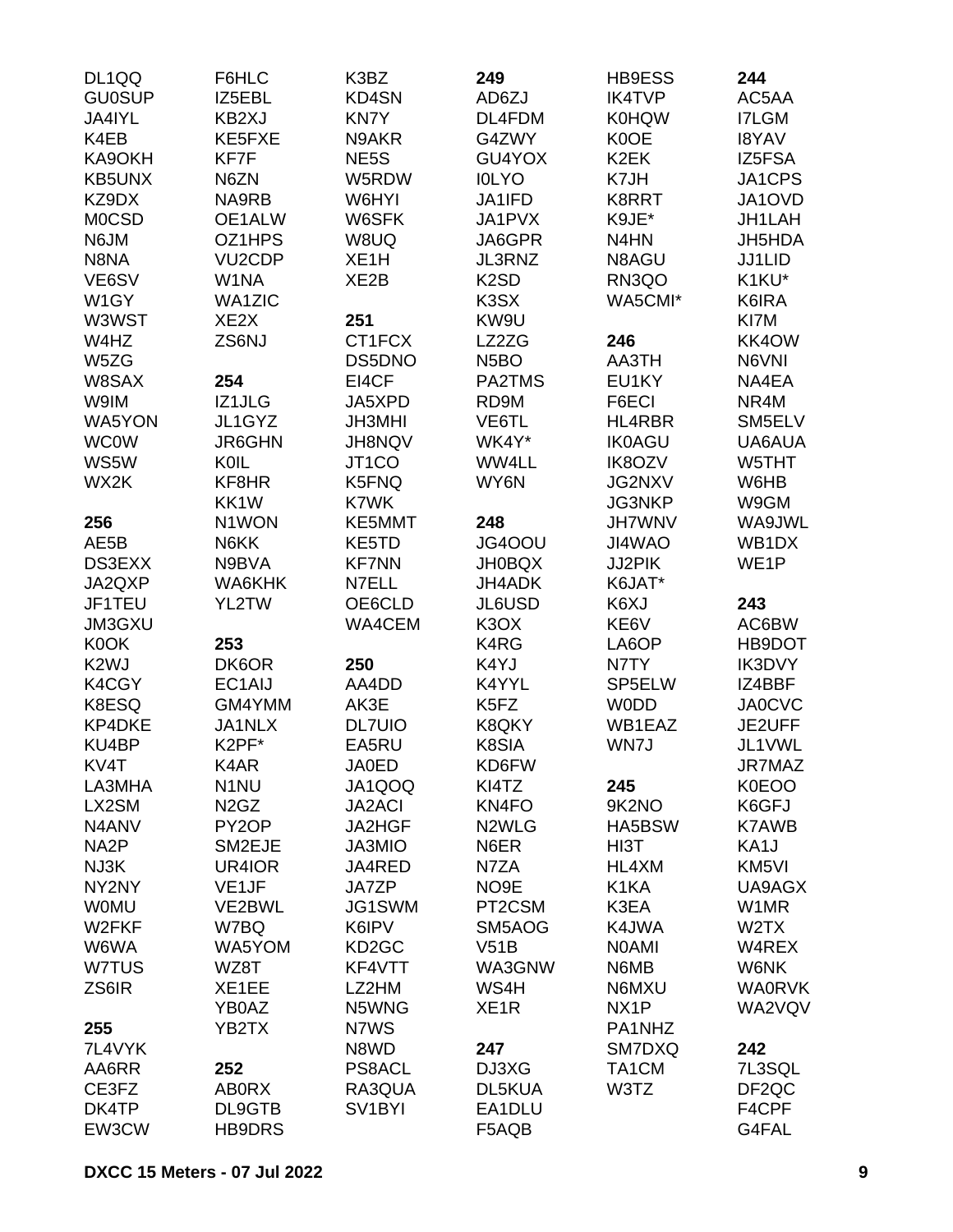| DL1QQ             | F6HLC                         | K3BZ                | 249                           | <b>HB9ESS</b>     | 244               |
|-------------------|-------------------------------|---------------------|-------------------------------|-------------------|-------------------|
| <b>GU0SUP</b>     | IZ5EBL                        | KD4SN               | AD6ZJ                         | <b>IK4TVP</b>     | AC5AA             |
| JA4IYL            | KB2XJ                         | KN7Y                | DL4FDM                        | <b>K0HQW</b>      | I7LGM             |
| K4EB              | KE5FXE                        | N9AKR               | G4ZWY                         | K0OE              | <b>I8YAV</b>      |
| KA9OKH            | KF7F                          | NE5S                | GU4YOX                        | K <sub>2</sub> EK | IZ5FSA            |
| <b>KB5UNX</b>     | N6ZN                          | W5RDW               | <b>IOLYO</b>                  | K7JH              | JA1CPS            |
| KZ9DX             | NA9RB                         | W6HYI               | JA1IFD                        | <b>K8RRT</b>      | JA1OVD            |
| <b>MOCSD</b>      | OE1ALW                        | W6SFK               | JA1PVX                        | K9JE*             | JH1LAH            |
| N6JM              | OZ1HPS                        | W8UQ                | JA6GPR                        | N4HN              | JH5HDA            |
| N8NA              | VU <sub>2</sub> CDP           | XE <sub>1</sub> H   | JL3RNZ                        | N8AGU             | JJ1LID            |
| VE6SV             | W1NA                          | XE <sub>2</sub> B   | K <sub>2</sub> SD             | RN3QO             | K1KU*             |
| W1GY              | <b>WA1ZIC</b>                 |                     | K3SX                          | WA5CMI*           | K6IRA             |
| W3WST             | XE <sub>2</sub> X             | 251                 | KW9U                          |                   | KI7M              |
| W4HZ              | ZS6NJ                         | CT1FCX              | LZ2ZG                         | 246               | KK4OW             |
| W5ZG              |                               | DS5DNO              | N <sub>5</sub> BO             | AA3TH             | N6VNI             |
| W8SAX             | 254                           | EI4CF               | PA2TMS                        | EU1KY             | NA4EA             |
| W9IM              | IZ1JLG                        | JA5XPD              | RD9M                          | F6ECI             | NR4M              |
| WA5YON            | JL1GYZ                        | <b>JH3MHI</b>       | VE6TL                         | HL4RBR            | SM5ELV            |
| <b>WC0W</b>       | <b>JR6GHN</b>                 | <b>JH8NQV</b>       | WK4Y*                         | <b>IK0AGU</b>     | UA6AUA            |
| WS5W              | KOIL                          | JT1CO               | WW4LL                         | <b>IK8OZV</b>     | W5THT             |
| WX2K              | KF8HR                         | K5FNQ               | WY6N                          | JG2NXV            | W6HB              |
|                   |                               |                     |                               |                   |                   |
|                   | KK1W                          | K7WK                |                               | <b>JG3NKP</b>     | W9GM              |
| 256               | N1WON                         | KE5MMT              | 248                           | <b>JH7WNV</b>     | WA9JWL            |
| AE5B              | N6KK                          | KE5TD               | JG4OOU                        | JI4WAO            | WB1DX             |
| DS3EXX            | N9BVA                         | <b>KF7NN</b>        | <b>JH0BQX</b>                 | JJ2PIK            | WE <sub>1</sub> P |
| JA2QXP            | WA6KHK                        | N7ELL               | <b>JH4ADK</b>                 | K6JAT*            |                   |
| JF1TEU            | YL2TW                         | OE6CLD              | JL6USD                        | K6XJ              | 243               |
| JM3GXU            |                               | WA4CEM              | K <sub>3</sub> OX             | KE6V              | AC6BW             |
| K0OK              | 253                           |                     | K4RG                          | LA6OP             | HB9DOT            |
| K <sub>2</sub> WJ | DK6OR                         | 250                 | K4YJ                          | N7TY              | IK3DVY            |
| K4CGY             | EC1AIJ                        | AA4DD               | K4YYL                         | SP5ELW            | IZ4BBF            |
| K8ESQ             | GM4YMM                        | AK3E                | K <sub>5</sub> F <sub>Z</sub> | <b>WODD</b>       | <b>JA0CVC</b>     |
| <b>KP4DKE</b>     | JA1NLX                        | <b>DL7UIO</b>       | K8QKY                         | WB1EAZ            | JE2UFF            |
| KU4BP             | K2PF*                         | EA5RU               | K8SIA                         | WN7J              | JL1VWL            |
| KV4T              | K4AR                          | <b>JA0ED</b>        | KD6FW                         |                   | JR7MAZ            |
| LA3MHA            | N <sub>1</sub> NU             | JA1QOQ              | KI4TZ                         | 245               | K0EOO             |
| LX2SM             | N <sub>2</sub> G <sub>Z</sub> | <b>JA2ACI</b>       | KN4FO                         | 9K2NO             | K6GFJ             |
| N4ANV             | PY2OP                         | JA2HGF              | N <sub>2</sub> WLG            | HA5BSW            | <b>K7AWB</b>      |
| NA <sub>2</sub> P | SM2EJE                        | JA3MIO              | N6ER                          | HI3T              | KA1J              |
| NJ3K              | UR4IOR                        | JA4RED              | N7ZA                          | HL4XM             | KM5VI             |
| NY2NY             | VE <sub>1JF</sub>             | JA7ZP               | NO <sub>9E</sub>              | K1KA              | UA9AGX            |
| <b>WOMU</b>       | VE2BWL                        | JG1SWM              | PT2CSM                        | K3EA              | W1MR              |
| W2FKF             | W7BQ                          | K6IPV               | SM5AOG                        | K4JWA             | W <sub>2</sub> TX |
| W6WA              | WA5YOM                        | KD <sub>2</sub> GC  | V51B                          | <b>NOAMI</b>      | W4REX             |
| W7TUS             | WZ8T                          | KF4VTT              | WA3GNW                        | N6MB              | W6NK              |
| ZS6IR             | XE1EE                         | LZ2HM               | WS4H                          | N6MXU             | <b>WA0RVK</b>     |
|                   | YB0AZ                         | N5WNG               | XE <sub>1</sub> R             | NX <sub>1</sub> P | WA2VQV            |
| 255               | YB2TX                         | N7WS                |                               | PA1NHZ            |                   |
| 7L4VYK            |                               | N8WD                | 247                           | SM7DXQ            | 242               |
| AA6RR             | 252                           | <b>PS8ACL</b>       | DJ3XG                         | TA1CM             | 7L3SQL            |
| CE3FZ             | <b>AB0RX</b>                  | RA3QUA              | DL5KUA                        | W3TZ              | DF <sub>2QC</sub> |
| DK4TP             | DL9GTB                        | SV <sub>1</sub> BYI | EA1DLU                        |                   | F4CPF             |
| EW3CW             | <b>HB9DRS</b>                 |                     | F5AQB                         |                   | G4FAL             |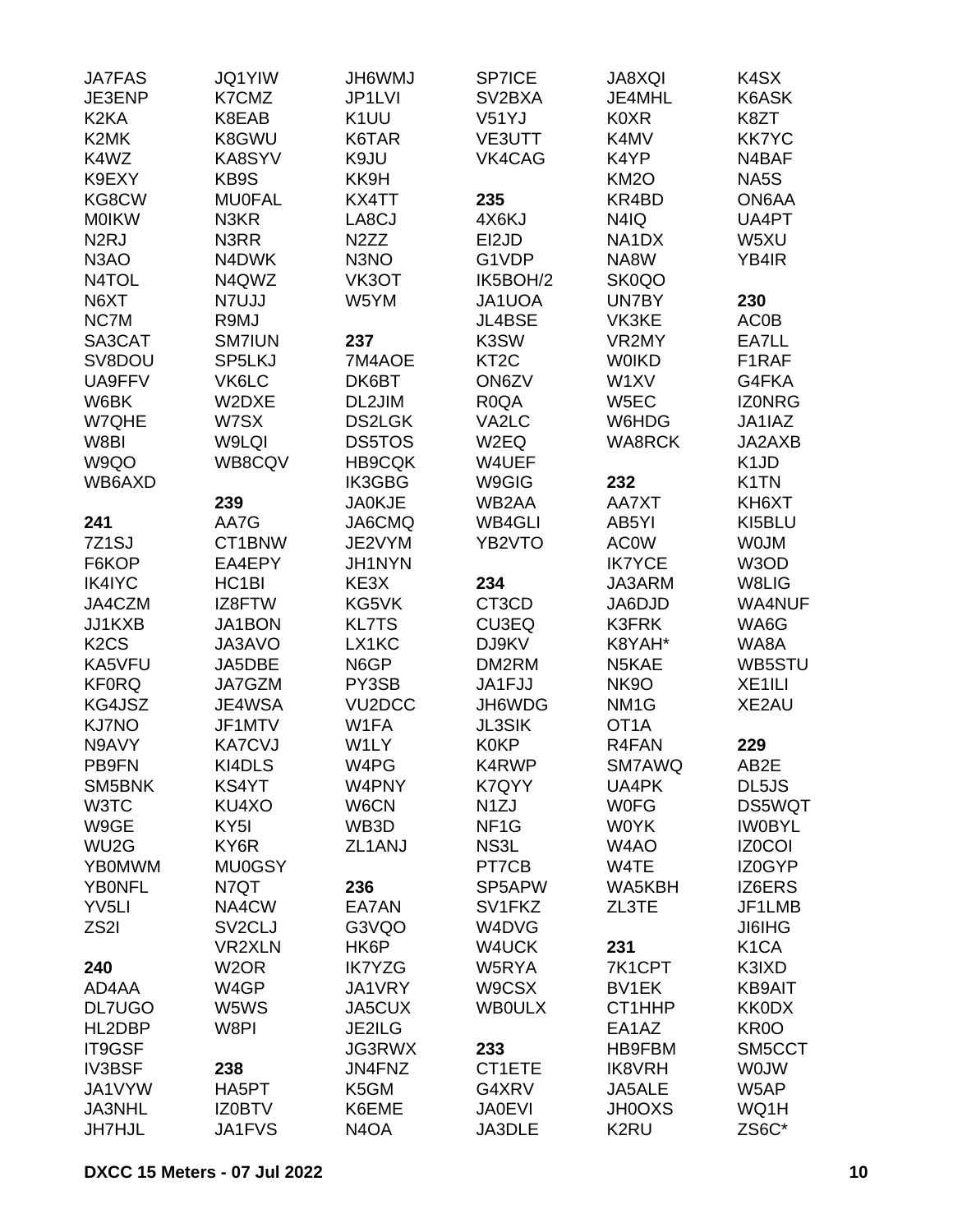| <b>JA7FAS</b>                 | <b>JQ1YIW</b>       | <b>JH6WMJ</b>                 | SP7ICE              | <b>JA8XQI</b>     | K4SX                          |
|-------------------------------|---------------------|-------------------------------|---------------------|-------------------|-------------------------------|
| JE3ENP                        | K7CMZ               | JP1LVI                        | SV <sub>2</sub> BXA | JE4MHL            | K6ASK                         |
| K <sub>2</sub> K <sub>A</sub> | K8EAB               | K <sub>1</sub> UU             | V51YJ               | <b>K0XR</b>       | K8ZT                          |
| K <sub>2</sub> MK             | K8GWU               | K6TAR                         | <b>VE3UTT</b>       | K4MV              | <b>KK7YC</b>                  |
| K4WZ                          | KA8SYV              | K9JU                          | VK4CAG              | K4YP              | N4BAF                         |
| K9EXY                         | KB9S                | KK9H                          |                     | <b>KM2O</b>       | NA5S                          |
| KG8CW                         | <b>MU0FAL</b>       | KX4TT                         | 235                 | KR4BD             | ON6AA                         |
|                               |                     |                               |                     |                   |                               |
| <b>MOIKW</b>                  | N3KR                | LA8CJ                         | 4X6KJ               | N4IQ              | UA4PT                         |
| N <sub>2</sub> RJ             | N3RR                | N <sub>2</sub> ZZ             | EI2JD               | NA1DX             | W5XU                          |
| N <sub>3</sub> AO             | N4DWK               | N3NO                          | G1VDP               | NA8W              | YB4IR                         |
| N4TOL                         | N4QWZ               | VK3OT                         | IK5BOH/2            | SK0QO             |                               |
| N6XT                          | N7UJJ               | W5YM                          | JA1UOA              | UN7BY             | 230                           |
| NC7M                          | R9MJ                |                               | <b>JL4BSE</b>       | VK3KE             | <b>AC0B</b>                   |
| SA3CAT                        | <b>SM7IUN</b>       | 237                           | K3SW                | VR2MY             | EA7LL                         |
| SV8DOU                        | SP5LKJ              | 7M4AOE                        | KT <sub>2</sub> C   | <b>WOIKD</b>      | F1RAF                         |
| UA9FFV                        | VK6LC               | DK6BT                         | ON6ZV               | W1XV              | G4FKA                         |
| W6BK                          | W2DXE               | DL2JIM                        | R <sub>0</sub> QA   | W <sub>5</sub> EC | <b>IZONRG</b>                 |
| W7QHE                         | W7SX                | <b>DS2LGK</b>                 | VA2LC               | W6HDG             | JA1IAZ                        |
| W8BI                          | W9LQI               | <b>DS5TOS</b>                 | W2EQ                | <b>WA8RCK</b>     | JA2AXB                        |
| W9QO                          | WB8CQV              | <b>HB9CQK</b>                 | W4UEF               |                   | K <sub>1</sub> J <sub>D</sub> |
| WB6AXD                        |                     | IK3GBG                        | W9GIG               | 232               | K1TN                          |
|                               | 239                 | <b>JA0KJE</b>                 | WB2AA               | AA7XT             | KH6XT                         |
| 241                           | AA7G                | JA6CMQ                        | <b>WB4GLI</b>       | AB5YI             | KI5BLU                        |
| 7Z1SJ                         | CT1BNW              | JE2VYM                        | YB2VTO              | <b>AC0W</b>       | <b>WOJM</b>                   |
| F6KOP                         | EA4EPY              | JH1NYN                        |                     | <b>IK7YCE</b>     | W3OD                          |
| <b>IK4IYC</b>                 | HC <sub>1</sub> BI  | KE3X                          | 234                 |                   | W8LIG                         |
|                               |                     |                               |                     | JA3ARM            |                               |
| JA4CZM                        | IZ8FTW              | KG5VK                         | CT3CD               | JA6DJD            | <b>WA4NUF</b>                 |
| JJ1KXB                        | JA1BON              | <b>KL7TS</b>                  | CU3EQ               | <b>K3FRK</b>      | WA6G                          |
| K <sub>2</sub> C <sub>S</sub> | JA3AVO              | LX1KC                         | DJ9KV               | K8YAH*            | WA8A                          |
| KA5VFU                        | JA5DBE              | N6GP                          | DM2RM               | N5KAE             | WB5STU                        |
| <b>KF0RQ</b>                  | JA7GZM              | PY3SB                         | JA1FJJ              | <b>NK9O</b>       | XE <sub>1ILI</sub>            |
| KG4JSZ                        | JE4WSA              | VU <sub>2</sub> DCC           | JH6WDG              | NM <sub>1</sub> G | XE2AU                         |
| KJ7NO                         | JF1MTV              | W1FA                          | <b>JL3SIK</b>       | OT <sub>1</sub> A |                               |
| N9AVY                         | <b>KA7CVJ</b>       | W1LY                          | <b>K0KP</b>         | R4FAN             | 229                           |
| PB9FN                         | KI4DLS              | W4PG                          | K4RWP               | SM7AWQ            | AB2E                          |
| SM5BNK                        | KS4YT               | W4PNY                         | K7QYY               | UA4PK             | DL5JS                         |
| W3TC                          | KU4XO               | W6CN                          | N <sub>1</sub> ZJ   | <b>WOFG</b>       | DS5WQT                        |
| W9GE                          | KY <sub>5</sub> I   | WB3D                          | NF <sub>1</sub> G   | <b>WOYK</b>       | <b>IWOBYL</b>                 |
| WU <sub>2</sub> G             | KY6R                | ZL1ANJ                        | NS3L                | W <sub>4</sub> AO | <b>IZ0COI</b>                 |
| <b>YBOMWM</b>                 | <b>MU0GSY</b>       |                               | PT7CB               | W4TE              | IZ0GYP                        |
| <b>YBONFL</b>                 | N7QT                | 236                           | SP5APW              | WA5KBH            | IZ6ERS                        |
| YV <sub>5LI</sub>             | NA4CW               | EA7AN                         | SV1FKZ              | ZL3TE             | JF1LMB                        |
| ZS2I                          | SV <sub>2</sub> CLJ | G3VQO                         | W4DVG               |                   | <b>JI6IHG</b>                 |
|                               | <b>VR2XLN</b>       | HK6P                          | W4UCK               | 231               | K <sub>1</sub> CA             |
| 240                           | W <sub>2</sub> OR   | <b>IK7YZG</b>                 | W5RYA               | 7K1CPT            | K3IXD                         |
| AD4AA                         | W4GP                | JA1VRY                        | W9CSX               | BV1EK             | <b>KB9AIT</b>                 |
|                               |                     |                               |                     |                   |                               |
| <b>DL7UGO</b>                 | W5WS                | JA5CUX                        | <b>WBOULX</b>       | CT1HHP            | <b>KK0DX</b>                  |
| HL2DBP                        | W8PI                | JE2ILG                        |                     | EA1AZ             | KR <sub>0</sub> O             |
| IT9GSF                        |                     | <b>JG3RWX</b>                 | 233                 | HB9FBM            | SM5CCT                        |
| <b>IV3BSF</b>                 | 238                 | JN4FNZ                        | CT1ETE              | <b>IK8VRH</b>     | <b>WOJW</b>                   |
| JA1VYW                        | HA5PT               | K5GM                          | G4XRV               | JA5ALE            | W5AP                          |
| JA3NHL                        | <b>IZ0BTV</b>       | K6EME                         | <b>JA0EVI</b>       | <b>JH0OXS</b>     | WQ1H                          |
| <b>JH7HJL</b>                 | JA1FVS              | N <sub>4</sub> O <sub>A</sub> | JA3DLE              | K2RU              | ZS6C*                         |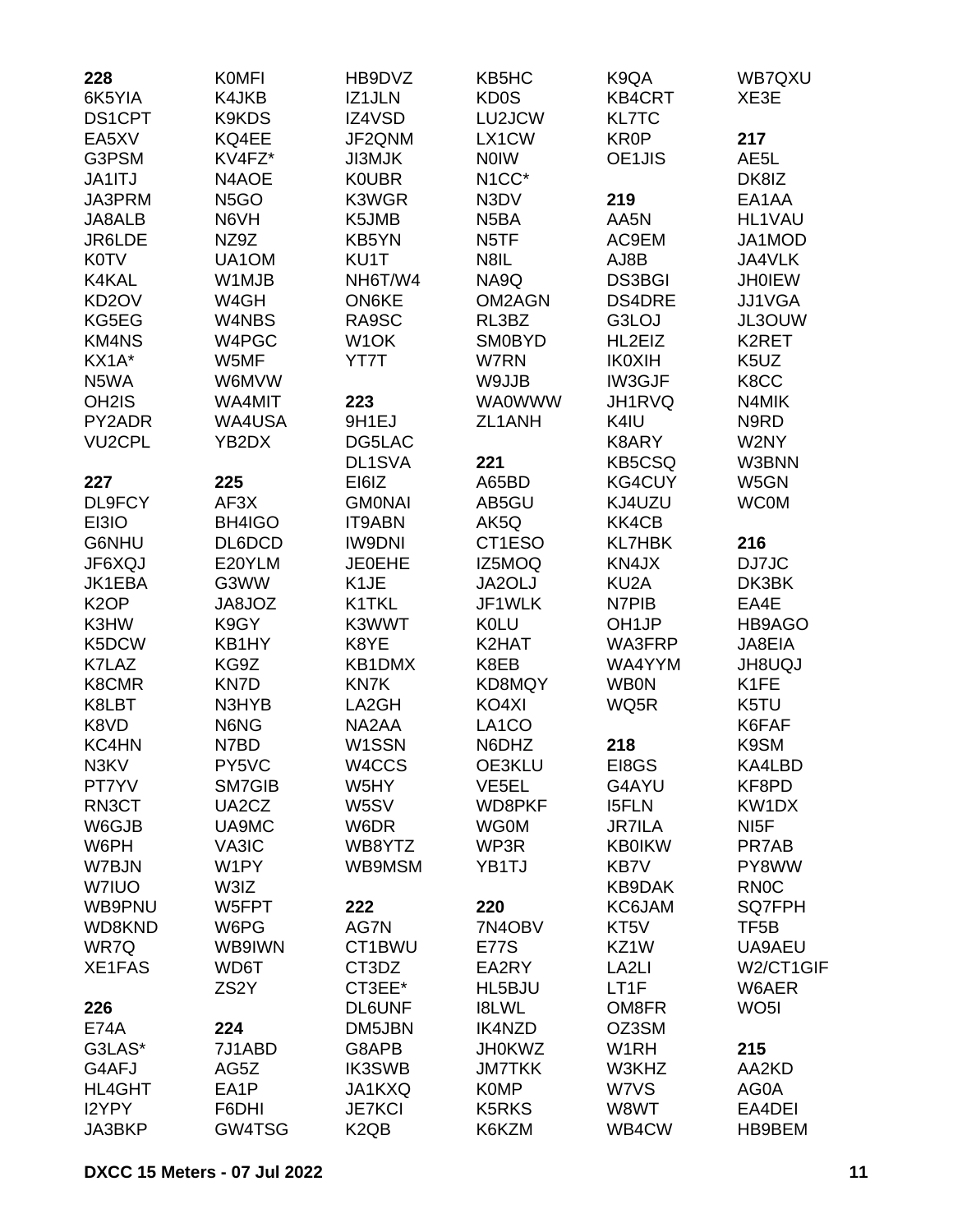| 228                | <b>KOMFI</b>      | HB9DVZ                        | KB5HC              | K9QA              | WB7QXU            |
|--------------------|-------------------|-------------------------------|--------------------|-------------------|-------------------|
| 6K5YIA             | K4JKB             | IZ1JLN                        | <b>KD0S</b>        | <b>KB4CRT</b>     | XE3E              |
| <b>DS1CPT</b>      | K9KDS             | IZ4VSD                        | LU2JCW             | <b>KL7TC</b>      |                   |
| EA5XV              | KQ4EE             | JF2QNM                        | LX1CW              | <b>KR0P</b>       | 217               |
| G3PSM              | KV4FZ*            | <b>JI3MJK</b>                 | <b>NOIW</b>        | OE1JIS            | AE <sub>5</sub> L |
| JA1ITJ             | N4AOE             | <b>KOUBR</b>                  | N <sub>1</sub> CC* |                   | DK8IZ             |
| JA3PRM             | N <sub>5</sub> GO | K3WGR                         | N3DV               | 219               | EA1AA             |
| JA8ALB             | N6VH              | K5JMB                         | N <sub>5</sub> BA  | AA5N              | HL1VAU            |
| JR6LDE             | NZ9Z              | KB5YN                         | N <sub>5</sub> TF  | AC9EM             | JA1MOD            |
| <b>K0TV</b>        | UA1OM             | KU1T                          | N8IL               | AJ8B              | JA4VLK            |
| K4KAL              | W1MJB             | NH6T/W4                       | NA9Q               | <b>DS3BGI</b>     | <b>JH0IEW</b>     |
| KD <sub>2</sub> OV | W4GH              | <b>ON6KE</b>                  | OM2AGN             | <b>DS4DRE</b>     | <b>JJ1VGA</b>     |
| KG5EG              | W4NBS             | RA9SC                         | RL3BZ              | G3LOJ             | JL3OUW            |
| <b>KM4NS</b>       | W4PGC             | W <sub>1</sub> OK             | <b>SM0BYD</b>      | HL2EIZ            | K2RET             |
| KX1A*              | W5MF              | YT7T                          | W7RN               | <b>IK0XIH</b>     | K <sub>5</sub> UZ |
| N5WA               | W6MVW             |                               | W9JJB              | IW3GJF            | K8CC              |
| OH <sub>2</sub> IS | WA4MIT            | 223                           | <b>WA0WWW</b>      | JH1RVQ            | N4MIK             |
| PY2ADR             | WA4USA            | 9H1EJ                         | ZL1ANH             | K4IU              | N9RD              |
| <b>VU2CPL</b>      | YB2DX             | DG5LAC                        |                    | K8ARY             | W2NY              |
|                    |                   | DL1SVA                        | 221                | <b>KB5CSQ</b>     | W3BNN             |
| 227                | 225               | EI6IZ                         | A65BD              | KG4CUY            | W5GN              |
| DL9FCY             | AF3X              | <b>GMONAI</b>                 | AB5GU              | KJ4UZU            | <b>WC0M</b>       |
| EI3IO              | BH4IGO            | <b>IT9ABN</b>                 | AK5Q               | KK4CB             |                   |
| G6NHU              | DL6DCD            | <b>IW9DNI</b>                 | CT1ESO             | <b>KL7HBK</b>     | 216               |
| JF6XQJ             | E20YLM            | <b>JE0EHE</b>                 | IZ5MOQ             | KN4JX             | DJ7JC             |
| JK1EBA             | G3WW              | K <sub>1</sub> JE             | JA2OLJ             | KU <sub>2</sub> A | DK3BK             |
| K <sub>2</sub> OP  | JA8JOZ            | K1TKL                         | JF1WLK             | N7PIB             | EA4E              |
| K3HW               | K9GY              | K3WWT                         | <b>K0LU</b>        | OH <sub>1JP</sub> | HB9AGO            |
| K5DCW              | KB1HY             | K8YE                          | K2HAT              | WA3FRP            | JA8EIA            |
| K7LAZ              | KG9Z              | KB1DMX                        | K8EB               | WA4YYM            | <b>JH8UQJ</b>     |
| K8CMR              | KN7D              | KN7K                          | KD8MQY             | <b>WB0N</b>       | K1FE              |
| K8LBT              | N3HYB             | LA2GH                         | KO4XI              | WQ5R              | K5TU              |
| K8VD               | N6NG              | NA2AA                         | LA <sub>1</sub> CO |                   | K6FAF             |
| KC4HN              | N7BD              | W1SSN                         | N6DHZ              | 218               | K9SM              |
| N3KV               | PY5VC             | W4CCS                         | OE3KLU             | EI8GS             | KA4LBD            |
| PT7YV              | SM7GIB            | W5HY                          | VE5EL              | G4AYU             | KF8PD             |
| RN3CT              | UA2CZ             | W5SV                          | WD8PKF             | <b>I5FLN</b>      | KW1DX             |
| W6GJB              | UA9MC             | W6DR                          | <b>WG0M</b>        | <b>JR7ILA</b>     | NI <sub>5</sub> F |
| W6PH               | VA3IC             | WB8YTZ                        | WP3R               | <b>KB0IKW</b>     | PR7AB             |
| W7BJN              | W1PY              | WB9MSM                        | YB1TJ              | <b>KB7V</b>       | PY8WW             |
| W7IUO              | W3IZ              |                               |                    | KB9DAK            | <b>RN0C</b>       |
| WB9PNU             | W5FPT             | 222                           | 220                | KC6JAM            | <b>SQ7FPH</b>     |
| WD8KND             | W6PG              | AG7N                          | 7N4OBV             | KT5V              | TF <sub>5</sub> B |
| WR7Q               | WB9IWN            | CT1BWU                        | <b>E77S</b>        | KZ1W              | UA9AEU            |
| XE1FAS             | WD6T              | CT3DZ                         | EA2RY              | LA <sub>2LI</sub> | W2/CT1GIF         |
|                    | ZS <sub>2</sub> Y | CT3EE*                        | HL5BJU             | LT1F              | W6AER             |
| 226                |                   | <b>DL6UNF</b>                 | <b>I8LWL</b>       | OM8FR             | WO <sub>5</sub> I |
| <b>E74A</b>        | 224               | DM5JBN                        | <b>IK4NZD</b>      | OZ3SM             |                   |
| G3LAS*             | 7J1ABD            | G8APB                         | <b>JH0KWZ</b>      | W <sub>1</sub> RH | 215               |
| G4AFJ              | AG5Z              | <b>IK3SWB</b>                 | <b>JM7TKK</b>      | W3KHZ             | AA2KD             |
| HL4GHT             | EA1P              | JA1KXQ                        | <b>K0MP</b>        | W7VS              | AG0A              |
| I2YPY              | F6DHI             | <b>JE7KCI</b>                 | <b>K5RKS</b>       | W8WT              | EA4DEI            |
| JA3BKP             | GW4TSG            | K <sub>2</sub> Q <sub>B</sub> | K6KZM              | WB4CW             | HB9BEM            |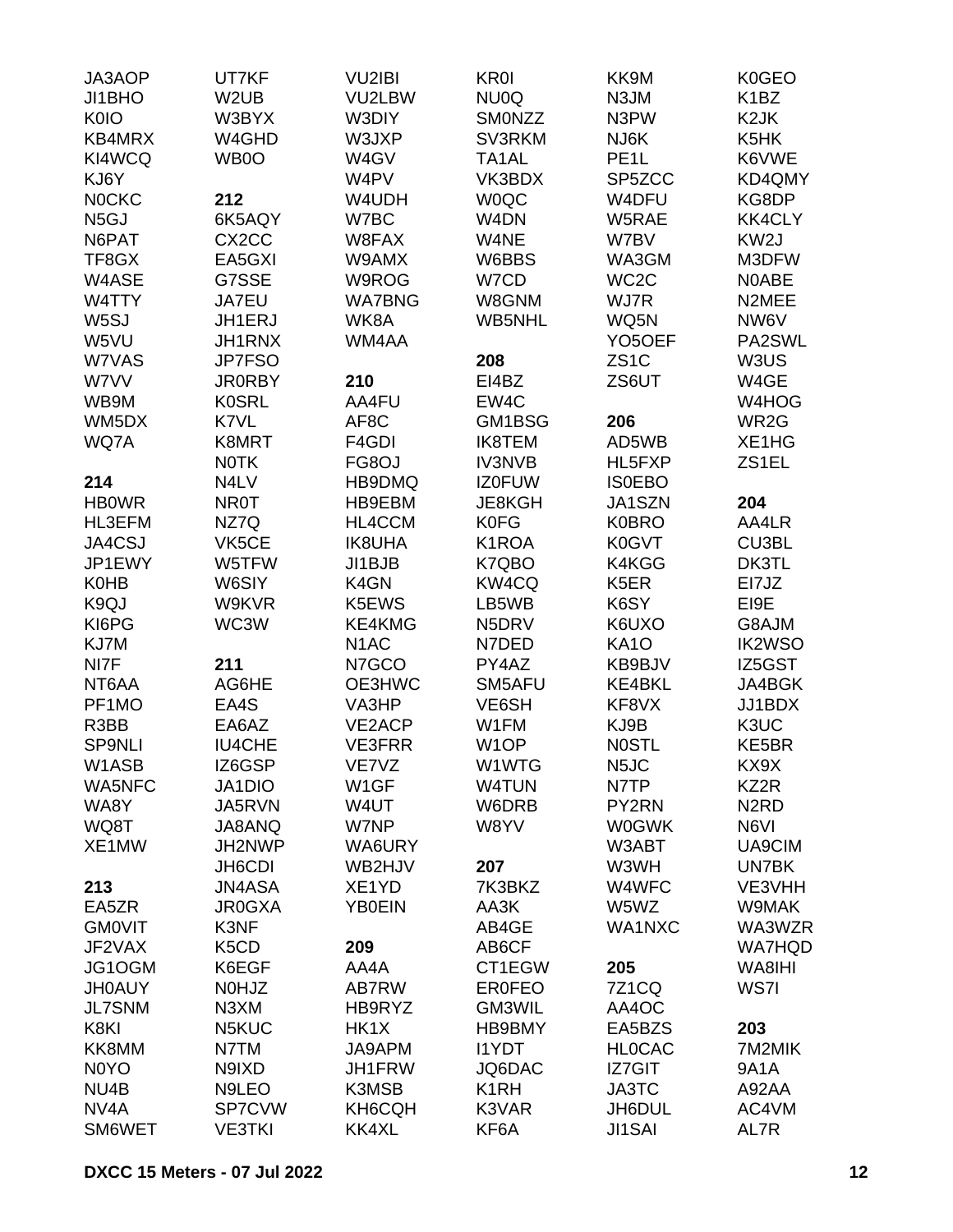| JA3AOP                        | UT7KF                         | <b>VU2IBI</b>     | <b>KR0I</b>       | KK9M                | <b>K0GEO</b>                  |
|-------------------------------|-------------------------------|-------------------|-------------------|---------------------|-------------------------------|
| JI1BHO                        | W <sub>2</sub> UB             | VU2LBW            | NU0Q              | N3JM                | K <sub>1</sub> BZ             |
| <b>K0IO</b>                   | W3BYX                         | W3DIY             | <b>SMONZZ</b>     | N3PW                | K <sub>2</sub> JK             |
| KB4MRX                        | W4GHD                         | W3JXP             | SV3RKM            | NJ6K                | K5HK                          |
| KI4WCQ                        | WB0O                          | W4GV              | TA1AL             | PE <sub>1</sub> L   | K6VWE                         |
| KJ6Y                          |                               | W4PV              | VK3BDX            | SP5ZCC              | KD4QMY                        |
| <b>NOCKC</b>                  | 212                           | W4UDH             | <b>WOQC</b>       | W4DFU               | KG8DP                         |
| N <sub>5</sub> GJ             | 6K5AQY                        | W7BC              | W <sub>4</sub> DN | W5RAE               | <b>KK4CLY</b>                 |
| N6PAT                         | CX <sub>2</sub> CC            | W8FAX             | W4NE              | W7BV                | KW <sub>2</sub> J             |
| TF8GX                         | EA5GXI                        | W9AMX             | W6BBS             | WA3GM               | M3DFW                         |
| W4ASE                         | G7SSE                         | W9ROG             | W7CD              | WC <sub>2</sub> C   | <b>NOABE</b>                  |
| W4TTY                         | JA7EU                         | <b>WA7BNG</b>     | W8GNM             | WJ7R                | N2MEE                         |
| W5SJ                          | JH1ERJ                        | WK8A              | WB5NHL            | WQ5N                | NW6V                          |
| W5VU                          | <b>JH1RNX</b>                 | WM4AA             |                   | YO <sub>5</sub> OEF | PA2SWL                        |
| W7VAS                         | <b>JP7FSO</b>                 |                   | 208               | ZS <sub>1</sub> C   | W3US                          |
|                               | <b>JR0RBY</b>                 | 210               | EI4BZ             |                     |                               |
| W7VV                          |                               |                   |                   | ZS6UT               | W4GE                          |
| WB9M                          | <b>K0SRL</b>                  | AA4FU             | EW4C              |                     | W4HOG                         |
| WM5DX                         | K7VL                          | AF8C              | GM1BSG            | 206                 | WR2G                          |
| WQ7A                          | K8MRT                         | F4GDI             | <b>IK8TEM</b>     | AD5WB               | XE1HG                         |
|                               | <b>NOTK</b>                   | FG8OJ             | <b>IV3NVB</b>     | HL5FXP              | ZS1EL                         |
| 214                           | N4LV                          | HB9DMQ            | <b>IZ0FUW</b>     | <b>ISOEBO</b>       |                               |
| <b>HB0WR</b>                  | <b>NR0T</b>                   | HB9EBM            | JE8KGH            | JA1SZN              | 204                           |
| HL3EFM                        | NZ7Q                          | HL4CCM            | <b>K0FG</b>       | <b>K0BRO</b>        | AA4LR                         |
| JA4CSJ                        | VK5CE                         | <b>IK8UHA</b>     | K1ROA             | K0GVT               | CU3BL                         |
| JP1EWY                        | W5TFW                         | JI1BJB            | K7QBO             | K4KGG               | DK3TL                         |
| <b>K0HB</b>                   | W6SIY                         | K4GN              | KW4CQ             | K <sub>5</sub> ER   | EI7JZ                         |
| K9QJ                          | W9KVR                         | K5EWS             | LB5WB             | K6SY                | EI9E                          |
| KI6PG                         | WC3W                          | KE4KMG            | N5DRV             | K6UXO               | G8AJM                         |
| KJ7M                          |                               | N <sub>1</sub> AC | N7DED             | <b>KA10</b>         | <b>IK2WSO</b>                 |
| NI7F                          | 211                           | N7GCO             | PY4AZ             | KB9BJV              | IZ5GST                        |
| NT6AA                         | AG6HE                         | OE3HWC            | SM5AFU            | <b>KE4BKL</b>       | JA4BGK                        |
| PF1MO                         | EA4S                          | VA3HP             | VE6SH             | KF8VX               | JJ1BDX                        |
| R3BB                          | EA6AZ                         | VE2ACP            | W1FM              | KJ9B                | K3UC                          |
| <b>SP9NLI</b>                 | <b>IU4CHE</b>                 | <b>VE3FRR</b>     | W <sub>1</sub> OP | <b>NOSTL</b>        | KE5BR                         |
| W1ASB                         | IZ6GSP                        | VE7VZ             | W1WTG             | N <sub>5</sub> JC   | KX9X                          |
| WA5NFC                        | JA1DIO                        | W <sub>1</sub> GF | <b>W4TUN</b>      | N7TP                | KZ2R                          |
| WA8Y                          | JA5RVN                        | W4UT              | W6DRB             | PY2RN               | N <sub>2</sub> R <sub>D</sub> |
| WQ8T                          | JA8ANQ                        | W7NP              | W8YV              | <b>W0GWK</b>        | N6VI                          |
| XE1MW                         | JH2NWP                        | WA6URY            |                   | W3ABT               | UA9CIM                        |
|                               | JH6CDI                        | WB2HJV            | 207               | W3WH                | UN7BK                         |
| 213                           | <b>JN4ASA</b>                 | XE1YD             | 7K3BKZ            | W4WFC               | VE3VHH                        |
| EA5ZR                         | <b>JR0GXA</b>                 | <b>YB0EIN</b>     | AA3K              | W5WZ                | W9MAK                         |
| <b>GMOVIT</b>                 | K3NF                          |                   | AB4GE             | WA1NXC              | WA3WZR                        |
| JF2VAX                        | K <sub>5</sub> C <sub>D</sub> | 209               | AB6CF             |                     | <b>WA7HQD</b>                 |
| JG1OGM                        | K6EGF                         | AA4A              | CT1EGW            | 205                 | WA8IHI                        |
| <b>JH0AUY</b>                 | N0HJZ                         | AB7RW             | <b>ER0FEO</b>     | <b>7Z1CQ</b>        | WS7I                          |
|                               |                               |                   |                   |                     |                               |
| <b>JL7SNM</b>                 | N3XM                          | HB9RYZ            | GM3WIL            | AA4OC               |                               |
| K8KI                          | N5KUC                         | HK1X              | HB9BMY            | EA5BZS              | 203                           |
| KK8MM                         | N7TM                          | JA9APM            | <b>I1YDT</b>      | <b>HLOCAC</b>       | 7M2MIK                        |
| N <sub>0</sub> Y <sub>O</sub> | N9IXD                         | JH1FRW            | JQ6DAC            | IZ7GIT              | <b>9A1A</b>                   |
| NU4B                          | N9LEO                         | K3MSB             | K <sub>1</sub> RH | JA3TC               | A92AA                         |
| NV <sub>4</sub> A             | SP7CVW                        | KH6CQH            | K3VAR             | JH6DUL              | AC4VM                         |
| SM6WET                        | <b>VE3TKI</b>                 | KK4XL             | KF6A              | <b>JI1SAI</b>       | AL7R                          |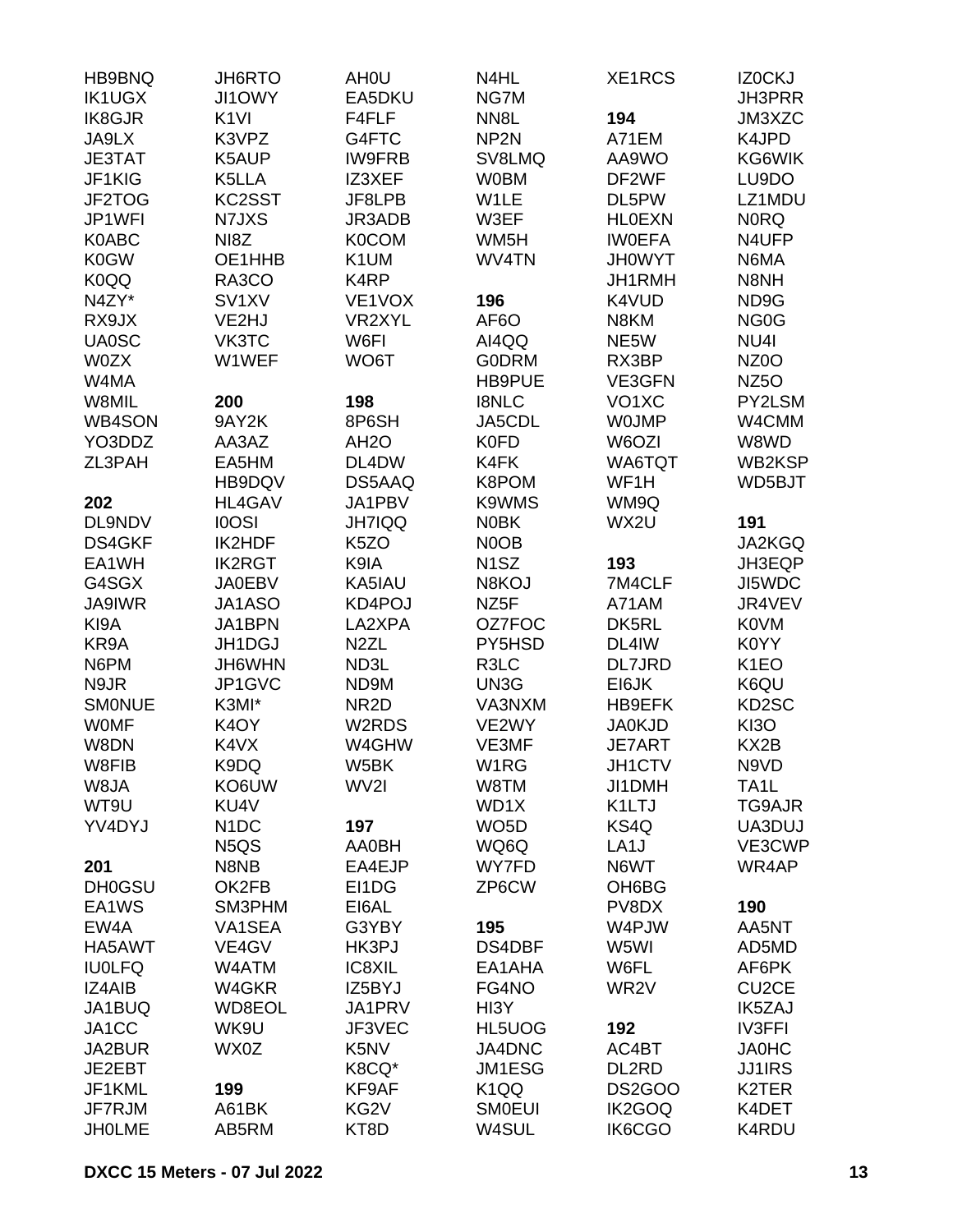| HB9BNQ        | <b>JH6RTO</b>                 | AH <sub>0</sub> U | N4HL              | XE1RCS             | IZ0CKJ             |
|---------------|-------------------------------|-------------------|-------------------|--------------------|--------------------|
| <b>IK1UGX</b> | <b>JI1OWY</b>                 | EA5DKU            | NG7M              |                    | <b>JH3PRR</b>      |
| <b>IK8GJR</b> | K <sub>1VI</sub>              | F4FLF             | NN <sub>8</sub> L | 194                | JM3XZC             |
| JA9LX         | K3VPZ                         | G4FTC             | NP <sub>2N</sub>  | A71EM              | K4JPD              |
| <b>JE3TAT</b> | K5AUP                         | <b>IW9FRB</b>     | SV8LMQ            | AA9WO              | KG6WIK             |
| JF1KIG        | K5LLA                         | IZ3XEF            | <b>W0BM</b>       | DF2WF              | LU9DO              |
| JF2TOG        | KC2SST                        | JF8LPB            | W1LE              | DL5PW              | LZ1MDU             |
| JP1WFI        | N7JXS                         | JR3ADB            | W3EF              | <b>HLOEXN</b>      | <b>NORQ</b>        |
| K0ABC         | NI <sub>8</sub> Z             | <b>K0COM</b>      | WM <sub>5</sub> H | <b>IWOEFA</b>      | N4UFP              |
| <b>K0GW</b>   | OE1HHB                        | K1UM              | WV4TN             | <b>JH0WYT</b>      | N6MA               |
| <b>K0QQ</b>   | RA3CO                         | K4RP              |                   | JH1RMH             | N8NH               |
| N4ZY*         | SV <sub>1</sub> XV            | VE1VOX            | 196               | K4VUD              | ND9G               |
| RX9JX         | VE2HJ                         | VR2XYL            | AF6O              | N8KM               | NG <sub>0</sub> G  |
| <b>UA0SC</b>  | VK3TC                         | W6FI              | AI4QQ             | NE5W               | NU4I               |
| <b>W0ZX</b>   | W1WEF                         | WO6T              | <b>G0DRM</b>      | RX3BP              | NZ0O               |
| W4MA          |                               |                   | HB9PUE            | VE3GFN             | NZ <sub>50</sub>   |
| W8MIL         | 200                           | 198               | <b>I8NLC</b>      | VO <sub>1</sub> XC | PY2LSM             |
| <b>WB4SON</b> | 9AY2K                         | 8P6SH             | JA5CDL            | <b>WOJMP</b>       | W4CMM              |
| YO3DDZ        | AA3AZ                         | AH <sub>2</sub> O | <b>K0FD</b>       | W6OZI              | W8WD               |
| ZL3PAH        | EA5HM                         | DL4DW             | K4FK              | WA6TQT             | WB2KSP             |
|               | HB9DQV                        | DS5AAQ            | K8POM             | WF1H               | WD5BJT             |
|               | HL4GAV                        | JA1PBV            |                   | WM9Q               |                    |
| 202           |                               |                   | K9WMS             |                    |                    |
| DL9NDV        | <b>IOOSI</b>                  | <b>JH7IQQ</b>     | <b>N0BK</b>       | WX2U               | 191                |
| <b>DS4GKF</b> | IK2HDF                        | K <sub>5</sub> ZO | N0OB              |                    | JA2KGQ             |
| EA1WH         | <b>IK2RGT</b>                 | K9IA              | N <sub>1</sub> SZ | 193                | JH3EQP             |
| G4SGX         | <b>JA0EBV</b>                 | KA5IAU            | N8KOJ             | 7M4CLF             | JI5WDC             |
| <b>JA9IWR</b> | JA1ASO                        | KD4POJ            | NZ <sub>5</sub> F | A71AM              | JR4VEV             |
| KI9A          | JA1BPN                        | LA2XPA            | OZ7FOC            | DK5RL              | <b>K0VM</b>        |
| KR9A          | JH1DGJ                        | N <sub>2</sub> ZL | PY5HSD            | DL4IW              | K0YY               |
| N6PM          | JH6WHN                        | ND3L              | R3LC              | DL7JRD             | K <sub>1</sub> EO  |
| N9JR          | JP1GVC                        | ND9M              | UN3G              | EI6JK              | K6QU               |
| <b>SMONUE</b> | K3MI*                         | NR <sub>2</sub> D | VA3NXM            | HB9EFK             | KD2SC              |
| <b>WOMF</b>   | K <sub>4</sub> OY             | W2RDS             | VE2WY             | <b>JA0KJD</b>      | <b>KI3O</b>        |
| W8DN          | K4VX                          | W4GHW             | VE3MF             | <b>JE7ART</b>      | KX2B               |
| W8FIB         | K9DQ                          | W5BK              | W1RG              | JH1CTV             | N9VD               |
| W8JA          | KO6UW                         | WV2I              | W8TM              | JI1DMH             | TA1L               |
| WT9U          | KU4V                          |                   | WD1X              | K1LTJ              | TG9AJR             |
| YV4DYJ        | N <sub>1</sub> DC             | 197               | WO <sub>5</sub> D | KS4Q               | UA3DUJ             |
|               | N <sub>5</sub> Q <sub>S</sub> | AA0BH             | WQ6Q              | LA <sub>1</sub> J  | VE3CWP             |
| 201           | N8NB                          | EA4EJP            | WY7FD             | N6WT               | WR4AP              |
| <b>DH0GSU</b> | OK2FB                         | EI1DG             | ZP6CW             | OH6BG              |                    |
| EA1WS         | SM3PHM                        | EI6AL             |                   | PV8DX              | 190                |
| EW4A          | VA1SEA                        | G3YBY             | 195               | W4PJW              | AA5NT              |
| HA5AWT        | VE4GV                         | HK3PJ             | DS4DBF            | W5WI               | AD5MD              |
| <b>IU0LFQ</b> | W4ATM                         | IC8XIL            | EA1AHA            | W6FL               | AF6PK              |
| IZ4AIB        | W4GKR                         | IZ5BYJ            | FG4NO             | WR <sub>2</sub> V  | CU <sub>2</sub> CE |
| JA1BUQ        | WD8EOL                        | JA1PRV            | HI3Y              |                    | <b>IK5ZAJ</b>      |
| JA1CC         | WK9U                          | JF3VEC            | HL5UOG            | 192                | <b>IV3FFI</b>      |
| JA2BUR        | WX0Z                          | K5NV              | JA4DNC            | AC4BT              | <b>JA0HC</b>       |
| JE2EBT        |                               | K8CQ*             | JM1ESG            | DL2RD              | <b>JJ1IRS</b>      |
| JF1KML        | 199                           | KF9AF             | K <sub>1</sub> QQ | <b>DS2GOO</b>      | K2TER              |
| JF7RJM        | A61BK                         | KG <sub>2</sub> V | <b>SMOEUI</b>     | IK2GOQ             | K4DET              |
| <b>JHOLME</b> | AB5RM                         | KT8D              | W4SUL             | IK6CGO             | K4RDU              |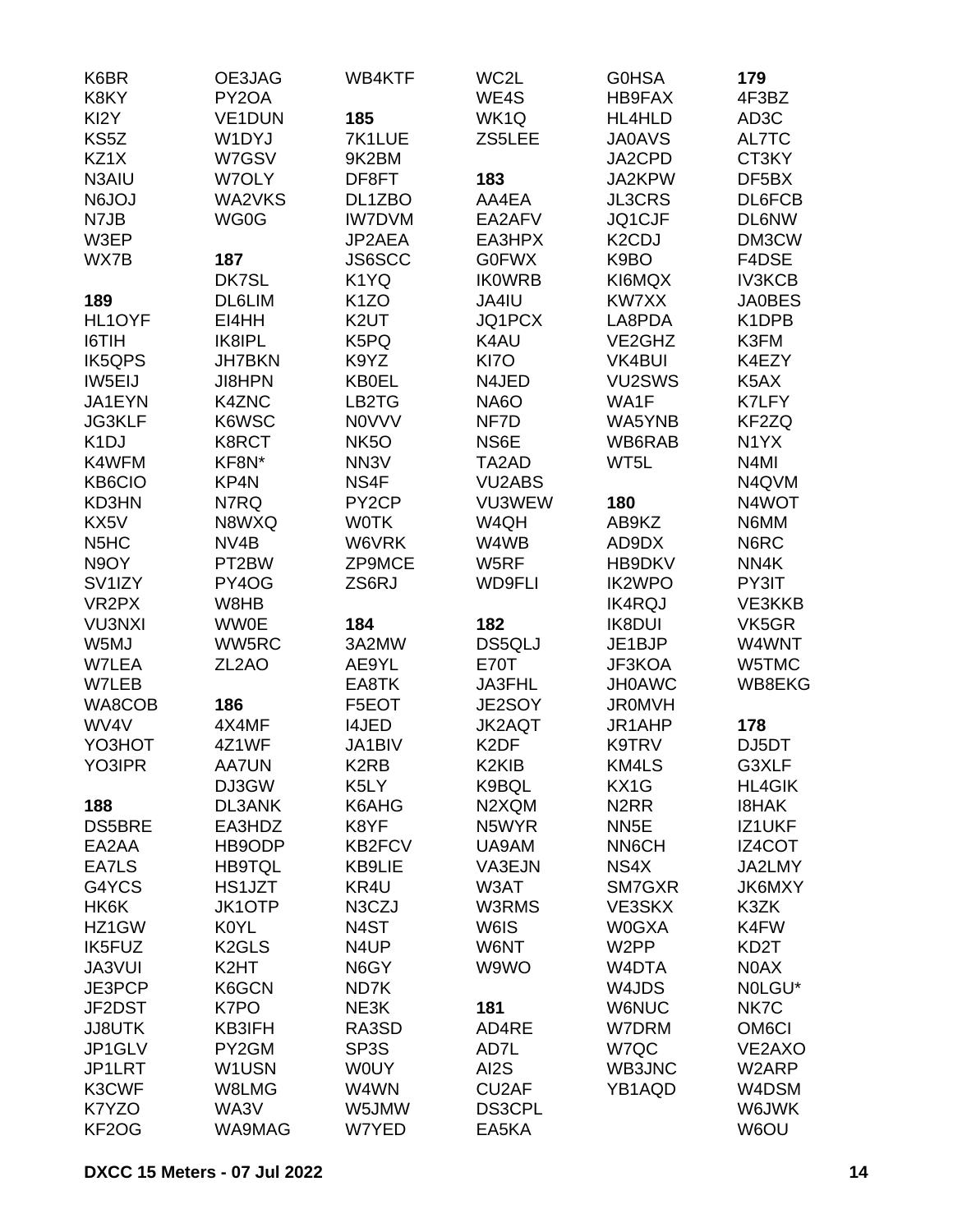| K6BR                          | OE3JAG             | WB4KTF             | WC2L               | <b>GOHSA</b>                    | 179                |
|-------------------------------|--------------------|--------------------|--------------------|---------------------------------|--------------------|
| K8KY                          | PY2OA              |                    | WE4S               | HB9FAX                          | 4F3BZ              |
| KI2Y                          | VE1DUN             | 185                | WK1Q               | HL4HLD                          | AD3C               |
| KS5Z                          | W1DYJ              | 7K1LUE             | ZS5LEE             | <b>JA0AVS</b>                   | AL7TC              |
| KZ1X                          | W7GSV              | 9K2BM              |                    | JA2CPD                          | CT3KY              |
| N3AIU                         | W7OLY              | DF8FT              | 183                | JA2KPW                          | DF5BX              |
| <b>N6JOJ</b>                  | WA2VKS             | DL1ZBO             | AA4EA              | <b>JL3CRS</b>                   | DL6FCB             |
| N7JB                          | WG0G               | <b>IW7DVM</b>      | EA2AFV             | JQ1CJF                          | <b>DL6NW</b>       |
| W3EP                          |                    | JP2AEA             | EA3HPX             | K <sub>2</sub> C <sub>D</sub> J | DM3CW              |
| WX7B                          | 187                | JS6SCC             | <b>G0FWX</b>       | K9BO                            | F4DSE              |
|                               | DK7SL              | K1YQ               | <b>IKOWRB</b>      | KI6MQX                          | <b>IV3KCB</b>      |
| 189                           | <b>DL6LIM</b>      | K <sub>1</sub> ZO  | JA4IU              | KW7XX                           | <b>JA0BES</b>      |
| HL1OYF                        | EI4HH              | K <sub>2</sub> UT  | JQ1PCX             | LA8PDA                          | K1DPB              |
| I6TIH                         | IK8IPL             | K5PQ               | K4AU               | VE2GHZ                          | K3FM               |
| <b>IK5QPS</b>                 | <b>JH7BKN</b>      | K9YZ               | KI7O               | <b>VK4BUI</b>                   | K4EZY              |
| IW5EIJ                        | <b>JI8HPN</b>      | <b>KB0EL</b>       | N4JED              | VU2SWS                          | K <sub>5</sub> AX  |
| JA1EYN                        | K4ZNC              | LB2TG              | <b>NA6O</b>        | WA1F                            | K7LFY              |
| <b>JG3KLF</b>                 | K6WSC              | <b>NOVVV</b>       | NF7D               | WA5YNB                          | KF2ZQ              |
|                               |                    | NK5O               | NS6E               |                                 | N <sub>1</sub> YX  |
| K <sub>1</sub> DJ             | K8RCT              |                    |                    | WB6RAB                          |                    |
| K4WFM                         | KF8N*              | NN <sub>3</sub> V  | TA2AD              | WT5L                            | N4MI               |
| KB6CIO                        | KP4N               | NS4F               | <b>VU2ABS</b>      |                                 | N4QVM              |
| KD3HN                         | N7RQ               | PY <sub>2</sub> CP | VU3WEW             | 180                             | N4WOT              |
| KX5V                          | N8WXQ              | <b>WOTK</b>        | W4QH               | AB9KZ                           | N6MM               |
| N <sub>5</sub> H <sub>C</sub> | NV4B               | W6VRK              | W4WB               | AD9DX                           | N6RC               |
| N9OY                          | PT2BW              | ZP9MCE             | W5RF               | HB9DKV                          | NN4K               |
| SV <sub>1</sub> IZY           | PY4OG              | ZS6RJ              | <b>WD9FLI</b>      | <b>IK2WPO</b>                   | PY3IT              |
| VR <sub>2</sub> PX            | W8HB               |                    |                    | <b>IK4RQJ</b>                   | VE3KKB             |
| <b>VU3NXI</b>                 | <b>WW0E</b>        | 184                | 182                | <b>IK8DUI</b>                   | VK5GR              |
| W5MJ                          | WW5RC              | 3A2MW              | DS5QLJ             | JE1BJP                          | W4WNT              |
| W7LEA                         | ZL <sub>2</sub> AO | AE9YL              | <b>E70T</b>        | JF3KOA                          | W5TMC              |
| W7LEB                         |                    | EA8TK              | JA3FHL             | <b>JH0AWC</b>                   | WB8EKG             |
| WA8COB                        | 186                | F5EOT              | JE2SOY             | <b>JR0MVH</b>                   |                    |
| WV4V                          | 4X4MF              | <b>I4JED</b>       | <b>JK2AQT</b>      | JR1AHP                          | 178                |
| YO3HOT                        | 4Z1WF              | JA1BIV             | K <sub>2</sub> DF  | K9TRV                           | DJ5DT              |
| YO3IPR                        | AA7UN              | K <sub>2</sub> RB  | K <sub>2</sub> KIB | KM4LS                           | G3XLF              |
|                               | DJ3GW              | K5LY               | K9BQL              | KX1G                            | <b>HL4GIK</b>      |
| 188                           | DL3ANK             | K6AHG              | N2XQM              | N <sub>2</sub> RR               | <b>I8HAK</b>       |
| <b>DS5BRE</b>                 | EA3HDZ             | K8YF               | N5WYR              | NN <sub>5</sub> E               | IZ1UKF             |
| EA2AA                         | HB9ODP             | <b>KB2FCV</b>      | UA9AM              | <b>NN6CH</b>                    | IZ4COT             |
| EA7LS                         | <b>HB9TQL</b>      | KB9LIE             | VA3EJN             | NS4X                            | JA2LMY             |
| G4YCS                         | HS1JZT             | KR4U               | W3AT               | SM7GXR                          | JK6MXY             |
| HK6K                          | <b>JK1OTP</b>      | N3CZJ              | W3RMS              | VE3SKX                          | K3ZK               |
| HZ1GW                         | K0YL               | N <sub>4</sub> ST  | W6IS               | W0GXA                           | K4FW               |
| IK5FUZ                        | K <sub>2</sub> GLS | N4UP               | W6NT               | W <sub>2</sub> PP               | KD2T               |
| <b>JA3VUI</b>                 | K <sub>2</sub> HT  | N6GY               | W9WO               | W4DTA                           | N0AX               |
| JE3PCP                        | K6GCN              | ND7K               |                    | W4JDS                           | NOLGU*             |
| JF2DST                        | K7PO               | NE3K               | 181                | <b>W6NUC</b>                    | NK7C               |
| <b>JJ8UTK</b>                 | KB3IFH             | RA3SD              | AD4RE              | <b>W7DRM</b>                    | OM <sub>6</sub> CI |
| JP1GLV                        | PY2GM              | SP <sub>3</sub> S  | AD7L               | W7QC                            | VE2AXO             |
| JP1LRT                        | W1USN              | <b>WOUY</b>        | AI2S               | WB3JNC                          | W2ARP              |
| K3CWF                         | W8LMG              | W4WN               | CU <sub>2</sub> AF | YB1AQD                          | W4DSM              |
| K7YZO                         | WA3V               | W5JMW              | <b>DS3CPL</b>      |                                 | W6JWK              |
| KF2OG                         | WA9MAG             | W7YED              | EA5KA              |                                 | W6OU               |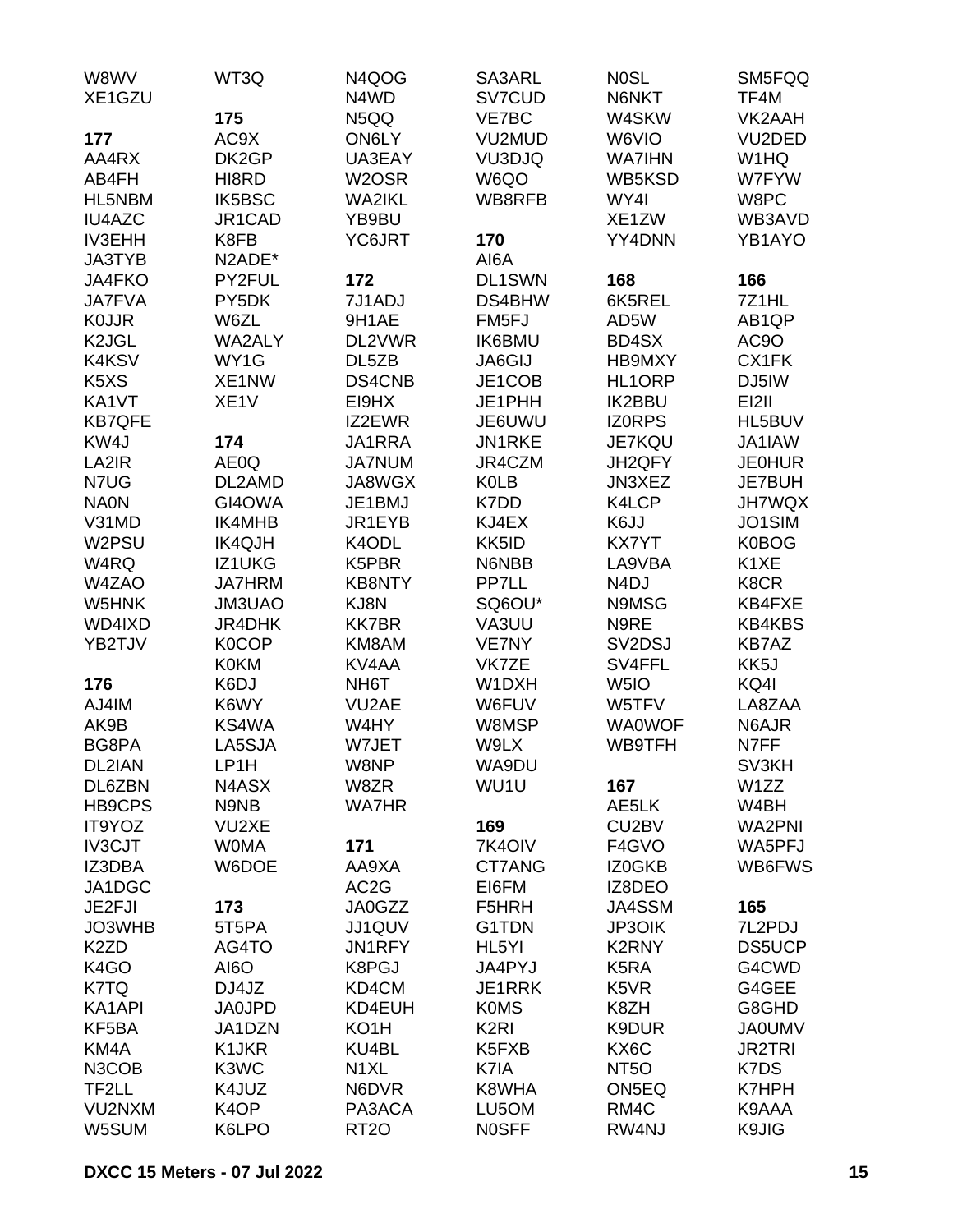| W8WV                           | WT3Q              | N4QOG              | SA3ARL             | <b>NOSL</b>                     | SM5FQQ            |
|--------------------------------|-------------------|--------------------|--------------------|---------------------------------|-------------------|
| XE1GZU                         |                   | N4WD               | SV7CUD             | N6NKT                           | TF4M              |
|                                | 175               | N5QQ               | VE7BC              | W4SKW                           | VK2AAH            |
| 177                            | AC9X              | ON6LY              | VU2MUD             | W6VIO                           | VU2DED            |
| AA4RX                          | DK2GP             | UA3EAY             | VU3DJQ             | <b>WA7IHN</b>                   | W1HQ              |
| AB4FH                          | HI8RD             | W <sub>2</sub> OSR | W6QO               | WB5KSD                          | W7FYW             |
| HL5NBM                         | <b>IK5BSC</b>     | <b>WA2IKL</b>      | WB8RFB             | WY4I                            | W8PC              |
| <b>IU4AZC</b>                  | JR1CAD            | YB9BU              |                    | XE1ZW                           | WB3AVD            |
| <b>IV3EHH</b>                  | K8FB              | YC6JRT             | 170                | YY4DNN                          | YB1AYO            |
| <b>JA3TYB</b>                  | N2ADE*            |                    | AI6A               |                                 |                   |
| JA4FKO                         | PY2FUL            | 172                | DL1SWN             | 168                             | 166               |
| <b>JA7FVA</b>                  | PY5DK             | 7J1ADJ             | DS4BHW             | 6K5REL                          | 7Z1HL             |
| <b>KOJJR</b>                   | W6ZL              | 9H1AE              | FM <sub>5FJ</sub>  | AD5W                            | AB <sub>1QP</sub> |
| K <sub>2</sub> J <sub>GL</sub> | <b>WA2ALY</b>     | DL2VWR             | <b>IK6BMU</b>      | BD4SX                           | AC9O              |
| <b>K4KSV</b>                   | WY1G              | DL5ZB              | <b>JA6GIJ</b>      | HB9MXY                          | CX1FK             |
| K <sub>5</sub> X <sub>S</sub>  | XE1NW             | DS4CNB             | JE1COB             | HL1ORP                          | DJ5IW             |
| KA1VT                          | XE <sub>1</sub> V | EI9HX              | JE1PHH             | <b>IK2BBU</b>                   | EI2II             |
| <b>KB7QFE</b>                  |                   | IZ2EWR             | JE6UWU             | <b>IZORPS</b>                   | HL5BUV            |
| KW4J                           | 174               | JA1RRA             | JN1RKE             | <b>JE7KQU</b>                   | JA1IAW            |
| LA2IR                          | AE0Q              | <b>JA7NUM</b>      | JR4CZM             | JH2QFY                          | <b>JE0HUR</b>     |
| N7UG                           | DL2AMD            | JA8WGX             | <b>K0LB</b>        | JN3XEZ                          | <b>JE7BUH</b>     |
| <b>NA0N</b>                    | GI4OWA            | JE1BMJ             | K7DD               | K4LCP                           | <b>JH7WQX</b>     |
| V31MD                          | IK4MHB            | JR1EYB             | KJ4EX              | K6JJ                            | JO1SIM            |
| W2PSU                          | <b>IK4QJH</b>     | K4ODL              | KK5ID              | <b>KX7YT</b>                    | K0BOG             |
| W4RQ                           | IZ1UKG            | K5PBR              | N6NBB              | LA9VBA                          | K <sub>1</sub> XE |
| W4ZAO                          | <b>JA7HRM</b>     | <b>KB8NTY</b>      | PP7LL              | N <sub>4</sub> DJ               | K8CR              |
| W5HNK                          | JM3UAO            | KJ8N               | SQ6OU*             | N9MSG                           | KB4FXE            |
| WD4IXD                         | JR4DHK            | <b>KK7BR</b>       | VA3UU              | N9RE                            | <b>KB4KBS</b>     |
| YB2TJV                         | <b>K0COP</b>      | KM8AM              | VE7NY              | SV <sub>2</sub> D <sub>SJ</sub> | <b>KB7AZ</b>      |
|                                | <b>K0KM</b>       | KV4AA              | VK7ZE              | SV4FFL                          | KK5J              |
| 176                            | K6DJ              | NH6T               | W1DXH              | W <sub>5I</sub> O               | KQ4I              |
| AJ4IM                          | K6WY              | VU <sub>2</sub> AE | W6FUV              | W5TFV                           | LA8ZAA            |
| AK9B                           | KS4WA             | W4HY               | W8MSP              | <b>WA0WOF</b>                   | N6AJR             |
| BG8PA                          | LA5SJA            | W7JET              | W9LX               | WB9TFH                          | N7FF              |
| DL2IAN                         | LP1H              | W8NP               | WA9DU              |                                 | SV3KH             |
| DL6ZBN                         | N4ASX             | W8ZR               | WU1U               | 167                             | W1ZZ              |
| <b>HB9CPS</b>                  | N9NB              | <b>WA7HR</b>       |                    | AE5LK                           | W4BH              |
| IT9YOZ                         | VU2XE             |                    | 169                | CU2BV                           | <b>WA2PNI</b>     |
| <b>IV3CJT</b>                  | <b>WOMA</b>       | 171                | 7K4OIV             | F4GVO                           | WA5PFJ            |
| IZ3DBA                         | W6DOE             | AA9XA              | CT7ANG             | IZ0GKB                          | WB6FWS            |
| JA1DGC                         |                   | AC <sub>2</sub> G  | EI6FM              | IZ8DEO                          |                   |
|                                |                   | <b>JA0GZZ</b>      | F5HRH              |                                 |                   |
| JE2FJI                         | 173               |                    |                    | JA4SSM                          | 165<br>7L2PDJ     |
| JO3WHB                         | 5T5PA             | JJ1QUV             | G1TDN              | <b>JP3OIK</b>                   |                   |
| K <sub>2</sub> ZD              | AG4TO             | JN1RFY             | HL <sub>5</sub> YI | <b>K2RNY</b>                    | DS5UCP            |
| K <sub>4</sub> GO              | AI6O              | K8PGJ              | JA4PYJ             | K5RA                            | G4CWD             |
| K7TQ                           | DJ4JZ             | KD4CM              | JE1RRK             | K5VR                            | G4GEE             |
| KA1API                         | <b>JA0JPD</b>     | KD4EUH             | <b>K0MS</b>        | K8ZH                            | G8GHD             |
| KF5BA                          | JA1DZN            | KO1H               | K <sub>2</sub> RI  | K9DUR                           | <b>JA0UMV</b>     |
| KM4A                           | K1JKR             | KU4BL              | K5FXB              | KX6C                            | <b>JR2TRI</b>     |
| N3COB                          | K3WC              | N <sub>1</sub> XL  | K7IA               | NT <sub>50</sub>                | K7DS              |
| TF2LL                          | K4JUZ             | N6DVR              | K8WHA              | ON5EQ                           | K7HPH             |
| VU2NXM                         | K <sub>4</sub> OP | PA3ACA             | LU5OM              | RM4C                            | K9AAA             |
| W5SUM                          | K6LPO             | <b>RT20</b>        | <b>NOSFF</b>       | RW4NJ                           | K9JIG             |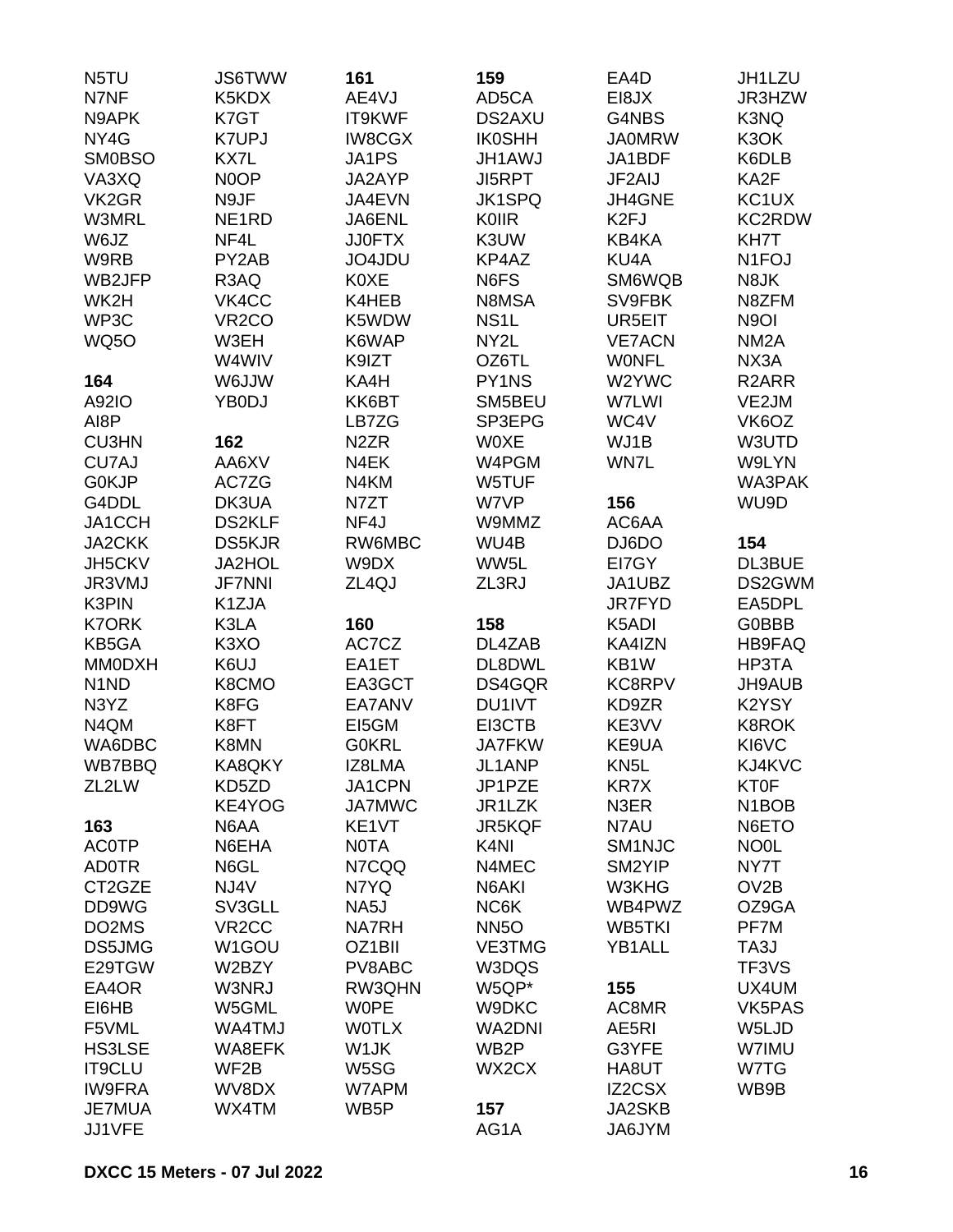| N5TU                           | <b>JS6TWW</b>      | 161                 | 159               | EA4D              | JH1LZU                         |
|--------------------------------|--------------------|---------------------|-------------------|-------------------|--------------------------------|
| N7NF                           | K5KDX              | AE4VJ               | AD5CA             | EI8JX             | JR3HZW                         |
| N9APK                          | K7GT               | IT9KWF              | <b>DS2AXU</b>     | G4NBS             | K3NQ                           |
| NY4G                           | <b>K7UPJ</b>       | <b>IW8CGX</b>       | <b>IK0SHH</b>     | <b>JA0MRW</b>     | K3OK                           |
| <b>SM0BSO</b>                  | KX7L               | JA1PS               | <b>JH1AWJ</b>     | JA1BDF            | K6DLB                          |
|                                |                    |                     |                   |                   |                                |
| VA3XQ                          | N <sub>0</sub> OP  | JA2AYP              | <b>JI5RPT</b>     | JF2AIJ            | KA2F                           |
| VK <sub>2</sub> GR             | N9JF               | JA4EVN              | <b>JK1SPQ</b>     | JH4GNE            | KC1UX                          |
| W3MRL                          | NE <sub>1</sub> RD | JA6ENL              | <b>K0IIR</b>      | K <sub>2FJ</sub>  | KC2RDW                         |
| W6JZ                           | NF4L               | <b>JJ0FTX</b>       | K3UW              | KB4KA             | KH7T                           |
| W9RB                           | PY2AB              | JO4JDU              | KP4AZ             | KU4A              | N <sub>1</sub> FOJ             |
| WB2JFP                         | R3AQ               | <b>K0XE</b>         | N6FS              | SM6WQB            | N8JK                           |
| WK2H                           | VK4CC              | K4HEB               | N8MSA             | SV9FBK            | N8ZFM                          |
| WP3C                           | VR <sub>2</sub> CO | K5WDW               | NS <sub>1</sub> L | UR5EIT            | N <sub>9</sub> OI              |
| WQ5O                           | W3EH               | K6WAP               | NY <sub>2</sub> L | <b>VE7ACN</b>     | NM <sub>2</sub> A              |
|                                | W4WIV              | K9IZT               | OZ6TL             | <b>WONFL</b>      | NX3A                           |
| 164                            | W6JJW              | KA4H                | PY1NS             | W2YWC             | R <sub>2</sub> ARR             |
| A92IO                          | YB0DJ              | KK6BT               | SM5BEU            | W7LWI             | VE2JM                          |
| AI8P                           |                    | LB7ZG               | SP3EPG            | WC4V              | VK6OZ                          |
| <b>CU3HN</b>                   | 162                | N <sub>2</sub> ZR   | <b>WOXE</b>       | WJ1B              | W3UTD                          |
| CU7AJ                          | AA6XV              | N4EK                | W4PGM             | WN7L              | W9LYN                          |
| <b>G0KJP</b>                   | AC7ZG              | N4KM                | W5TUF             |                   | WA3PAK                         |
| G4DDL                          |                    |                     |                   |                   | WU9D                           |
|                                | DK3UA              | N7ZT                | W7VP              | 156               |                                |
| JA1CCH                         | <b>DS2KLF</b>      | NF4J                | W9MMZ             | AC6AA             |                                |
| <b>JA2CKK</b>                  | <b>DS5KJR</b>      | RW6MBC              | WU4B              | DJ6DO             | 154                            |
| JH5CKV                         | JA2HOL             | W9DX                | WW5L              | EI7GY             | DL3BUE                         |
| JR3VMJ                         | <b>JF7NNI</b>      | ZL4QJ               | ZL3RJ             | JA1UBZ            | DS2GWM                         |
| K3PIN                          | K1ZJA              |                     |                   | <b>JR7FYD</b>     | EA5DPL                         |
| <b>K7ORK</b>                   | K3LA               | 160                 | 158               | K5ADI             | <b>G0BBB</b>                   |
| KB5GA                          | K <sub>3</sub> XO  | AC7CZ               | DL4ZAB            | KA4IZN            | HB9FAQ                         |
| <b>MM0DXH</b>                  | K6UJ               | EA1ET               | DL8DWL            | KB1W              | HP3TA                          |
| N <sub>1</sub> N <sub>D</sub>  | K8CMO              | EA3GCT              | DS4GQR            | <b>KC8RPV</b>     | JH9AUB                         |
| N3YZ                           | K8FG               | EA7ANV              | DU1IVT            | KD9ZR             | K2YSY                          |
| N4QM                           | K8FT               | EI5GM               | EI3CTB            | KE3VV             | <b>K8ROK</b>                   |
| WA6DBC                         | K8MN               | <b>GOKRL</b>        | <b>JA7FKW</b>     | KE9UA             | KI6VC                          |
| WB7BBQ                         | KA8QKY             | IZ8LMA              | JL1ANP            | KN <sub>5</sub> L | KJ4KVC                         |
| ZL2LW                          | KD5ZD              | JA1CPN              | JP1PZE            | KR7X              | <b>KT0F</b>                    |
|                                | KE4YOG             | <b>JA7MWC</b>       | JR1LZK            | N3ER              | N <sub>1</sub> BO <sub>B</sub> |
| 163                            | N6AA               | KE1VT               | JR5KQF            | N7AU              | N6ETO                          |
| <b>AC0TP</b>                   | N6EHA              | <b>NOTA</b>         | K <sub>4</sub> NI | SM1NJC            | <b>NO0L</b>                    |
| <b>AD0TR</b>                   | N6GL               | N7CQQ               | N4MEC             | SM2YIP            | NY7T                           |
| CT2GZE                         | NJ4V               | N7YQ                | N6AKI             | W3KHG             | OV2B                           |
| DD9WG                          | SV3GLL             | NA5J                | NC6K              | WB4PWZ            | OZ9GA                          |
| DO <sub>2</sub> M <sub>S</sub> | VR <sub>2</sub> CC | <b>NA7RH</b>        | <b>NN5O</b>       | <b>WB5TKI</b>     | PF7M                           |
| DS5JMG                         | W1GOU              | OZ <sub>1</sub> BII | <b>VE3TMG</b>     | YB1ALL            | TA3J                           |
| E29TGW                         | W2BZY              | PV8ABC              | W3DQS             |                   | TF3VS                          |
| EA4OR                          | W3NRJ              | RW3QHN              | W5QP*             | 155               | UX4UM                          |
| EI6HB                          | W5GML              | <b>WOPE</b>         | W9DKC             | AC8MR             | <b>VK5PAS</b>                  |
|                                |                    |                     |                   |                   |                                |
| F5VML                          | WA4TMJ             | <b>WOTLX</b>        | <b>WA2DNI</b>     | AE5RI             | W5LJD                          |
| <b>HS3LSE</b>                  | WA8EFK             | W1JK                | WB <sub>2</sub> P | G3YFE             | W7IMU                          |
| <b>IT9CLU</b>                  | WF2B               | W5SG                | WX2CX             | HA8UT             | W7TG                           |
| <b>IW9FRA</b>                  | WV8DX              | W7APM               |                   | <b>IZ2CSX</b>     | WB9B                           |
| <b>JE7MUA</b>                  | WX4TM              | WB <sub>5</sub> P   | 157               | JA2SKB            |                                |
| JJ1VFE                         |                    |                     | AG1A              | JA6JYM            |                                |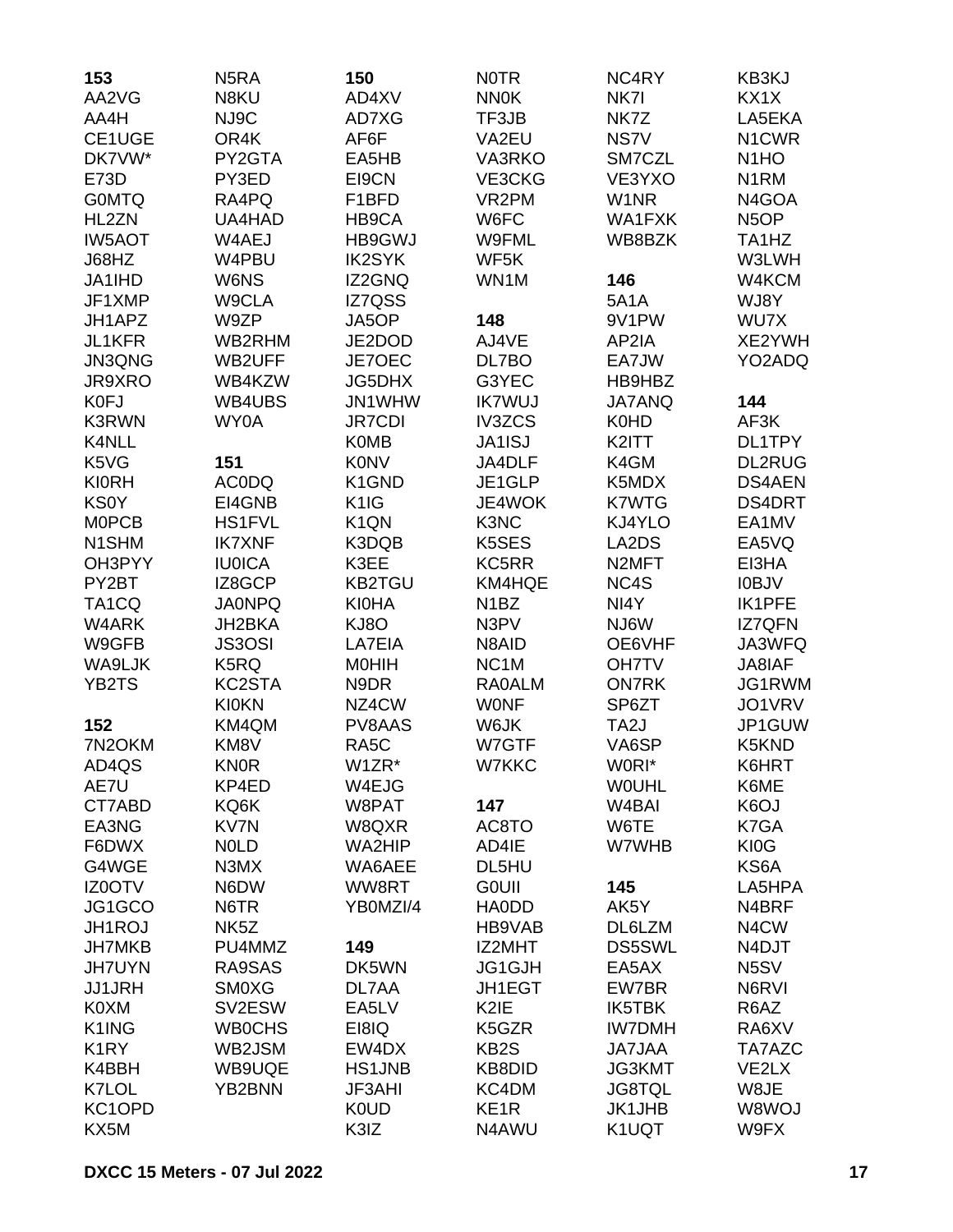| 153                        | N <sub>5</sub> RA | 150               | <b>NOTR</b>                 | NC4RY                          | KB3KJ                          |
|----------------------------|-------------------|-------------------|-----------------------------|--------------------------------|--------------------------------|
| AA2VG                      | N8KU              | AD4XV             | <b>NN0K</b>                 | NK7I                           | KX1X                           |
| AA4H                       | NJ9C              | AD7XG             | TF3JB                       | NK7Z                           | LA5EKA                         |
| CE1UGE                     | OR4K              | AF6F              | VA2EU                       | NS7V                           | N1CWR                          |
| DK7VW*                     | PY2GTA            | EA5HB             | VA3RKO                      | SM7CZL                         | N <sub>1</sub> HO              |
| E73D                       | PY3ED             | EI9CN             | VE3CKG                      | VE3YXO                         | N <sub>1</sub> RM              |
| <b>GOMTQ</b>               | RA4PQ             | F1BFD             | VR <sub>2</sub> PM          | W <sub>1</sub> NR              | N4GOA                          |
| HL2ZN                      | UA4HAD            | HB9CA             | W6FC                        | WA1FXK                         | N <sub>5</sub> OP              |
| <b>IW5AOT</b>              | W4AEJ             | HB9GWJ            | W9FML                       | WB8BZK                         | TA <sub>1</sub> H <sub>Z</sub> |
| J68HZ                      | W4PBU             | <b>IK2SYK</b>     | WF5K                        |                                | W3LWH                          |
| JA1IHD                     | W6NS              | IZ2GNQ            | WN1M                        | 146                            | W4KCM                          |
| JF1XMP                     | W9CLA             | <b>IZ7QSS</b>     |                             | <b>5A1A</b>                    | WJ8Y                           |
| JH1APZ                     | W9ZP              | JA5OP             | 148                         | 9V1PW                          | WU7X                           |
| JL1KFR                     | WB2RHM            | JE2DOD            | AJ4VE                       | AP2IA                          | XE2YWH                         |
| JN3QNG                     | WB2UFF            | JE7OEC            | DL7BO                       | EA7JW                          | YO2ADQ                         |
| JR9XRO                     | WB4KZW            | <b>JG5DHX</b>     | G3YEC                       | HB9HBZ                         |                                |
| <b>K0FJ</b>                | WB4UBS            | JN1WHW            | <b>IK7WUJ</b>               | <b>JA7ANQ</b>                  | 144                            |
| <b>K3RWN</b>               | WY0A              | <b>JR7CDI</b>     | <b>IV3ZCS</b>               | K0HD                           | AF3K                           |
| K4NLL                      |                   | <b>K0MB</b>       | <b>JA1ISJ</b>               | K2ITT                          | DL1TPY                         |
| K5VG                       | 151               | <b>K0NV</b>       | JA4DLF                      | K4GM                           | <b>DL2RUG</b>                  |
| <b>KI0RH</b>               | <b>ACODQ</b>      | K1GND             | JE1GLP                      | K5MDX                          | <b>DS4AEN</b>                  |
| <b>KS0Y</b>                | EI4GNB            | K <sub>1</sub> IG | JE4WOK                      | <b>K7WTG</b>                   | DS4DRT                         |
| <b>MOPCB</b>               | <b>HS1FVL</b>     | K <sub>1</sub> QN | K3NC                        | KJ4YLO                         | EA1MV                          |
| N <sub>1</sub> SHM         | <b>IK7XNF</b>     | K3DQB             | K5SES                       | LA2DS                          | EA5VQ                          |
| OH3PYY                     | <b>IU0ICA</b>     | K3EE              | KC5RR                       | N <sub>2</sub> MFT             | EI3HA                          |
| PY2BT                      | IZ8GCP            | <b>KB2TGU</b>     | KM4HQE                      | NC4S                           | <b>IOBJV</b>                   |
| TA <sub>1</sub> CQ         | <b>JA0NPQ</b>     | <b>KI0HA</b>      | N <sub>1</sub> BZ           | NI4Y                           | <b>IK1PFE</b>                  |
| W4ARK                      | JH2BKA            | KJ8O              | N3PV                        | NJ6W                           | <b>IZ7QFN</b>                  |
| W9GFB                      | <b>JS3OSI</b>     | LA7EIA            | N8AID                       | OE6VHF                         | JA3WFQ                         |
| WA9LJK                     | K5RQ              | <b>MOHIH</b>      | NC <sub>1</sub> M           | <b>OH7TV</b>                   | JA8IAF                         |
| YB2TS                      | KC2STA            | N9DR              | <b>RA0ALM</b>               | <b>ON7RK</b>                   | JG1RWM                         |
|                            | <b>KI0KN</b>      | NZ4CW             | <b>WONF</b>                 | SP6ZT                          | JO1VRV                         |
| 152                        | KM4QM             | PV8AAS            | W6JK                        | TA <sub>2</sub> J              | JP1GUW                         |
| 7N2OKM                     | KM8V              | RA5C              | W7GTF                       | VA6SP                          | K5KND                          |
| AD4QS                      | <b>KN0R</b>       | W1ZR*             | W7KKC                       | W0RI*                          | K6HRT                          |
| AE7U                       | KP4ED             | W4EJG             |                             | <b>WOUHL</b>                   | K6ME                           |
| CT7ABD                     | KQ6K              | W8PAT             | 147                         | W <sub>4</sub> BAI             | K <sub>6</sub> OJ              |
| EA3NG                      | KV7N              | W8QXR             | AC8TO                       | W6TE                           | K7GA                           |
| F6DWX                      | <b>NOLD</b>       | WA2HIP            | AD4IE                       | W7WHB                          | KI0G                           |
| G4WGE                      | N3MX              | WA6AEE            | DL5HU                       |                                | KS6A                           |
| IZ0OTV                     | N6DW              | WW8RT             | <b>GOUII</b>                | 145                            | LA5HPA                         |
| JG1GCO                     | N6TR              | YB0MZI/4          | <b>HA0DD</b>                | AK5Y                           | N4BRF                          |
| JH1ROJ                     | NK <sub>5</sub> Z |                   | HB9VAB                      | DL6LZM                         | N <sub>4</sub> CW              |
| <b>JH7MKB</b>              | PU4MMZ            | 149               | IZ2MHT                      | <b>DS5SWL</b>                  | N4DJT                          |
| <b>JH7UYN</b>              | RA9SAS            | DK5WN             | JG1GJH                      | EA5AX                          | N <sub>5</sub> SV              |
| <b>JJ1JRH</b>              | <b>SM0XG</b>      | DL7AA             | <b>JH1EGT</b>               | EW7BR                          | N6RVI                          |
| K0XM                       | SV2ESW            | EA5LV             | K <sub>2</sub> IE           | <b>IK5TBK</b>                  | R6AZ                           |
| K1ING                      | <b>WB0CHS</b>     | EI8IQ             | K5GZR                       | <b>IW7DMH</b>                  | RA6XV                          |
|                            |                   |                   |                             |                                |                                |
| K <sub>1</sub> RY<br>K4BBH | WB2JSM            | EW4DX             | KB <sub>2</sub> S<br>KB8DID | <b>JA7JAA</b><br><b>JG3KMT</b> | TA7AZC<br>VE2LX                |
|                            | WB9UQE            | <b>HS1JNB</b>     |                             |                                |                                |
| K7LOL                      | YB2BNN            | JF3AHI            | KC4DM                       | <b>JG8TQL</b>                  | W8JE                           |
| KC1OPD                     |                   | <b>K0UD</b>       | KE <sub>1R</sub>            | <b>JK1JHB</b>                  | W8WOJ                          |
| KX5M                       |                   | K3IZ              | N4AWU                       | K1UQT                          | W9FX                           |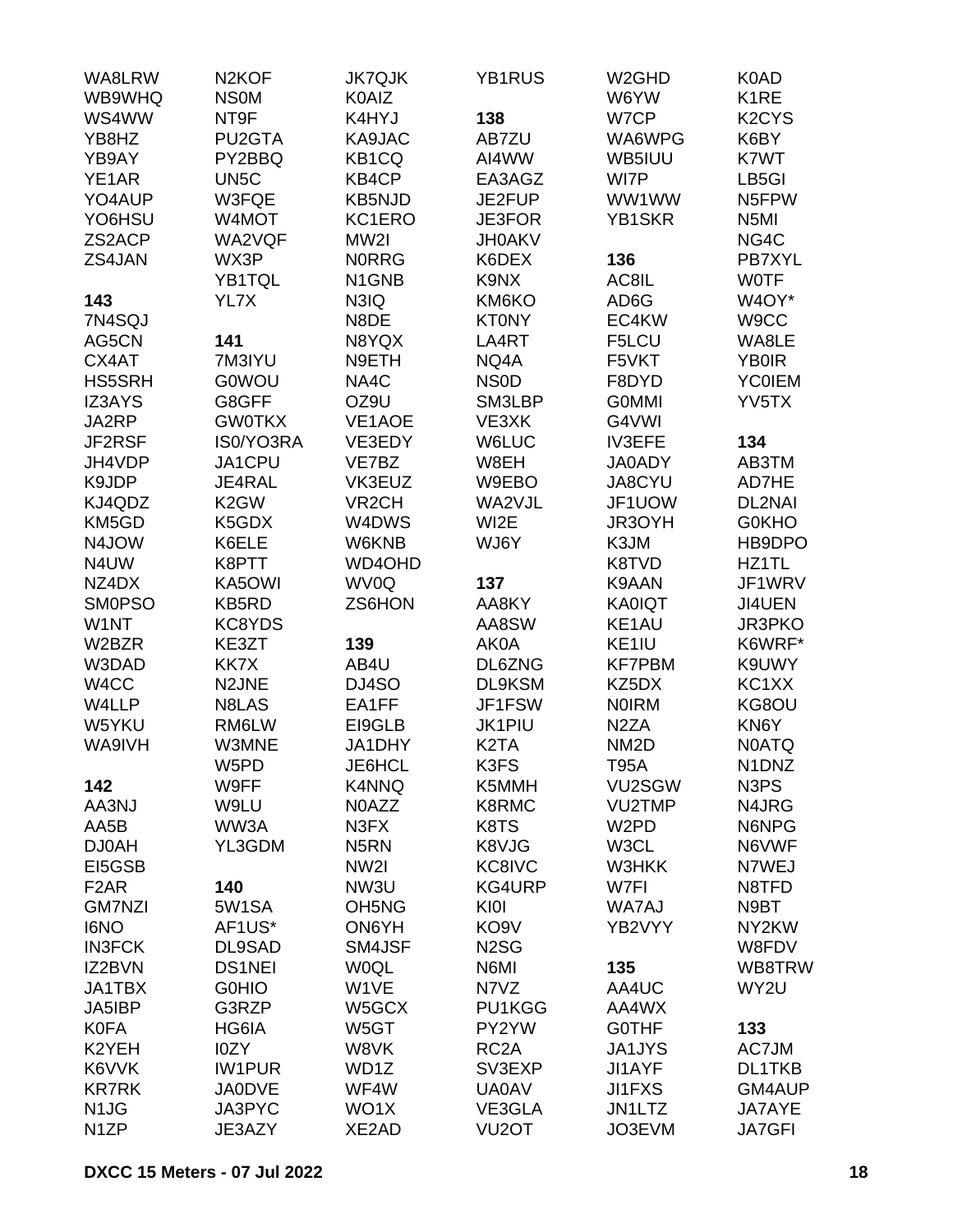| WA8LRW                        | N <sub>2</sub> KOF | <b>JK7QJK</b>                  | YB1RUS             | W <sub>2</sub> GHD | K0AD                           |
|-------------------------------|--------------------|--------------------------------|--------------------|--------------------|--------------------------------|
| WB9WHQ                        | <b>NSOM</b>        | <b>K0AIZ</b>                   |                    | W6YW               | K <sub>1</sub> RE              |
| WS4WW                         | NT9F               | K4HYJ                          | 138                | W7CP               | K <sub>2</sub> CY <sub>S</sub> |
| YB8HZ                         | PU2GTA             | KA9JAC                         | AB7ZU              | WA6WPG             | K6BY                           |
| YB9AY                         | PY2BBQ             | KB <sub>1</sub> CQ             | AI4WW              | WB5IUU             | K7WT                           |
| YE1AR                         | UN <sub>5</sub> C  | KB4CP                          | EA3AGZ             | WI7P               | LB5GI                          |
| YO4AUP                        | W3FQE              | <b>KB5NJD</b>                  | JE2FUP             | WW1WW              | N5FPW                          |
| YO6HSU                        | W4MOT              | KC1ERO                         | <b>JE3FOR</b>      | YB1SKR             | N <sub>5</sub> MI              |
| ZS2ACP                        | WA2VQF             | MW2I                           | <b>JH0AKV</b>      |                    | NG4C                           |
| ZS4JAN                        | WX3P               | <b>NORRG</b>                   | K6DEX              | 136                | PB7XYL                         |
|                               | YB1TQL             | N <sub>1</sub> GN <sub>B</sub> | K9NX               | AC8IL              | <b>WOTF</b>                    |
| 143                           | YL7X               | N3IQ                           | KM6KO              | AD6G               | W4OY*                          |
| 7N4SQJ                        |                    | N8DE                           | <b>KT0NY</b>       | EC4KW              | W9CC                           |
| AG5CN                         | 141                | N8YQX                          | LA4RT              | F5LCU              | WA8LE                          |
| CX4AT                         | 7M3IYU             | N9ETH                          | NQ4A               | F5VKT              | <b>YB0IR</b>                   |
| <b>HS5SRH</b>                 | <b>G0WOU</b>       | NA4C                           | <b>NSOD</b>        | F8DYD              | <b>YC0IEM</b>                  |
| IZ3AYS                        | G8GFF              | OZ9U                           | SM3LBP             | <b>GOMMI</b>       | YV5TX                          |
| JA2RP                         | <b>GW0TKX</b>      | VE1AOE                         | VE3XK              | G4VWI              |                                |
| JF2RSF                        | IS0/YO3RA          | VE3EDY                         | W6LUC              | <b>IV3EFE</b>      | 134                            |
| JH4VDP                        | JA1CPU             | VE7BZ                          | W8EH               | <b>JA0ADY</b>      | AB3TM                          |
| K9JDP                         | JE4RAL             | VK3EUZ                         | W9EBO              | JA8CYU             | AD7HE                          |
| KJ4QDZ                        | K <sub>2</sub> GW  | VR <sub>2</sub> CH             | WA2VJL             | JF1UOW             | <b>DL2NAI</b>                  |
| KM5GD                         | K5GDX              | W4DWS                          | WI2E               | JR3OYH             | <b>G0KHO</b>                   |
|                               |                    | W6KNB                          |                    |                    |                                |
| N4JOW                         | K6ELE              |                                | WJ6Y               | K3JM               | HB9DPO                         |
| N4UW                          | K8PTT              | WD4OHD                         |                    | K8TVD              | HZ1TL                          |
| NZ4DX                         | KA5OWI             | WV0Q                           | 137                | K9AAN              | JF1WRV                         |
| <b>SMOPSO</b>                 | <b>KB5RD</b>       | ZS6HON                         | AA8KY              | <b>KA0IQT</b>      | JI4UEN                         |
| W1NT                          | KC8YDS             |                                | AA8SW              | KE1AU              | <b>JR3PKO</b>                  |
| W2BZR                         | KE3ZT              | 139                            | AK0A               | KE1IU              | K6WRF*                         |
| W3DAD                         | KK7X               | AB4U                           | DL6ZNG             | <b>KF7PBM</b>      | K9UWY                          |
| W4CC                          | N <sub>2</sub> JNE | DJ4SO                          | DL9KSM             | KZ5DX              | KC1XX                          |
| W4LLP                         | N8LAS              | EA1FF                          | JF1FSW             | <b>NOIRM</b>       | KG8OU                          |
| W5YKU                         | RM6LW              | EI9GLB                         | <b>JK1PIU</b>      | N <sub>2</sub> ZA  | KN6Y                           |
| WA9IVH                        | W3MNE              | JA1DHY                         | K <sub>2</sub> TA  | NM <sub>2</sub> D  | <b>NOATQ</b>                   |
|                               | W5PD               | JE6HCL                         | K3FS               | <b>T95A</b>        | N1DNZ                          |
| 142                           | W9FF               | K4NNQ                          | K5MMH              | VU2SGW             | N <sub>3</sub> P <sub>S</sub>  |
| AA3NJ                         | W9LU               | N0AZZ                          | K8RMC              | <b>VU2TMP</b>      | N4JRG                          |
| AA5B                          | WW3A               | N3FX                           | K8TS               | W <sub>2</sub> PD  | N6NPG                          |
| DJ0AH                         | YL3GDM             | N <sub>5</sub> RN              | K8VJG              | W3CL               | N6VWF                          |
| EI5GSB                        |                    | NW <sub>2</sub>                | KC8IVC             | W3HKK              | N7WEJ                          |
| F <sub>2</sub> AR             | 140                | NW3U                           | KG4URP             | W7FI               | N8TFD                          |
| <b>GM7NZI</b>                 | 5W1SA              | OH <sub>5</sub> N <sub>G</sub> | KI0I               | WA7AJ              | N9BT                           |
| <b>I6NO</b>                   | AF1US*             | ON6YH                          | KO <sub>9</sub> V  | YB2VYY             | NY2KW                          |
| <b>IN3FCK</b>                 | DL9SAD             | SM4JSF                         | N <sub>2</sub> SG  |                    | W8FDV                          |
| IZ2BVN                        | <b>DS1NEI</b>      | <b>WOQL</b>                    | N6MI               | 135                | WB8TRW                         |
| JA1TBX                        | <b>GOHIO</b>       | W1VE                           | N7VZ               | AA4UC              | WY2U                           |
| JA5IBP                        | G3RZP              | W5GCX                          | PU1KGG             | AA4WX              |                                |
| <b>K0FA</b>                   | HG6IA              | W5GT                           | PY2YW              | <b>GOTHF</b>       | 133                            |
| K2YEH                         | I0ZY               | W8VK                           | RC <sub>2</sub> A  | <b>JA1JYS</b>      | AC7JM                          |
| K6VVK                         | <b>IW1PUR</b>      | WD1Z                           | SV3EXP             | <b>JI1AYF</b>      | <b>DL1TKB</b>                  |
| <b>KR7RK</b>                  | <b>JA0DVE</b>      | WF4W                           | <b>UA0AV</b>       | <b>JI1FXS</b>      | GM4AUP                         |
| N <sub>1</sub> J <sub>G</sub> | JA3PYC             | WO1X                           | VE3GLA             | JN1LTZ             | JA7AYE                         |
| N <sub>1</sub> ZP             | JE3AZY             | XE2AD                          | VU <sub>2</sub> OT | JO3EVM             | <b>JA7GFI</b>                  |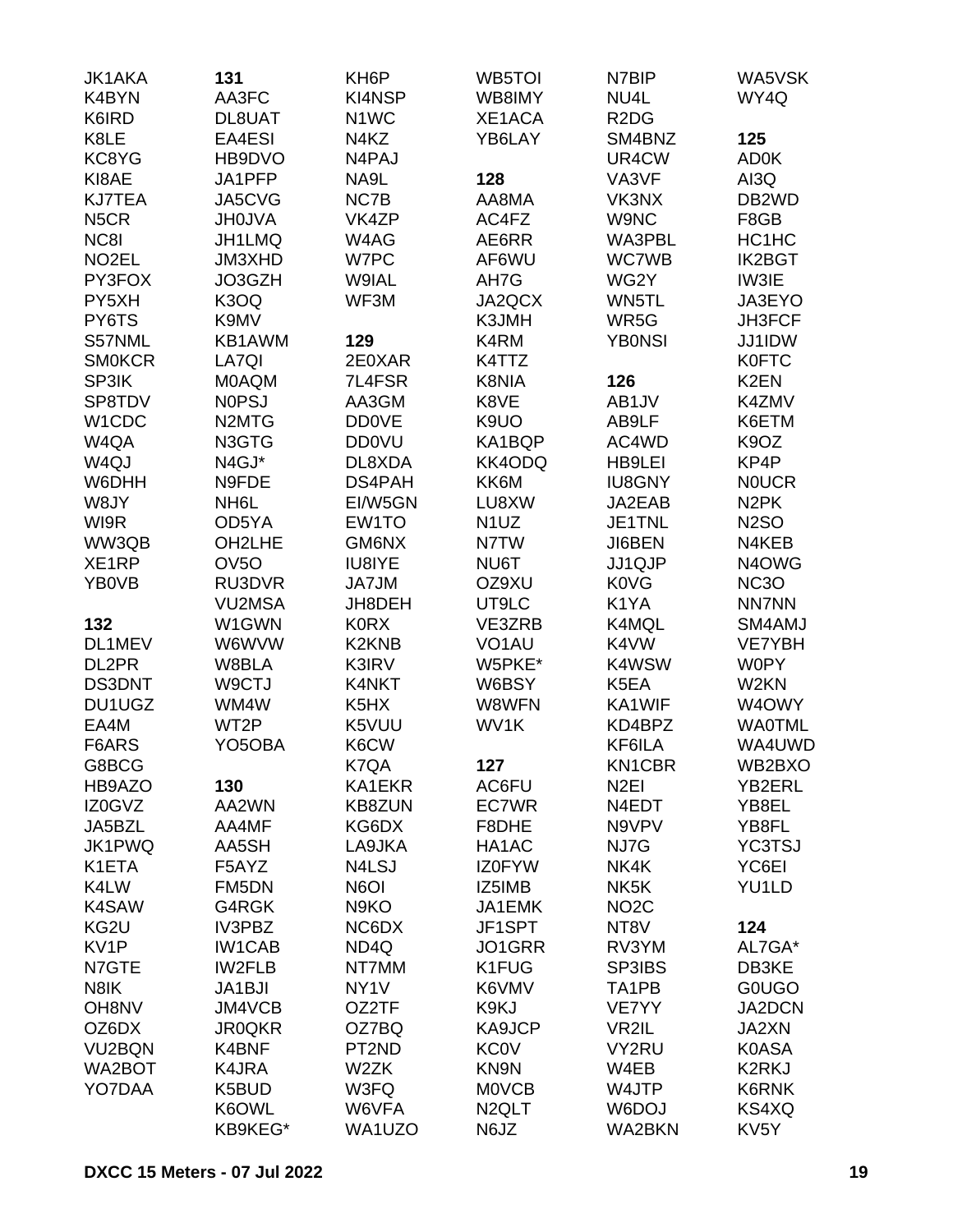| <b>JK1AKA</b><br>K4BYN | 131<br>AA3FC                   | KH <sub>6</sub> P<br>KI4NSP | WB5TOI<br>WB8IMY   | N7BIP<br>NU4L                 | <b>WA5VSK</b><br>WY4Q           |
|------------------------|--------------------------------|-----------------------------|--------------------|-------------------------------|---------------------------------|
| K6IRD                  | DL8UAT                         | N <sub>1</sub> WC           | XE1ACA             | R <sub>2</sub> D <sub>G</sub> |                                 |
| K8LE                   | EA4ESI                         | N4KZ                        | YB6LAY             | SM4BNZ                        | 125                             |
| KC8YG                  | HB9DVO                         | N4PAJ                       |                    | UR4CW                         | AD0K                            |
| KI8AE                  | JA1PFP                         | NA9L                        | 128                | VA3VF                         | AI3Q                            |
| <b>KJ7TEA</b>          | JA5CVG                         | NC7B                        | AA8MA              | VK3NX                         | DB <sub>2</sub> WD              |
| N <sub>5</sub> CR      | <b>JH0JVA</b>                  | VK4ZP                       | AC4FZ              | W9NC                          | F8GB                            |
| NC8I                   | JH1LMQ                         | W4AG                        | AE6RR              | WA3PBL                        | HC1HC                           |
| NO <sub>2</sub> EL     | JM3XHD                         | W7PC                        | AF6WU              | <b>WC7WB</b>                  | <b>IK2BGT</b>                   |
| PY3FOX                 | JO3GZH                         | W9IAL                       | AH7G               | WG2Y                          | IW3IE                           |
| PY5XH                  | K3OQ                           | WF3M                        | JA2QCX             | WN5TL                         | JA3EYO                          |
| PY6TS                  | K9MV                           |                             | K3JMH              | WR5G                          | JH3FCF                          |
| S57NML                 | KB1AWM                         | 129                         | K4RM               | <b>YBONSI</b>                 | JJ1IDW                          |
| <b>SMOKCR</b>          | LA7QI                          | 2E0XAR                      | K4TTZ              |                               | <b>K0FTC</b>                    |
| SP3IK                  | <b>MOAQM</b>                   | 7L4FSR                      | K8NIA              | 126                           | K <sub>2</sub> EN               |
| SP8TDV                 | <b>NOPSJ</b>                   | AA3GM                       | K8VE               | AB1JV                         | K4ZMV                           |
| W1CDC                  | N <sub>2</sub> MT <sub>G</sub> | <b>DD0VE</b>                | K9UO               | AB9LF                         | K6ETM                           |
| W4QA                   | N3GTG                          | <b>DD0VU</b>                | KA1BQP             | AC4WD                         | K <sub>9</sub> OZ               |
| W4QJ                   | N4GJ*                          | DL8XDA                      | KK4ODQ             | HB9LEI                        | KP4P                            |
| W6DHH                  | N9FDE                          | DS4PAH                      | KK6M               | <b>IU8GNY</b>                 | <b>NOUCR</b>                    |
| W8JY                   | NH <sub>6</sub> L              | EI/W5GN                     | LU8XW              | JA2EAB                        | N <sub>2</sub> PK               |
| WI9R                   | OD5YA                          | EW1TO                       | N <sub>1</sub> UZ  | JE1TNL                        | <b>N2SO</b>                     |
| WW3QB                  | OH2LHE                         | GM6NX                       | N7TW               | JI6BEN                        | N4KEB                           |
| XE1RP                  | OV <sub>50</sub>               | IU8IYE                      | NU6T               | JJ1QJP                        | N <sub>4</sub> O <sub>W</sub> G |
| YB0VB                  | RU3DVR                         | JA7JM                       | OZ9XU              | <b>K0VG</b>                   | <b>NC3O</b>                     |
|                        | <b>VU2MSA</b>                  | JH8DEH                      | UT9LC              | K1YA                          | <b>NN7NN</b>                    |
| 132                    | W1GWN                          | <b>K0RX</b>                 | VE3ZRB             | K4MQL                         | SM4AMJ                          |
| DL1MEV                 | W6WVW                          | K2KNB                       | VO <sub>1</sub> AU | K4VW                          | <b>VE7YBH</b>                   |
| DL2PR                  | W8BLA                          | K3IRV                       | W5PKE*             | K4WSW                         | <b>W0PY</b>                     |
| <b>DS3DNT</b>          | W9CTJ                          | K4NKT                       | W6BSY              | K5EA                          | W <sub>2</sub> KN               |
| DU1UGZ                 | WM4W                           | K5HX                        | W8WFN              | KA1WIF                        | W4OWY                           |
| EA4M                   | WT2P                           | K5VUU                       | WV1K               | KD4BPZ                        | <b>WA0TML</b>                   |
| F6ARS                  | YO5OBA                         | K6CW                        |                    | KF6ILA                        | WA4UWD                          |
| G8BCG                  |                                | K7QA                        | 127                | KN1CBR                        | WB2BXO                          |
| HB9AZO                 | 130                            | KA1EKR                      | AC6FU              | N <sub>2EI</sub>              | YB2ERL                          |
| IZ0GVZ                 | AA2WN                          | <b>KB8ZUN</b>               | EC7WR              | N4EDT                         | YB8EL                           |
| JA5BZL                 | AA4MF                          | KG6DX                       | F8DHE              | N9VPV                         | YB8FL                           |
| JK1PWQ                 | AA5SH                          | LA9JKA                      | HA1AC              | NJ7G                          | <b>YC3TSJ</b>                   |
| K1ETA                  | F5AYZ                          | N4LSJ                       | IZ0FYW             | NK4K                          | YC6EI                           |
| K4LW                   | FM5DN                          | N6OI                        | IZ5IMB             | NK <sub>5</sub> K             | YU1LD                           |
| K4SAW                  | G4RGK                          | N9KO                        | JA1EMK             | NO <sub>2</sub> C             |                                 |
| KG2U                   | IV3PBZ                         | NC6DX                       | JF1SPT             | NT8V                          | 124                             |
| KV1P                   | <b>IW1CAB</b>                  | ND4Q                        | JO1GRR             | RV3YM                         | AL7GA*                          |
| N7GTE                  | <b>IW2FLB</b>                  | NT7MM                       | K1FUG              | SP3IBS                        | DB3KE                           |
| N8IK                   | JA1BJI                         | NY <sub>1</sub> V           | K6VMV              | TA1PB                         | <b>GOUGO</b>                    |
| OH8NV                  | JM4VCB                         | OZ2TF                       | K9KJ               | VE7YY                         | JA2DCN                          |
| OZ6DX                  | <b>JR0QKR</b>                  | OZ7BQ                       | KA9JCP             | VR2IL                         | JA2XN                           |
| VU2BQN                 | K4BNF                          | PT2ND                       | <b>KC0V</b>        | VY2RU                         | <b>K0ASA</b>                    |
| WA2BOT                 | K4JRA                          | W2ZK                        | KN9N               | W4EB                          | K2RKJ                           |
| YO7DAA                 | K5BUD                          | W3FQ                        | <b>MOVCB</b>       | W4JTP                         | K6RNK                           |
|                        | K6OWL                          | W6VFA                       | N <sub>2</sub> QLT | W6DOJ                         | KS4XQ                           |
|                        | KB9KEG*                        | WA1UZO                      | N6JZ               | WA2BKN                        | KV <sub>5</sub> Y               |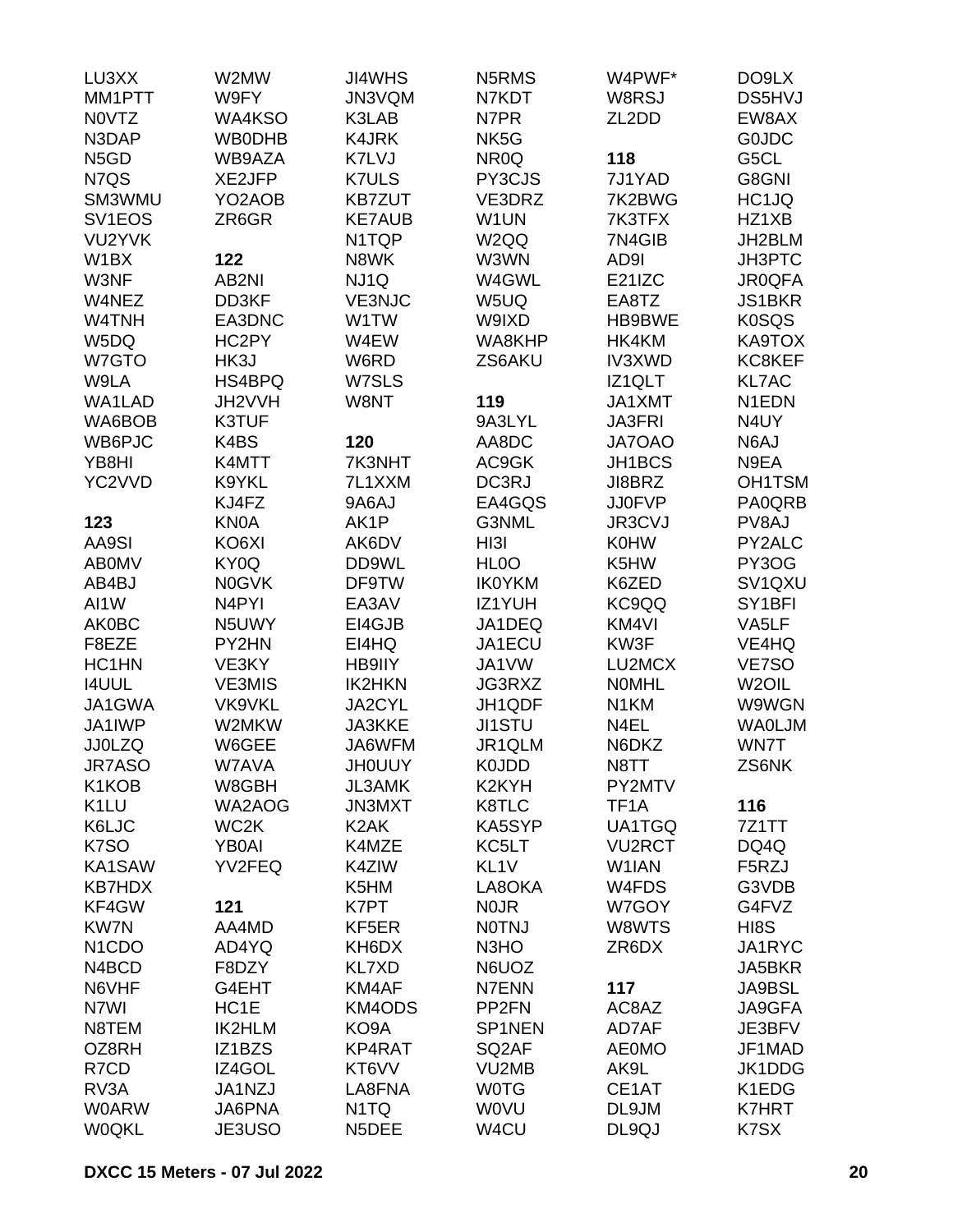| LU3XX                           | W2MW               | <b>JI4WHS</b>     | N5RMS                         | W4PWF*             | DO9LX                           |
|---------------------------------|--------------------|-------------------|-------------------------------|--------------------|---------------------------------|
| MM1PTT                          | W9FY               | JN3VQM            | N7KDT                         | W8RSJ              | <b>DS5HVJ</b>                   |
| N0VTZ                           | WA4KSO             | K3LAB             | N7PR                          | ZL <sub>2</sub> DD | EW8AX                           |
| N3DAP                           | <b>WB0DHB</b>      | <b>K4JRK</b>      | NK5G                          |                    | <b>GOJDC</b>                    |
| N <sub>5</sub> G <sub>D</sub>   | WB9AZA             | K7LVJ             | NR <sub>0</sub> Q             | 118                | G5CL                            |
| N7QS                            | XE2JFP             | <b>K7ULS</b>      | PY3CJS                        | 7J1YAD             | G8GNI                           |
| SM3WMU                          | YO2AOB             | <b>KB7ZUT</b>     | VE3DRZ                        | 7K2BWG             | HC1JQ                           |
| SV <sub>1</sub> EOS             |                    | <b>KE7AUB</b>     | W <sub>1</sub> UN             | 7K3TFX             | HZ1XB                           |
|                                 | ZR6GR              |                   |                               |                    |                                 |
| VU2YVK                          |                    | N1TQP             | W <sub>2QQ</sub>              | 7N4GIB             | JH2BLM                          |
| W1BX                            | 122                | N8WK              | W3WN                          | AD9I               | JH3PTC                          |
| W3NF                            | AB2NI              | NJ1Q              | W4GWL                         | E21IZC             | <b>JR0QFA</b>                   |
| W4NEZ                           | DD3KF              | <b>VE3NJC</b>     | W5UQ                          | EA8TZ              | <b>JS1BKR</b>                   |
| W4TNH                           | EA3DNC             | W1TW              | W9IXD                         | HB9BWE             | <b>K0SQS</b>                    |
| W5DQ                            | HC2PY              | W4EW              | WA8KHP                        | HK4KM              | KA9TOX                          |
| W7GTO                           | HK3J               | W6RD              | ZS6AKU                        | <b>IV3XWD</b>      | KC8KEF                          |
| W9LA                            | HS4BPQ             | W7SLS             |                               | IZ1QLT             | <b>KL7AC</b>                    |
| WA1LAD                          | JH2VVH             | W8NT              | 119                           | JA1XMT             | N1EDN                           |
| WA6BOB                          | K3TUF              |                   | 9A3LYL                        | <b>JA3FRI</b>      | N4UY                            |
| WB6PJC                          | K4BS               | 120               | AA8DC                         | <b>JA7OAO</b>      | N6AJ                            |
| YB8HI                           | K4MTT              | 7K3NHT            | AC9GK                         | JH1BCS             | N9EA                            |
| YC2VVD                          | K9YKL              | 7L1XXM            | DC3RJ                         | JI8BRZ             | OH1TSM                          |
|                                 | KJ4FZ              | 9A6AJ             | EA4GQS                        | <b>JJ0FVP</b>      | PA0QRB                          |
| 123                             | <b>KN0A</b>        | AK1P              | G3NML                         | JR3CVJ             | PV8AJ                           |
| AA9SI                           | KO6XI              | AK6DV             | HI3I                          | <b>K0HW</b>        | PY2ALC                          |
| <b>ABOMV</b>                    | KY0Q               | DD9WL             | HL <sub>0</sub> O             | K5HW               | PY3OG                           |
| AB4BJ                           | <b>N0GVK</b>       | DF9TW             | <b>IK0YKM</b>                 | K6ZED              | SV <sub>1</sub> Q <sub>XU</sub> |
| AI1W                            | N <sub>4</sub> PYI | EA3AV             | IZ1YUH                        | KC9QQ              | SY <sub>1</sub> BFI             |
| <b>AK0BC</b>                    | N5UWY              | EI4GJB            | JA1DEQ                        | KM4VI              | VA5LF                           |
| F8EZE                           | PY2HN              | EI4HQ             | JA1ECU                        | KW3F               | VE4HQ                           |
| HC1HN                           | VE3KY              | HB9IIY            | JA1VW                         | LU2MCX             | VE7SO                           |
| <b>I4UUL</b>                    | <b>VE3MIS</b>      | <b>IK2HKN</b>     | JG3RXZ                        | <b>NOMHL</b>       | W <sub>2</sub> OIL              |
|                                 |                    |                   |                               |                    |                                 |
| JA1GWA                          | <b>VK9VKL</b>      | <b>JA2CYL</b>     | JH1QDF                        | N1KM               | W9WGN                           |
| JA1IWP                          | W2MKW              | <b>JA3KKE</b>     | <b>JI1STU</b>                 | N4EL               | <b>WAOLJM</b>                   |
| <b>JJ0LZQ</b>                   | W6GEE              | JA6WFM            | JR1QLM                        | N6DKZ              | WN7T                            |
| JR7ASO                          | W7AVA              | <b>JH0UUY</b>     | K0JDD                         | N8TT               | ZS6NK                           |
| K1KOB                           | W8GBH              | <b>JL3AMK</b>     | K <sub>2</sub> KYH            | PY2MTV             |                                 |
| K <sub>1</sub> LU               | WA2AOG             | <b>JN3MXT</b>     | K8TLC                         | TF <sub>1</sub> A  | 116                             |
| K6LJC                           | WC2K               | K <sub>2</sub> AK | KA5SYP                        | UA1TGQ             | 7Z1TT                           |
| K7SO                            | YB0AI              | K4MZE             | KC5LT                         | <b>VU2RCT</b>      | DQ4Q                            |
| KA1SAW                          | YV2FEQ             | K4ZIW             | KL <sub>1V</sub>              | W <sub>1</sub> IAN | F5RZJ                           |
| <b>KB7HDX</b>                   |                    | K5HM              | LA8OKA                        | W4FDS              | G3VDB                           |
| KF4GW                           | 121                | K7PT              | <b>NOJR</b>                   | W7GOY              | G4FVZ                           |
| <b>KW7N</b>                     | AA4MD              | KF5ER             | <b>NOTNJ</b>                  | W8WTS              | HI8S                            |
| N <sub>1</sub> C <sub>D</sub> O | AD4YQ              | KH6DX             | N <sub>3</sub> H <sub>O</sub> | ZR6DX              | JA1RYC                          |
| N4BCD                           | F8DZY              | KL7XD             | N6UOZ                         |                    | JA5BKR                          |
| N6VHF                           | G4EHT              | KM4AF             | N7ENN                         | 117                | <b>JA9BSL</b>                   |
| N7WI                            | HC1E               | KM4ODS            | PP <sub>2FN</sub>             | AC8AZ              | JA9GFA                          |
| N8TEM                           | <b>IK2HLM</b>      | KO9A              | SP1NEN                        | AD7AF              | JE3BFV                          |
| OZ8RH                           | IZ1BZS             | KP4RAT            | SQ <sub>2</sub> AF            | <b>AE0MO</b>       | JF1MAD                          |
| R7CD                            | IZ4GOL             | KT6VV             | VU2MB                         | AK9L               | JK1DDG                          |
| RV3A                            | JA1NZJ             | LA8FNA            | <b>WOTG</b>                   | CE1AT              | K1EDG                           |
| <b>W0ARW</b>                    | JA6PNA             | N <sub>1</sub> TQ | <b>WOVU</b>                   | DL9JM              | <b>K7HRT</b>                    |
| <b>WOQKL</b>                    | JE3USO             | N5DEE             | W4CU                          | DL9QJ              | K7SX                            |
|                                 |                    |                   |                               |                    |                                 |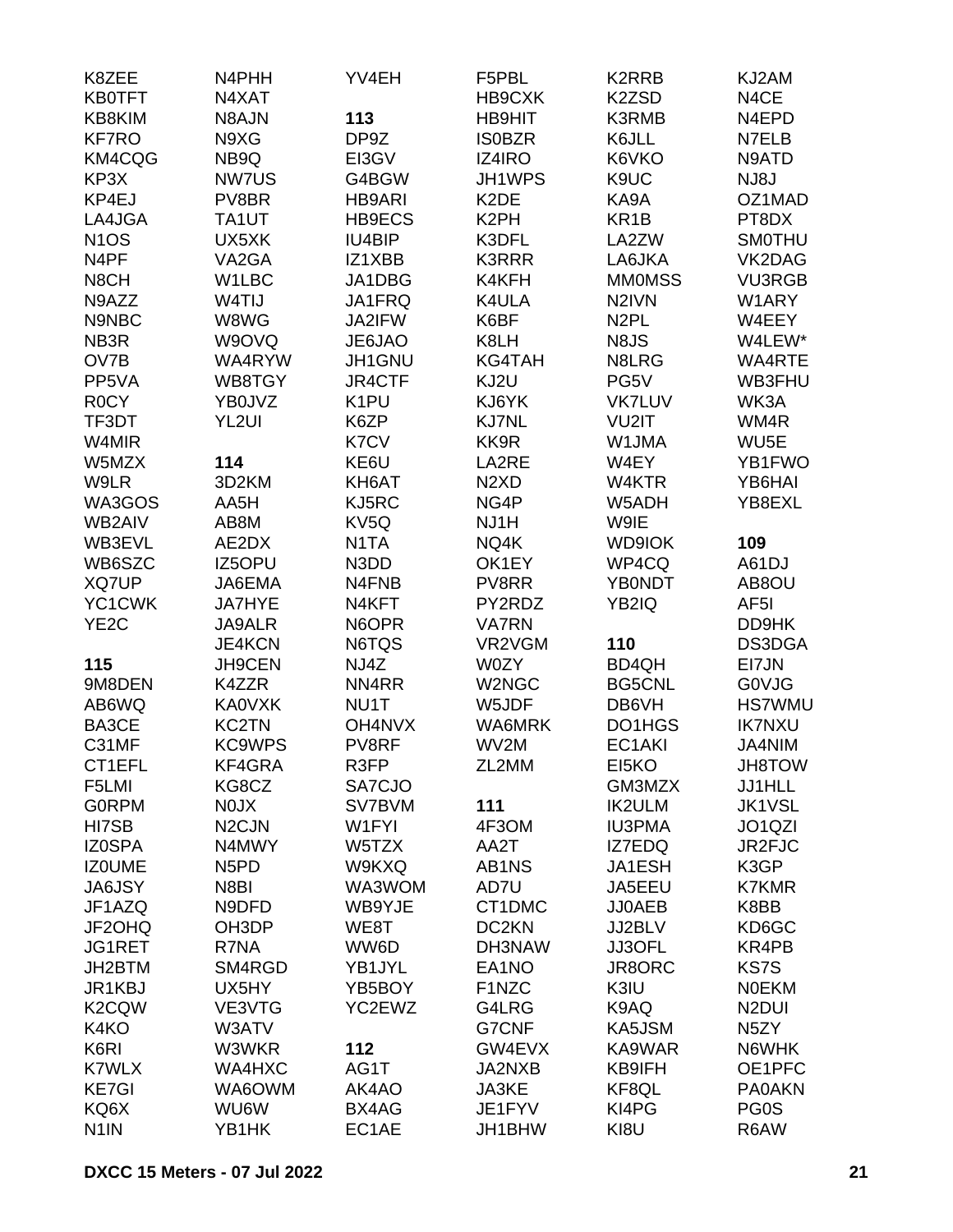| K8ZEE              | N4PHH                         | YV4EH             | F5PBL                         | K <sub>2</sub> RRB | KJ2AM              |
|--------------------|-------------------------------|-------------------|-------------------------------|--------------------|--------------------|
| <b>KB0TFT</b>      | N4XAT                         |                   | HB9CXK                        | K2ZSD              | N4CE               |
| KB8KIM             | N8AJN                         | 113               | <b>HB9HIT</b>                 | <b>K3RMB</b>       | N4EPD              |
| <b>KF7RO</b>       | N9XG                          | DP9Z              | <b>ISOBZR</b>                 | K6JLL              | N7ELB              |
| KM4CQG             | NB9Q                          | EI3GV             | IZ4IRO                        | K6VKO              | N9ATD              |
| KP3X               | NW7US                         | G4BGW             | JH1WPS                        | K9UC               | NJ8J               |
| KP4EJ              | PV8BR                         | <b>HB9ARI</b>     | K <sub>2</sub> DE             | KA9A               | OZ1MAD             |
| LA4JGA             | TA1UT                         | HB9ECS            | K <sub>2</sub> PH             | KR <sub>1</sub> B  | PT8DX              |
| N <sub>1</sub> OS  | UX5XK                         | IU4BIP            | K3DFL                         | LA2ZW              | <b>SMOTHU</b>      |
| N4PF               | VA2GA                         | IZ1XBB            | <b>K3RRR</b>                  | LA6JKA             | VK2DAG             |
| N8CH               | W1LBC                         | JA1DBG            | K4KFH                         | <b>MMOMSS</b>      | <b>VU3RGB</b>      |
| N9AZZ              | W4TIJ                         | JA1FRQ            | K4ULA                         | N <sub>2</sub> IVN | W1ARY              |
| N9NBC              | W8WG                          | JA2IFW            | K6BF                          | N <sub>2</sub> PL  | W4EEY              |
| NB <sub>3</sub> R  | W9OVQ                         | JE6JAO            | K8LH                          | N8JS               | W4LEW*             |
| OV7B               | WA4RYW                        | JH1GNU            | <b>KG4TAH</b>                 | N8LRG              | WA4RTE             |
| PP5VA              | WB8TGY                        | JR4CTF            | KJ2U                          | PG5V               | WB3FHU             |
| <b>ROCY</b>        |                               |                   | KJ6YK                         | <b>VK7LUV</b>      | WK3A               |
|                    | YB0JVZ                        | K1PU              |                               |                    |                    |
| TF3DT              | YL <sub>2UI</sub>             | K6ZP              | <b>KJ7NL</b>                  | VU2IT              | WM4R               |
| W4MIR              |                               | K7CV              | KK9R                          | W1JMA              | WU <sub>5</sub> E  |
| W5MZX              | 114                           | KE6U              | LA2RE                         | W4EY               | YB1FWO             |
| W9LR               | 3D2KM                         | KH6AT             | N <sub>2</sub> X <sub>D</sub> | W4KTR              | YB6HAI             |
| WA3GOS             | AA5H                          | KJ5RC             | NG4P                          | W5ADH              | YB8EXL             |
| WB2AIV             | AB8M                          | KV5Q              | NJ1H                          | W9IE               |                    |
| WB3EVL             | AE2DX                         | N <sub>1</sub> TA | NQ4K                          | <b>WD9IOK</b>      | 109                |
| WB6SZC             | IZ5OPU                        | N3DD              | OK1EY                         | WP4CQ              | A61DJ              |
| XQ7UP              | JA6EMA                        | N4FNB             | PV8RR                         | <b>YB0NDT</b>      | AB8OU              |
| YC1CWK             | <b>JA7HYE</b>                 | N4KFT             | PY2RDZ                        | YB2IQ              | AF <sub>5</sub> I  |
| YE <sub>2</sub> C  | <b>JA9ALR</b>                 | N6OPR             | <b>VA7RN</b>                  |                    | DD9HK              |
|                    | <b>JE4KCN</b>                 | N6TQS             | VR2VGM                        | 110                | DS3DGA             |
| 115                | <b>JH9CEN</b>                 | NJ4Z              | W0ZY                          | BD4QH              | EI7JN              |
| 9M8DEN             | K4ZZR                         | NN4RR             | W2NGC                         | <b>BG5CNL</b>      | <b>GOVJG</b>       |
| AB6WQ              | <b>KA0VXK</b>                 | NU1T              | W5JDF                         | DB6VH              | <b>HS7WMU</b>      |
| BA3CE              | <b>KC2TN</b>                  | OH4NVX            | WA6MRK                        | DO1HGS             | <b>IK7NXU</b>      |
| C31MF              | <b>KC9WPS</b>                 | PV8RF             | WV2M                          | EC1AKI             | JA4NIM             |
| CT1EFL             | KF4GRA                        | R3FP              | ZL2MM                         | EI5KO              | <b>JH8TOW</b>      |
| F5LMI              | KG8CZ                         | SA7CJO            |                               | GM3MZX             | JJ1HLL             |
| <b>GORPM</b>       | <b>NOJX</b>                   | SV7BVM            | 111                           | <b>IK2ULM</b>      | <b>JK1VSL</b>      |
| HI7SB              | N <sub>2</sub> CJN            | W1FYI             | 4F3OM                         | <b>IU3PMA</b>      | JO1QZI             |
| <b>IZ0SPA</b>      | N4MWY                         | W5TZX             | AA2T                          | IZ7EDQ             | JR2FJC             |
| <b>IZOUME</b>      | N <sub>5</sub> P <sub>D</sub> | W9KXQ             | AB1NS                         | JA1ESH             | K3GP               |
| <b>JA6JSY</b>      | N8BI                          | WA3WOM            | AD7U                          | JA5EEU             | <b>K7KMR</b>       |
| JF1AZQ             | N9DFD                         | WB9YJE            | CT1DMC                        | <b>JJ0AEB</b>      | K8BB               |
| JF2OHQ             | OH3DP                         | WE8T              | DC <sub>2</sub> KN            | JJ2BLV             | KD6GC              |
| JG1RET             | R7NA                          | WW6D              | DH3NAW                        | JJ3OFL             | KR4PB              |
| JH2BTM             | SM4RGD                        | YB1JYL            | EA1NO                         | JR8ORC             | KS7S               |
| JR1KBJ             | UX5HY                         | YB5BOY            | F1NZC                         | K3IU               | <b>NOEKM</b>       |
| K <sub>2</sub> CQW | VE3VTG                        | YC2EWZ            | G4LRG                         | K9AQ               | N <sub>2</sub> DUI |
| K4KO               | W3ATV                         |                   | G7CNF                         | KA5JSM             | N <sub>5</sub> ZY  |
| K6RI               | W3WKR                         | 112               | GW4EVX                        | KA9WAR             | N6WHK              |
| <b>K7WLX</b>       | WA4HXC                        | AG1T              | JA2NXB                        | KB9IFH             | OE1PFC             |
| <b>KE7GI</b>       | WA6OWM                        | AK4AO             | JA3KE                         | KF8QL              | <b>PA0AKN</b>      |
|                    |                               |                   |                               |                    |                    |
| KQ6X               | WU6W                          | BX4AG             | JE1FYV                        | KI4PG              | PG0S               |
| N <sub>1</sub> IN  | YB1HK                         | EC1AE             | JH1BHW                        | KI8U               | R6AW               |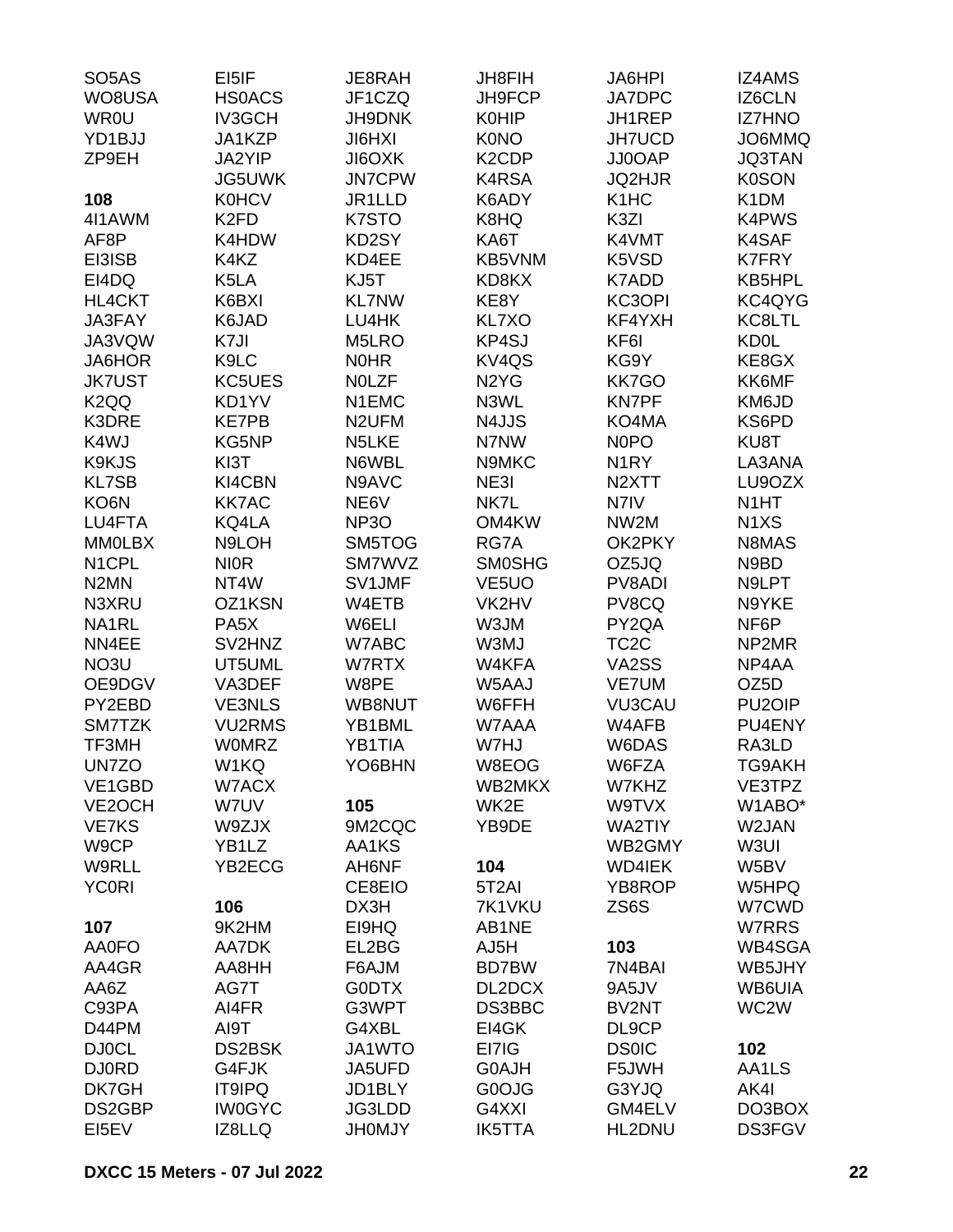| SO <sub>5</sub> AS  | EI5IF             | JE8RAH             | <b>JH8FIH</b>                 | JA6HPI             | <b>IZ4AMS</b>                 |
|---------------------|-------------------|--------------------|-------------------------------|--------------------|-------------------------------|
| WO8USA              | <b>HSOACS</b>     | JF1CZQ             | JH9FCP                        | <b>JA7DPC</b>      | <b>IZ6CLN</b>                 |
| <b>WR0U</b>         | <b>IV3GCH</b>     | <b>JH9DNK</b>      | <b>K0HIP</b>                  | JH1REP             | <b>IZ7HNO</b>                 |
| YD1BJJ              | JA1KZP            | <b>JIGHXI</b>      | <b>K0NO</b>                   | <b>JH7UCD</b>      | JO6MMQ                        |
| ZP9EH               | JA2YIP            | <b>JI6OXK</b>      | K <sub>2</sub> CDP            | JJ0OAP             | <b>JQ3TAN</b>                 |
|                     | JG5UWK            | <b>JN7CPW</b>      | K4RSA                         | <b>JQ2HJR</b>      | <b>K0SON</b>                  |
| 108                 | <b>K0HCV</b>      | JR1LLD             | K6ADY                         | K <sub>1</sub> HC  | K <sub>1</sub> DM             |
| 4I1AWM              | K <sub>2FD</sub>  | K7STO              | K8HQ                          | K3ZI               | K4PWS                         |
| AF8P                | K4HDW             | KD2SY              | KA6T                          | K4VMT              | K4SAF                         |
|                     | K4KZ              | KD4EE              |                               | K5VSD              | <b>K7FRY</b>                  |
| EI3ISB              |                   |                    | KB5VNM                        |                    |                               |
| EI4DQ               | K5LA              | KJ5T               | KD8KX                         | K7ADD              | KB5HPL                        |
| HL4CKT              | K6BXI             | <b>KL7NW</b>       | KE8Y                          | KC3OPI             | KC4QYG                        |
| JA3FAY              | K6JAD             | LU4HK              | KL7XO                         | KF4YXH             | KC8LTL                        |
| JA3VQW              | K7JI              | M5LRO              | KP4SJ                         | KF6I               | <b>KD0L</b>                   |
| JA6HOR              | K9LC              | <b>NOHR</b>        | KV <sub>4</sub> QS            | KG9Y               | KE8GX                         |
| <b>JK7UST</b>       | KC5UES            | <b>NOLZF</b>       | N <sub>2</sub> Y <sub>G</sub> | <b>KK7GO</b>       | KK6MF                         |
| K <sub>2</sub> QQ   | KD1YV             | N1EMC              | N3WL                          | <b>KN7PF</b>       | KM6JD                         |
| K3DRE               | <b>KE7PB</b>      | N <sub>2</sub> UFM | N4JJS                         | KO4MA              | KS6PD                         |
| K4WJ                | KG5NP             | N5LKE              | N7NW                          | N <sub>0</sub> PO  | KU8T                          |
| K9KJS               | KI3T              | N6WBL              | N9MKC                         | N <sub>1</sub> RY  | LA3ANA                        |
| <b>KL7SB</b>        | KI4CBN            | N9AVC              | NE3I                          | N <sub>2</sub> XTT | LU9OZX                        |
| KO6N                | <b>KK7AC</b>      | NE6V               | NK7L                          | N7IV               | N <sub>1</sub> HT             |
| LU4FTA              | KQ4LA             | NP <sub>3</sub> O  | OM4KW                         | NW2M               | N <sub>1</sub> X <sub>S</sub> |
| <b>MMOLBX</b>       | N9LOH             | SM5TOG             | RG7A                          | OK2PKY             | N8MAS                         |
| N <sub>1</sub> CPL  | <b>NIOR</b>       | SM7WVZ             | <b>SMOSHG</b>                 | OZ5JQ              | N9BD                          |
| N <sub>2</sub> MN   | NT4W              | SV1JMF             | VE <sub>5</sub> UO            | PV8ADI             | N9LPT                         |
| N3XRU               | OZ1KSN            | W4ETB              | VK2HV                         | PV8CQ              | N9YKE                         |
| NA1RL               | PA <sub>5</sub> X | W6ELI              | W3JM                          | PY2QA              | NF6P                          |
| NN4EE               | SV2HNZ            | W7ABC              | W3MJ                          | TC <sub>2</sub> C  | NP2MR                         |
| NO3U                | UT5UML            | W7RTX              | W4KFA                         | VA2SS              | NP4AA                         |
| OE9DGV              | VA3DEF            | W8PE               | W5AAJ                         | <b>VE7UM</b>       | OZ5D                          |
| PY2EBD              | <b>VE3NLS</b>     | WB8NUT             | W6FFH                         | <b>VU3CAU</b>      | PU <sub>2</sub> OIP           |
| SM7TZK              | <b>VU2RMS</b>     | YB1BML             | W7AAA                         | W4AFB              | PU4ENY                        |
| TF3MH               | <b>WOMRZ</b>      | YB1TIA             | W7HJ                          | W6DAS              | RA3LD                         |
| UN7ZO               | W1KQ              | YO6BHN             | W8EOG                         | W6FZA              | TG9AKH                        |
| VE1GBD              | W7ACX             |                    | WB2MKX                        | W7KHZ              | VE3TPZ                        |
| VE <sub>2</sub> OCH | W7UV              | 105                | WK2E                          | W9TVX              | W1ABO*                        |
| <b>VE7KS</b>        | W9ZJX             | 9M2CQC             | YB9DE                         | <b>WA2TIY</b>      | W2JAN                         |
| W9CP                | YB1LZ             | AA1KS              |                               | WB2GMY             | W3UI                          |
| W9RLL               | YB2ECG            | AH6NF              | 104                           | <b>WD4IEK</b>      | W5BV                          |
| <b>YC0RI</b>        |                   | CE8EIO             | 5T <sub>2</sub> AI            | YB8ROP             | W5HPQ                         |
|                     | 106               | DX3H               | 7K1VKU                        | ZS6S               | W7CWD                         |
|                     | 9K2HM             | EI9HQ              | AB1NE                         |                    |                               |
| 107                 |                   |                    |                               |                    | W7RRS                         |
| AA0FO               | AA7DK             | EL2BG              | AJ5H                          | 103                | WB4SGA                        |
| AA4GR               | AA8HH             | F6AJM              | BD7BW                         | 7N4BAI             | WB5JHY                        |
| AA6Z                | AG7T              | G0DTX              | DL2DCX                        | 9A5JV              | WB6UIA                        |
| C93PA               | AI4FR             | G3WPT              | DS3BBC                        | BV2NT              | WC2W                          |
| D44PM               | AI9T              | G4XBL              | EI4GK                         | DL9CP              |                               |
| <b>DJ0CL</b>        | <b>DS2BSK</b>     | JA1WTO             | EI7IG                         | <b>DS0IC</b>       | 102                           |
| <b>DJ0RD</b>        | G4FJK             | JA5UFD             | G0AJH                         | F5JWH              | AA1LS                         |
| DK7GH               | <b>IT9IPQ</b>     | JD1BLY             | G0OJG                         | G3YJQ              | AK4I                          |
| DS2GBP              | <b>IW0GYC</b>     | JG3LDD             | G4XXI                         | GM4ELV             | DO3BOX                        |
| EI5EV               | IZ8LLQ            | <b>JH0MJY</b>      | <b>IK5TTA</b>                 | HL2DNU             | DS3FGV                        |